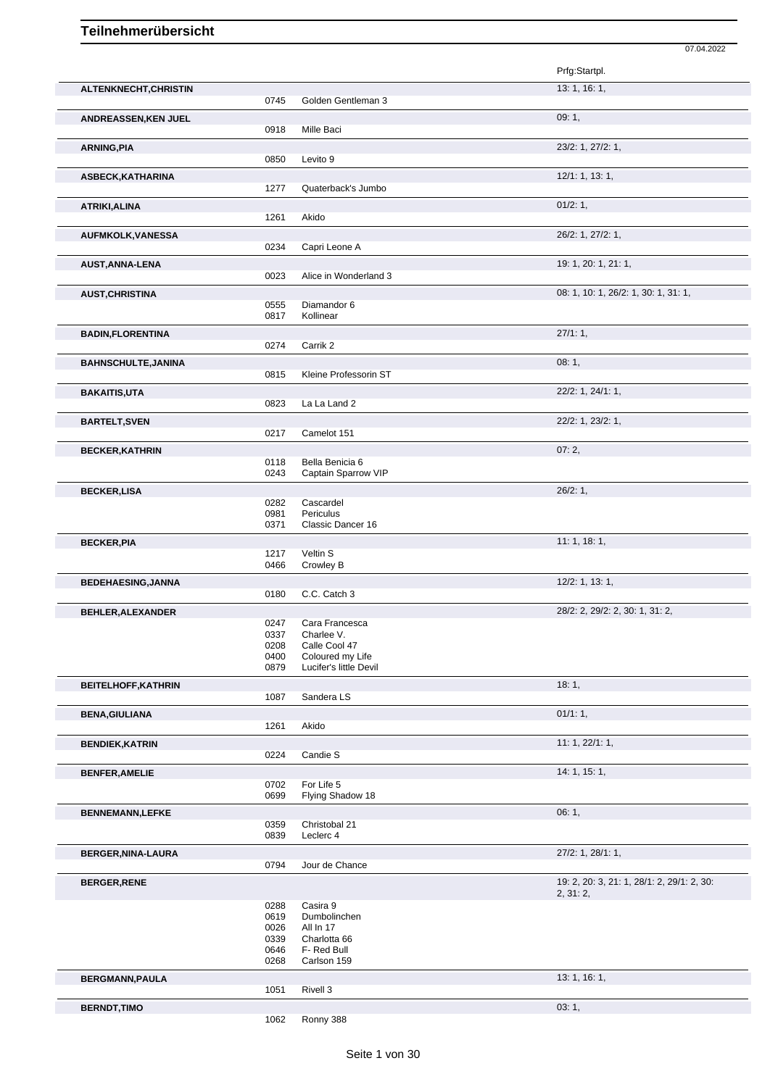|                            |              |                             | 07.04.2022                                 |
|----------------------------|--------------|-----------------------------|--------------------------------------------|
|                            |              |                             | Prfg:Startpl.                              |
| ALTENKNECHT, CHRISTIN      |              |                             | 13: 1, 16: 1,                              |
|                            | 0745         | Golden Gentleman 3          |                                            |
|                            |              |                             | 09:1,                                      |
| ANDREASSEN, KEN JUEL       | 0918         | Mille Baci                  |                                            |
|                            |              |                             | 23/2: 1, 27/2: 1,                          |
| <b>ARNING, PIA</b>         | 0850         | Levito 9                    |                                            |
| ASBECK, KATHARINA          |              |                             | 12/1: 1, 13: 1,                            |
|                            | 1277         | Quaterback's Jumbo          |                                            |
|                            |              |                             | 01/2: 1,                                   |
| ATRIKI, ALINA              | 1261         | Akido                       |                                            |
|                            |              |                             |                                            |
| <b>AUFMKOLK, VANESSA</b>   | 0234         | Capri Leone A               | 26/2: 1, 27/2: 1,                          |
|                            |              |                             | 19: 1, 20: 1, 21: 1,                       |
| <b>AUST, ANNA-LENA</b>     | 0023         | Alice in Wonderland 3       |                                            |
|                            |              |                             |                                            |
| <b>AUST, CHRISTINA</b>     | 0555         | Diamandor 6                 | 08: 1, 10: 1, 26/2: 1, 30: 1, 31: 1,       |
|                            | 0817         | Kollinear                   |                                            |
| <b>BADIN,FLORENTINA</b>    |              |                             | 27/1:1,                                    |
|                            | 0274         | Carrik 2                    |                                            |
| <b>BAHNSCHULTE, JANINA</b> |              |                             | 08:1,                                      |
|                            | 0815         | Kleine Professorin ST       |                                            |
| <b>BAKAITIS,UTA</b>        |              |                             | 22/2: 1, 24/1: 1,                          |
|                            | 0823         | La La Land 2                |                                            |
|                            |              |                             | 22/2: 1, 23/2: 1,                          |
| <b>BARTELT, SVEN</b>       | 0217         | Camelot 151                 |                                            |
|                            |              |                             |                                            |
| <b>BECKER, KATHRIN</b>     | 0118         | Bella Benicia 6             | 07:2,                                      |
|                            | 0243         | Captain Sparrow VIP         |                                            |
|                            |              |                             | 26/2:1,                                    |
| <b>BECKER,LISA</b>         | 0282         | Cascardel                   |                                            |
|                            | 0981         | Periculus                   |                                            |
|                            | 0371         | Classic Dancer 16           |                                            |
| <b>BECKER, PIA</b>         |              |                             | 11:1, 18:1,                                |
|                            | 1217         | Veltin S                    |                                            |
|                            | 0466         | Crowley B                   |                                            |
| <b>BEDEHAESING, JANNA</b>  |              |                             | 12/2: 1, 13: 1,                            |
|                            | 0180         | C.C. Catch 3                |                                            |
| BEHLER, ALEXANDER          |              |                             | 28/2: 2, 29/2: 2, 30: 1, 31: 2,            |
|                            | 0247         | Cara Francesca              |                                            |
|                            | 0337<br>0208 | Charlee V.<br>Calle Cool 47 |                                            |
|                            | 0400         | Coloured my Life            |                                            |
|                            | 0879         | Lucifer's little Devil      |                                            |
| <b>BEITELHOFF, KATHRIN</b> |              |                             | 18:1,                                      |
|                            | 1087         | Sandera LS                  |                                            |
| <b>BENA, GIULIANA</b>      |              |                             | 01/1:1,                                    |
|                            | 1261         | Akido                       |                                            |
| <b>BENDIEK, KATRIN</b>     |              |                             | 11: 1, 22/1: 1,                            |
|                            | 0224         | Candie S                    |                                            |
| <b>BENFER, AMELIE</b>      |              |                             | 14: 1, 15: 1,                              |
|                            | 0702         | For Life 5                  |                                            |
|                            | 0699         | Flying Shadow 18            |                                            |
| <b>BENNEMANN,LEFKE</b>     |              |                             | 06:1,                                      |
|                            | 0359         | Christobal 21               |                                            |
|                            | 0839         | Leclerc 4                   |                                            |
| BERGER, NINA-LAURA         |              |                             | 27/2: 1, 28/1: 1,                          |
|                            | 0794         | Jour de Chance              |                                            |
| <b>BERGER, RENE</b>        |              |                             | 19: 2, 20: 3, 21: 1, 28/1: 2, 29/1: 2, 30: |
|                            |              |                             | 2, 31: 2,                                  |
|                            | 0288         | Casira 9                    |                                            |
|                            | 0619<br>0026 | Dumbolinchen<br>All In 17   |                                            |
|                            | 0339         | Charlotta 66                |                                            |
|                            | 0646         | F- Red Bull                 |                                            |
|                            | 0268         | Carlson 159                 |                                            |
| <b>BERGMANN, PAULA</b>     |              |                             | 13: 1, 16: 1,                              |
|                            | 1051         | Rivell 3                    |                                            |
| <b>BERNDT, TIMO</b>        |              |                             | 03:1,                                      |
|                            | 1062         | Ronny 388                   |                                            |
|                            |              |                             |                                            |

Ronny 388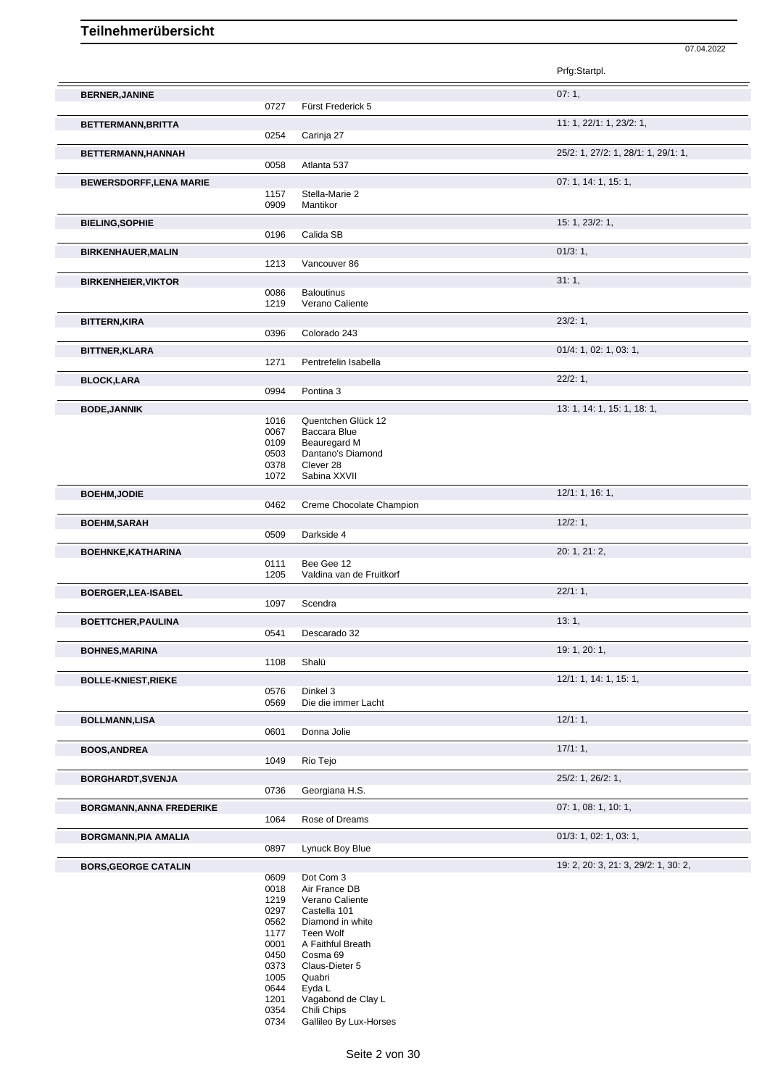Prfg:Startpl. **BERNER,JANINE** 07: 1, Fürst Frederick 5 **BETTERMANN,BRITTA** 11: 1, 22/1: 1, 23/2: 1, 0254 Carinja 27 **BETTERMANN,HANNAH** 25/2: 1, 27/2: 1, 28/1: 1, 29/1: 1, 0058 Atlanta 537 **BEWERSDORFF,LENA MARIE** 07: 1, 14: 1, 15: 1, 1157 Stella-Marie 2 0909 Mantikor **BIELING,SOPHIE** 15: 1, 23/2: 1, 0196 Calida SB **BIRKENHAUER,MALIN** 01/3: 1, 1213 Vancouver 86 **BIRKENHEIER,VIKTOR** 31: 1, 0086 Baloutinus<br>1219 Verano Ca Verano Caliente **BITTERN,KIRA** 23/2: 1, 23/2: 1, 23/2: 1, 23/2: 1, 23/2: 1, 23/2: 1, 23/2: 1, 23/2: 1, 23/2: 1, 23/2: 1, 23/2: 1, 23/2: 1, 23/2: 1, 2006 Colorado 243 **BITTNER, KLARA** 01/4: 1, 02: 1, 03: 1,<br>
1271 Pentrefelin Isabella 01/4: 02: 01/4: 1, 02: 1, 03: 1, Pentrefelin Isabella **BLOCK,LARA** 22/2: 1, Pontina 3 **BODE,JANNIK** 13: 1, 14: 1, 15: 1, 18: 1, 1016 Quentchen Glück 12<br>0067 Baccara Blue Baccara Blue 0109 Beauregard M<br>0503 Dantano's Diar 0503 Dantano's Diamond<br>0378 Clever 28 0378 Clever 28<br>1072 Sabina X) Sabina XXVII **BOEHM,JODIE** 12/1: 1, 16: 1, 0462 Creme Chocolate Champion **BOEHM,SARAH** 12/2: 1, 0509 Darkside 4 Darkside 4 **BOEHNKE,KATHARINA** 20: 1, 21: 2, Bee Gee 12 1205 Valdina van de Fruitkorf **BOERGER,LEA-ISABEL** 22/1: 1, 1097 Scendra **BOETTCHER,PAULINA** 13: 1, 0541 Descarado 32 **BOHNES,MARINA** 19: 1, 20: 1, Shalü **BOLLE-KNIEST,RIEKE** 12/1: 1, 14: 1, 15: 1, 0576 Dinkel 3<br>0569 Die die in Die die immer Lacht **BOLLMANN,LISA** 12/1: 1, Donna Jolie **BOOS,ANDREA** 17/1: 1, 1049 Rio Tejo **BORGHARDT, SVENJA** 25/2: 1, 26/2: 1, 26/2: 1, 26/2: 1, 26/2: 1, 26/2: 1, 26/2: 1, 26/2: 1, 26/2: 1, 26/2: 1, 26/2: 1, 26/2: 1, 26/2: 1, 26/2: 1, 20 Georgiana H.S. **BORGMANN,ANNA FREDERIKE** 1064 Rose of Dreams 1064 **Property 2008** 1, 08: 1, 10: 1, Rose of Dreams **BORGMANN, PIA AMALIA** 0897 Lynuck Boy Blue **Development Control Control Control Control Control Control Control Control Control Control Control Control Control Control Control Control Control Control Control Control Contr** Lynuck Boy Blue **BORS,GEORGE CATALIN** 19: 2, 20: 3, 21: 3, 29/2: 1, 30: 2, 0609 Dot Com 3<br>0018 Air France 0018 Air France DB<br>1219 Verano Calien 1219 Verano Caliente<br>0297 Castella 101 Castella 101 0562 Diamond in white 1177 Teen Wolf 0001 A Faithful Breath<br>0450 Cosma 69 0450 Cosma 69<br>0373 Claus-Diet Claus-Dieter 5

- 1005 Quabri<br>0644 Eyda L
- 0644 Eyda L<br>1201 Vagabo
- 1201 Vagabond de Clay L<br>0354 Chili Chips
- 0354 Chili Chips<br>0734 Gallileo By Gallileo By Lux-Horses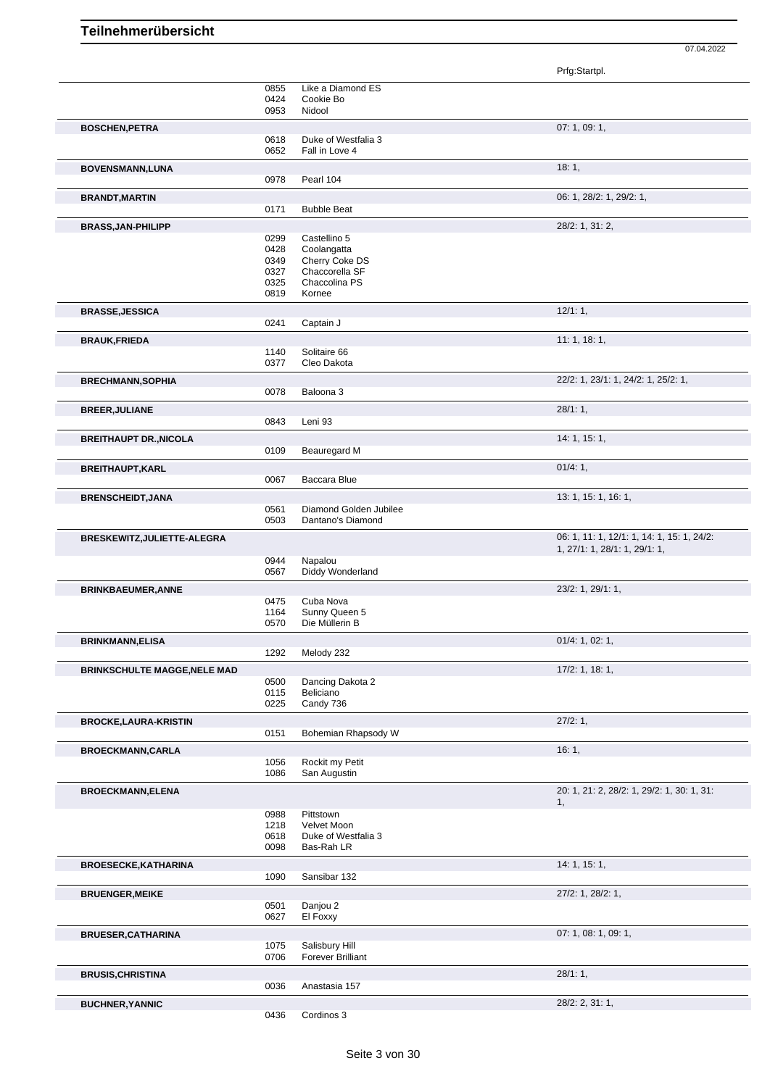07.04.2022

|                                     |              |                                            | Prfg:Startpl.                                    |
|-------------------------------------|--------------|--------------------------------------------|--------------------------------------------------|
|                                     | 0855         | Like a Diamond ES                          |                                                  |
|                                     | 0424         | Cookie Bo                                  |                                                  |
|                                     | 0953         | Nidool                                     |                                                  |
| <b>BOSCHEN, PETRA</b>               |              |                                            | 07: 1, 09: 1,                                    |
|                                     | 0618<br>0652 | Duke of Westfalia 3<br>Fall in Love 4      |                                                  |
|                                     |              |                                            |                                                  |
| <b>BOVENSMANN, LUNA</b>             | 0978         | Pearl 104                                  | 18:1,                                            |
|                                     |              |                                            |                                                  |
| <b>BRANDT, MARTIN</b>               | 0171         | <b>Bubble Beat</b>                         | 06: 1, 28/2: 1, 29/2: 1,                         |
|                                     |              |                                            |                                                  |
| <b>BRASS, JAN-PHILIPP</b>           | 0299         | Castellino 5                               | 28/2: 1, 31: 2,                                  |
|                                     | 0428         | Coolangatta                                |                                                  |
|                                     | 0349         | Cherry Coke DS                             |                                                  |
|                                     | 0327         | Chaccorella SF                             |                                                  |
|                                     | 0325         | Chaccolina PS<br>Kornee                    |                                                  |
|                                     | 0819         |                                            |                                                  |
| <b>BRASSE, JESSICA</b>              |              | Captain J                                  | 12/1:1,                                          |
|                                     | 0241         |                                            |                                                  |
| <b>BRAUK, FRIEDA</b>                |              |                                            | 11:1, 18:1,                                      |
|                                     | 1140<br>0377 | Solitaire 66<br>Cleo Dakota                |                                                  |
|                                     |              |                                            |                                                  |
| <b>BRECHMANN, SOPHIA</b>            | 0078         | Baloona 3                                  | 22/2: 1, 23/1: 1, 24/2: 1, 25/2: 1,              |
|                                     |              |                                            | 28/1:1,                                          |
| <b>BREER, JULIANE</b>               | 0843         | Leni 93                                    |                                                  |
|                                     |              |                                            | 14:1, 15:1,                                      |
| <b>BREITHAUPT DR., NICOLA</b>       | 0109         | Beauregard M                               |                                                  |
|                                     |              |                                            |                                                  |
| <b>BREITHAUPT, KARL</b>             | 0067         | Baccara Blue                               | 01/4:1,                                          |
|                                     |              |                                            |                                                  |
| <b>BRENSCHEIDT, JANA</b>            | 0561         | Diamond Golden Jubilee                     | 13: 1, 15: 1, 16: 1,                             |
|                                     | 0503         | Dantano's Diamond                          |                                                  |
| BRESKEWITZ, JULIETTE-ALEGRA         |              |                                            | 06: 1, 11: 1, 12/1: 1, 14: 1, 15: 1, 24/2:       |
|                                     |              |                                            | 1, 27/1: 1, 28/1: 1, 29/1: 1,                    |
|                                     | 0944         | Napalou                                    |                                                  |
|                                     | 0567         | Diddy Wonderland                           |                                                  |
| <b>BRINKBAEUMER, ANNE</b>           |              |                                            | 23/2: 1, 29/1: 1,                                |
|                                     | 0475<br>1164 | Cuba Nova<br>Sunny Queen 5                 |                                                  |
|                                     | 0570         | Die Müllerin B                             |                                                  |
| <b>BRINKMANN.ELISA</b>              |              |                                            | 01/4: 1, 02: 1,                                  |
|                                     | 1292         | Melody 232                                 |                                                  |
| <b>BRINKSCHULTE MAGGE, NELE MAD</b> |              |                                            | $17/2$ : 1, 18: 1,                               |
|                                     | 0500         | Dancing Dakota 2                           |                                                  |
|                                     | 0115         | Beliciano                                  |                                                  |
|                                     | 0225         | Candy 736                                  |                                                  |
| <b>BROCKE,LAURA-KRISTIN</b>         |              |                                            | 27/2:1,                                          |
|                                     | 0151         | Bohemian Rhapsody W                        |                                                  |
| <b>BROECKMANN,CARLA</b>             |              |                                            | 16:1,                                            |
|                                     | 1056         | Rockit my Petit                            |                                                  |
|                                     | 1086         | San Augustin                               |                                                  |
| <b>BROECKMANN, ELENA</b>            |              |                                            | 20: 1, 21: 2, 28/2: 1, 29/2: 1, 30: 1, 31:<br>1, |
|                                     | 0988         | Pittstown                                  |                                                  |
|                                     | 1218         | Velvet Moon                                |                                                  |
|                                     | 0618         | Duke of Westfalia 3                        |                                                  |
|                                     | 0098         | Bas-Rah LR                                 |                                                  |
| <b>BROESECKE, KATHARINA</b>         |              |                                            | 14:1, 15:1,                                      |
|                                     | 1090         | Sansibar 132                               |                                                  |
| <b>BRUENGER, MEIKE</b>              |              |                                            | 27/2: 1, 28/2: 1,                                |
|                                     | 0501         | Danjou 2                                   |                                                  |
|                                     | 0627         | El Foxxy                                   |                                                  |
| <b>BRUESER, CATHARINA</b>           |              |                                            | 07: 1, 08: 1, 09: 1,                             |
|                                     | 1075<br>0706 | Salisbury Hill<br><b>Forever Brilliant</b> |                                                  |
|                                     |              |                                            |                                                  |
| <b>BRUSIS, CHRISTINA</b>            | 0036         | Anastasia 157                              | 28/1:1,                                          |
|                                     |              |                                            |                                                  |
| <b>BUCHNER, YANNIC</b>              |              |                                            | 28/2: 2, 31: 1,                                  |

Cordinos 3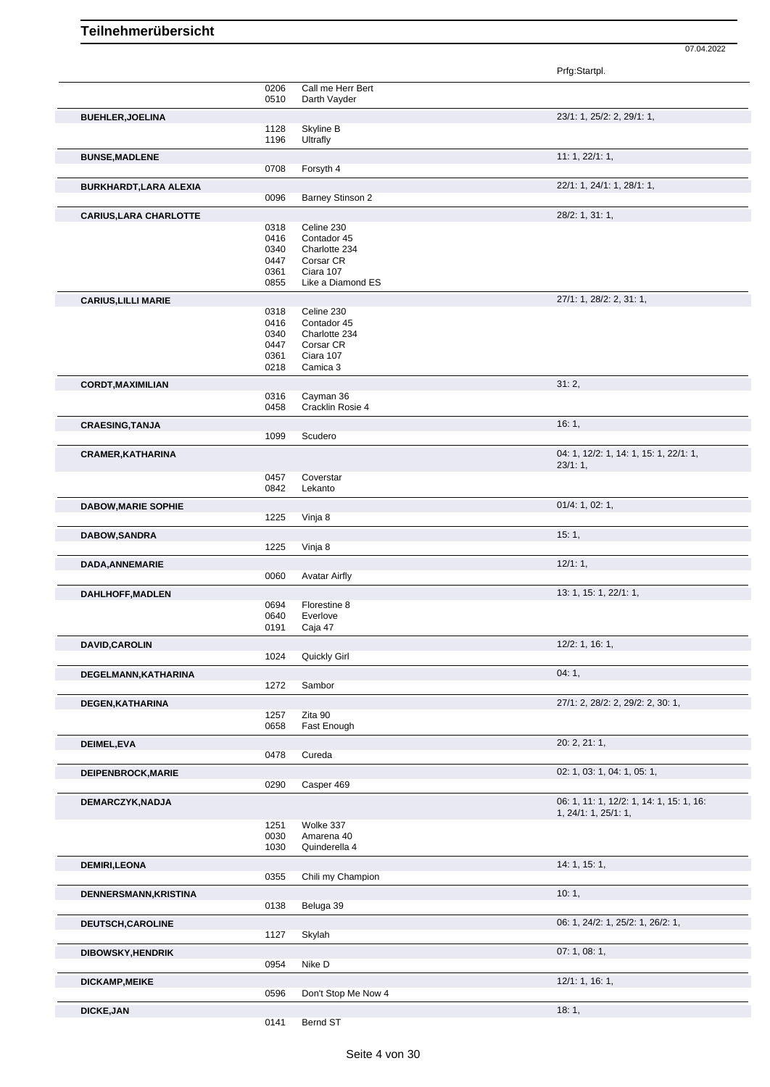|                               |              |                              | Prfg:Startpl.                                                    |
|-------------------------------|--------------|------------------------------|------------------------------------------------------------------|
|                               | 0206         | Call me Herr Bert            |                                                                  |
|                               | 0510         | Darth Vayder                 |                                                                  |
| <b>BUEHLER, JOELINA</b>       |              |                              | 23/1: 1, 25/2: 2, 29/1: 1,                                       |
|                               | 1128         | Skyline B                    |                                                                  |
|                               | 1196         | Ultrafly                     |                                                                  |
| <b>BUNSE, MADLENE</b>         |              |                              | 11: 1, 22/1: 1,                                                  |
|                               | 0708         | Forsyth 4                    |                                                                  |
| BURKHARDT, LARA ALEXIA        |              |                              | 22/1: 1, 24/1: 1, 28/1: 1,                                       |
|                               | 0096         | <b>Barney Stinson 2</b>      |                                                                  |
| <b>CARIUS, LARA CHARLOTTE</b> |              |                              | 28/2: 1, 31: 1,                                                  |
|                               | 0318         | Celine 230                   |                                                                  |
|                               | 0416         | Contador 45<br>Charlotte 234 |                                                                  |
|                               | 0340<br>0447 | Corsar CR                    |                                                                  |
|                               | 0361         | Ciara 107                    |                                                                  |
|                               | 0855         | Like a Diamond ES            |                                                                  |
| <b>CARIUS, LILLI MARIE</b>    |              |                              | 27/1: 1, 28/2: 2, 31: 1,                                         |
|                               | 0318         | Celine 230                   |                                                                  |
|                               | 0416         | Contador 45                  |                                                                  |
|                               | 0340         | Charlotte 234                |                                                                  |
|                               | 0447<br>0361 | Corsar CR<br>Ciara 107       |                                                                  |
|                               | 0218         | Camica 3                     |                                                                  |
|                               |              |                              | 31:2,                                                            |
| <b>CORDT, MAXIMILIAN</b>      | 0316         | Cayman 36                    |                                                                  |
|                               | 0458         | Cracklin Rosie 4             |                                                                  |
| <b>CRAESING, TANJA</b>        |              |                              | 16:1,                                                            |
|                               | 1099         | Scudero                      |                                                                  |
|                               |              |                              | 04: 1, 12/2: 1, 14: 1, 15: 1, 22/1: 1,                           |
| <b>CRAMER, KATHARINA</b>      |              |                              | 23/1:1,                                                          |
|                               | 0457         | Coverstar                    |                                                                  |
|                               | 0842         | Lekanto                      |                                                                  |
| <b>DABOW, MARIE SOPHIE</b>    |              |                              | 01/4: 1, 02: 1,                                                  |
|                               | 1225         | Vinja 8                      |                                                                  |
| DABOW, SANDRA                 |              |                              | 15:1,                                                            |
|                               | 1225         | Vinja 8                      |                                                                  |
|                               |              |                              | 12/1:1,                                                          |
| DADA, ANNEMARIE               | 0060         | <b>Avatar Airfly</b>         |                                                                  |
|                               |              |                              | 13: 1, 15: 1, 22/1: 1,                                           |
| <b>DAHLHOFF, MADLEN</b>       | 0694         | Florestine 8                 |                                                                  |
|                               | 0640         | Everlove                     |                                                                  |
|                               | 0191         | Caja 47                      |                                                                  |
| DAVID, CAROLIN                |              |                              | 12/2: 1, 16: 1,                                                  |
|                               | 1024         | Quickly Girl                 |                                                                  |
| DEGELMANN, KATHARINA          |              |                              | 04:1,                                                            |
|                               | 1272         | Sambor                       |                                                                  |
| DEGEN, KATHARINA              |              |                              | 27/1: 2, 28/2: 2, 29/2: 2, 30: 1,                                |
|                               | 1257         | Zita 90                      |                                                                  |
|                               | 0658         | Fast Enough                  |                                                                  |
| DEIMEL, EVA                   |              |                              | 20: 2, 21: 1,                                                    |
|                               | 0478         | Cureda                       |                                                                  |
|                               |              |                              | 02: 1, 03: 1, 04: 1, 05: 1,                                      |
| DEIPENBROCK, MARIE            | 0290         | Casper 469                   |                                                                  |
|                               |              |                              |                                                                  |
| DEMARCZYK, NADJA              |              |                              | 06: 1, 11: 1, 12/2: 1, 14: 1, 15: 1, 16:<br>1, 24/1: 1, 25/1: 1, |
|                               | 1251         | Wolke 337                    |                                                                  |
|                               | 0030         | Amarena 40                   |                                                                  |
|                               | 1030         | Quinderella 4                |                                                                  |
| <b>DEMIRI,LEONA</b>           |              |                              | 14:1, 15:1,                                                      |
|                               | 0355         | Chili my Champion            |                                                                  |
| DENNERSMANN, KRISTINA         |              |                              | 10:1,                                                            |
|                               | 0138         | Beluga 39                    |                                                                  |
|                               |              |                              |                                                                  |
| DEUTSCH, CAROLINE             | 1127         | Skylah                       | 06: 1, 24/2: 1, 25/2: 1, 26/2: 1,                                |
|                               |              |                              |                                                                  |
| DIBOWSKY, HENDRIK             |              |                              | 07:1,08:1,                                                       |
|                               | 0954         | Nike D                       |                                                                  |
| DICKAMP, MEIKE                |              |                              | 12/1: 1, 16: 1,                                                  |
|                               | 0596         | Don't Stop Me Now 4          |                                                                  |
| <b>DICKE, JAN</b>             |              |                              | 18:1,                                                            |
|                               | 0141         | Bernd ST                     |                                                                  |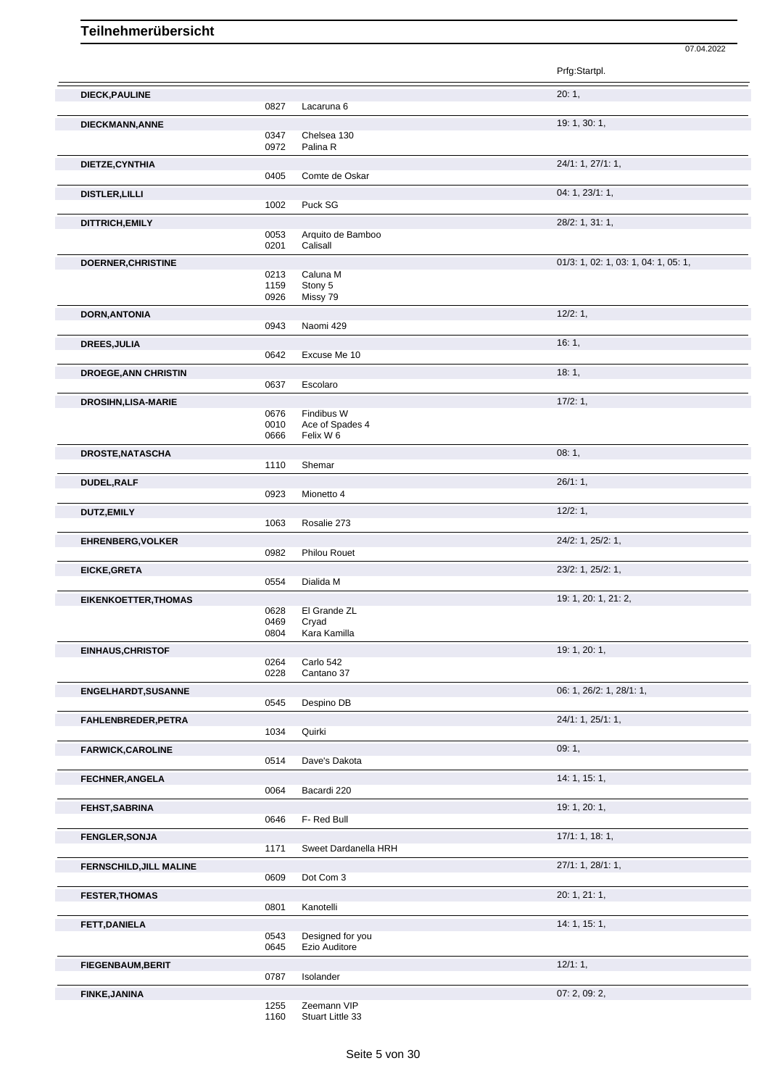|                             |              |                                   | Prfg:Startpl.                        |
|-----------------------------|--------------|-----------------------------------|--------------------------------------|
| <b>DIECK, PAULINE</b>       | 0827         | Lacaruna 6                        | 20:1,                                |
| DIECKMANN, ANNE             |              |                                   | 19: 1, 30: 1,                        |
|                             | 0347<br>0972 | Chelsea 130<br>Palina R           |                                      |
| DIETZE, CYNTHIA             |              |                                   | 24/1: 1, 27/1: 1,                    |
|                             | 0405         | Comte de Oskar                    |                                      |
| <b>DISTLER, LILLI</b>       |              |                                   | 04: 1, 23/1: 1,                      |
|                             | 1002         | Puck SG                           |                                      |
| DITTRICH, EMILY             |              |                                   | 28/2: 1, 31: 1,                      |
|                             | 0053<br>0201 | Arquito de Bamboo<br>Calisall     |                                      |
| DOERNER, CHRISTINE          |              |                                   | 01/3: 1, 02: 1, 03: 1, 04: 1, 05: 1, |
|                             | 0213         | Caluna M                          |                                      |
|                             | 1159<br>0926 | Stony 5<br>Missy 79               |                                      |
|                             |              |                                   | 12/2:1,                              |
| <b>DORN, ANTONIA</b>        | 0943         | Naomi 429                         |                                      |
| <b>DREES, JULIA</b>         |              |                                   | 16:1,                                |
|                             | 0642         | Excuse Me 10                      |                                      |
| <b>DROEGE, ANN CHRISTIN</b> |              |                                   | 18:1,                                |
|                             | 0637         | Escolaro                          |                                      |
| <b>DROSIHN, LISA-MARIE</b>  |              |                                   | 17/2:1,                              |
|                             | 0676         | Findibus W                        |                                      |
|                             | 0010         | Ace of Spades 4                   |                                      |
|                             | 0666         | Felix W 6                         |                                      |
| DROSTE, NATASCHA            |              |                                   | 08:1,                                |
|                             | 1110         | Shemar                            |                                      |
| DUDEL, RALF                 |              |                                   | 26/1:1,                              |
|                             | 0923         | Mionetto 4                        |                                      |
| DUTZ, EMILY                 |              |                                   | 12/2:1,                              |
|                             | 1063         | Rosalie 273                       |                                      |
| <b>EHRENBERG, VOLKER</b>    | 0982         | <b>Philou Rouet</b>               | 24/2: 1, 25/2: 1,                    |
|                             |              |                                   |                                      |
| EICKE, GRETA                | 0554         | Dialida M                         | 23/2: 1, 25/2: 1,                    |
|                             |              |                                   | 19: 1, 20: 1, 21: 2,                 |
| <b>EIKENKOETTER, THOMAS</b> | 0628         | El Grande ZL                      |                                      |
|                             | 0469         | Cryad                             |                                      |
|                             | 0804         | Kara Kamilla                      |                                      |
| <b>EINHAUS, CHRISTOF</b>    |              |                                   | 19: 1, 20: 1,                        |
|                             | 0264<br>0228 | Carlo 542<br>Cantano 37           |                                      |
|                             |              |                                   | 06: 1, 26/2: 1, 28/1: 1,             |
| <b>ENGELHARDT, SUSANNE</b>  | 0545         | Despino DB                        |                                      |
| FAHLENBREDER, PETRA         |              |                                   | 24/1: 1, 25/1: 1,                    |
|                             | 1034         | Quirki                            |                                      |
| <b>FARWICK, CAROLINE</b>    |              |                                   | 09:1,                                |
|                             | 0514         | Dave's Dakota                     |                                      |
| FECHNER, ANGELA             |              |                                   | 14: 1, 15: 1,                        |
|                             | 0064         | Bacardi 220                       |                                      |
| FEHST, SABRINA              |              |                                   | 19: 1, 20: 1,                        |
|                             | 0646         | F- Red Bull                       |                                      |
| <b>FENGLER, SONJA</b>       |              |                                   | 17/1: 1, 18: 1,                      |
|                             | 1171         | Sweet Dardanella HRH              |                                      |
| FERNSCHILD, JILL MALINE     |              |                                   | 27/1: 1, 28/1: 1,                    |
|                             | 0609         | Dot Com 3                         |                                      |
| <b>FESTER, THOMAS</b>       |              |                                   | 20: 1, 21: 1,                        |
|                             | 0801         | Kanotelli                         |                                      |
| FETT, DANIELA               |              |                                   | 14: 1, 15: 1,                        |
|                             | 0543<br>0645 | Designed for you<br>Ezio Auditore |                                      |
|                             |              |                                   |                                      |
| <b>FIEGENBAUM, BERIT</b>    | 0787         | Isolander                         | 12/1:1,                              |
|                             |              |                                   |                                      |

07.04.2022

**FINKE,JANINA** 07: 2, 09: 2, 09: 2, 09: 2, 09: 2, 09: 2, 09: 2, 09: 2, 09: 2, 09: 2, 09: 2, 09: 2, 09: 2, 09: 2, 09: 2, 09: 2, 09: 2, 09: 2, 09: 2, 09: 2, 09: 2, 09: 2, 09: 2, 09: 2, 09: 2, 09: 2, 09: 2, 09: 2, 09: 2, 09: 1255 Zeemann VIP

1160 Stuart Little 33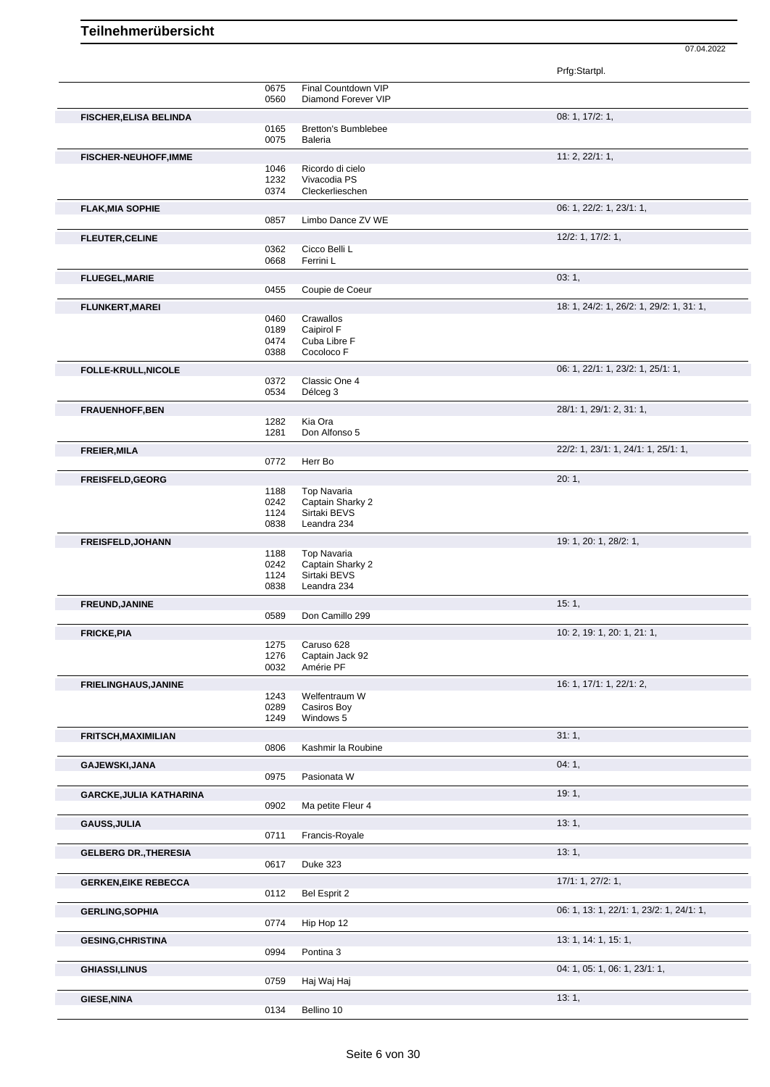|                                |              |                                              | Prfg:Startpl.                            |
|--------------------------------|--------------|----------------------------------------------|------------------------------------------|
|                                | 0675         | Final Countdown VIP                          |                                          |
|                                | 0560         | Diamond Forever VIP                          |                                          |
| <b>FISCHER, ELISA BELINDA</b>  |              |                                              | 08: 1, 17/2: 1,                          |
|                                | 0165<br>0075 | <b>Bretton's Bumblebee</b><br><b>Baleria</b> |                                          |
|                                |              |                                              |                                          |
| <b>FISCHER-NEUHOFF, IMME</b>   | 1046         | Ricordo di cielo                             | 11: 2, 22/1: 1,                          |
|                                | 1232         | Vivacodia PS                                 |                                          |
|                                | 0374         | Cleckerlieschen                              |                                          |
| <b>FLAK, MIA SOPHIE</b>        |              |                                              | 06: 1, 22/2: 1, 23/1: 1,                 |
|                                | 0857         | Limbo Dance ZV WE                            |                                          |
| <b>FLEUTER, CELINE</b>         |              |                                              | 12/2: 1, 17/2: 1,                        |
|                                | 0362         | Cicco Belli L                                |                                          |
|                                | 0668         | Ferrini L                                    |                                          |
| <b>FLUEGEL, MARIE</b>          |              |                                              | 03:1,                                    |
|                                | 0455         | Coupie de Coeur                              |                                          |
| <b>FLUNKERT, MAREI</b>         |              |                                              | 18: 1, 24/2: 1, 26/2: 1, 29/2: 1, 31: 1, |
|                                | 0460<br>0189 | Crawallos<br>Caipirol F                      |                                          |
|                                | 0474         | Cuba Libre F                                 |                                          |
|                                | 0388         | Cocoloco F                                   |                                          |
| <b>FOLLE-KRULL, NICOLE</b>     |              |                                              | 06: 1, 22/1: 1, 23/2: 1, 25/1: 1,        |
|                                | 0372         | Classic One 4                                |                                          |
|                                | 0534         | Délceg 3                                     |                                          |
| <b>FRAUENHOFF, BEN</b>         |              |                                              | 28/1: 1, 29/1: 2, 31: 1,                 |
|                                | 1282<br>1281 | Kia Ora<br>Don Alfonso 5                     |                                          |
|                                |              |                                              |                                          |
| <b>FREIER, MILA</b>            | 0772         | Herr Bo                                      | 22/2: 1, 23/1: 1, 24/1: 1, 25/1: 1,      |
|                                |              |                                              |                                          |
| <b>FREISFELD, GEORG</b>        | 1188         | <b>Top Navaria</b>                           | 20:1,                                    |
|                                | 0242         | Captain Sharky 2                             |                                          |
|                                | 1124         | Sirtaki BEVS                                 |                                          |
|                                | 0838         | Leandra 234                                  |                                          |
| <b>FREISFELD, JOHANN</b>       |              |                                              | 19: 1, 20: 1, 28/2: 1,                   |
|                                | 1188<br>0242 | <b>Top Navaria</b><br>Captain Sharky 2       |                                          |
|                                | 1124         | Sirtaki BEVS                                 |                                          |
|                                | 0838         | Leandra 234                                  |                                          |
| <b>FREUND, JANINE</b>          |              |                                              | 15:1,                                    |
|                                | 0589         | Don Camillo 299                              |                                          |
| <b>FRICKE, PIA</b>             |              |                                              | 10: 2, 19: 1, 20: 1, 21: 1,              |
|                                | 1275         | Caruso 628<br>Captain Jack 92                |                                          |
|                                | 1276<br>0032 | Amérie PF                                    |                                          |
| <b>FRIELINGHAUS, JANINE</b>    |              |                                              | 16: 1, 17/1: 1, 22/1: 2,                 |
|                                | 1243         | Welfentraum W                                |                                          |
|                                | 0289         | Casiros Boy                                  |                                          |
|                                | 1249         | Windows 5                                    |                                          |
| <b>FRITSCH, MAXIMILIAN</b>     |              |                                              | 31:1,                                    |
|                                | 0806         | Kashmir la Roubine                           |                                          |
| GAJEWSKI, JANA                 |              |                                              | 04:1,                                    |
|                                | 0975         | Pasionata W                                  |                                          |
| <b>GARCKE, JULIA KATHARINA</b> |              |                                              | 19:1,                                    |
|                                | 0902         | Ma petite Fleur 4                            |                                          |
| <b>GAUSS, JULIA</b>            |              |                                              | 13:1,                                    |
|                                | 0711         | Francis-Royale                               |                                          |
| <b>GELBERG DR., THERESIA</b>   |              |                                              | 13:1,                                    |
|                                | 0617         | Duke 323                                     |                                          |
| <b>GERKEN, EIKE REBECCA</b>    |              |                                              | 17/1: 1, 27/2: 1,                        |
|                                | 0112         | Bel Esprit 2                                 |                                          |
| <b>GERLING, SOPHIA</b>         |              |                                              | 06: 1, 13: 1, 22/1: 1, 23/2: 1, 24/1: 1, |
|                                | 0774         | Hip Hop 12                                   |                                          |
| <b>GESING, CHRISTINA</b>       |              |                                              | 13: 1, 14: 1, 15: 1,                     |
|                                | 0994         | Pontina 3                                    |                                          |
| <b>GHIASSI,LINUS</b>           |              |                                              | 04: 1, 05: 1, 06: 1, 23/1: 1,            |
|                                | 0759         | Haj Waj Haj                                  |                                          |
| <b>GIESE, NINA</b>             |              |                                              | 13:1,                                    |
|                                | 0134         | Bellino 10                                   |                                          |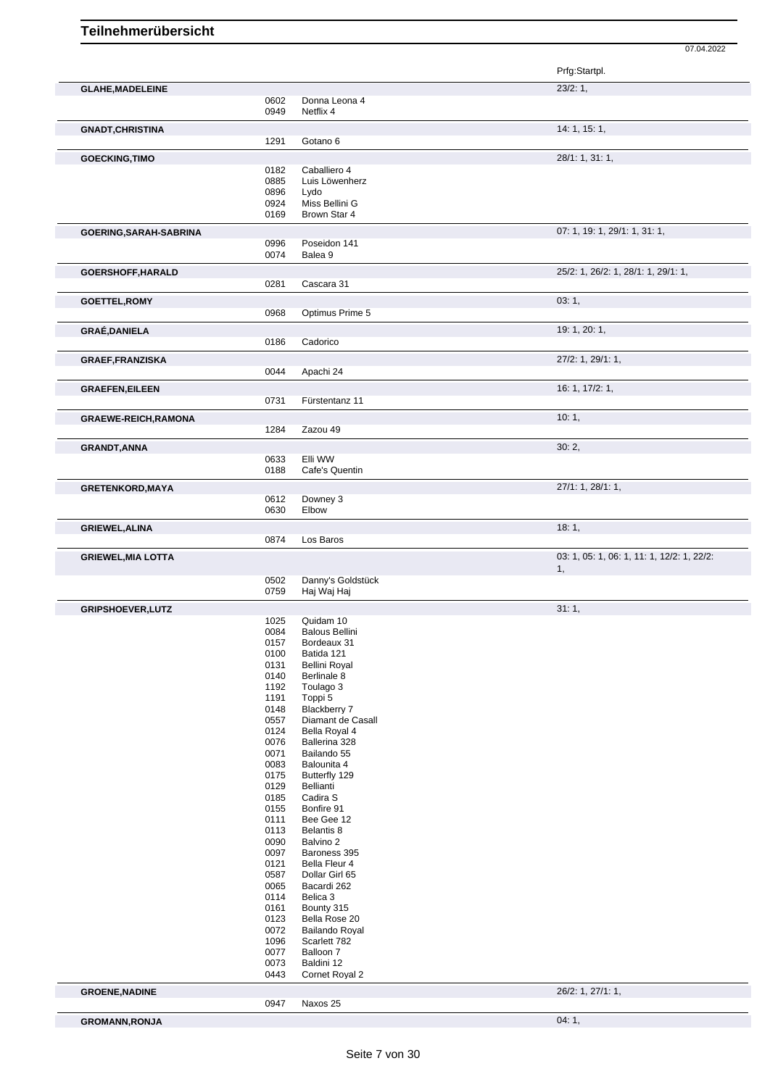07.04.2022 Prfg:Startpl. **GLAHE,MADELEINE** 23/2: 1, 0602 Donna Leona 4<br>0949 Netflix 4 Netflix 4 **GNADT, CHRISTINA** 14: 1, 15: 1, 1291 Gotano 6 **GOECKING,TIMO** 28/1: 1, 31: 1, 29/1: 1, 31: 1, 29/1: 1, 31: 1, 29/1: 1, 31: 1, 29/1: 28/1: 1, 31: 1, 29/1: 28/1: 1, 31: 1, 29/1: 28/1: 28/1: 28/1: 28/1: 28/1: 28/1: 28/2000 20182 0182 Caballiero 4<br>0885 Luis Löwenh 0885 Luis Löwenherz<br>0896 Lydo 0896 Lydo<br>0924 Miss 0924 Miss Bellini G<br>0169 Brown Star 4 Brown Star 4 **GOERING,SARAH-SABRINA** 07: 1, 19: 1, 29/1: 1, 31: 1, 0996 Poseidon 141 Balea 9 **GOERSHOFF,HARALD** 25/2: 1, 26/2: 1, 28/1: 1, 29/1: 1, Cascara 31 **GOETTEL,ROMY 03: 1,** 0968 Optimus Prime 5 **GRAÉ,DANIELA** 19: 1, 20: 1, 0186 Cadorico **GRAEF,FRANZISKA** 27/2: 1, 29/1: 1, 0044 Apachi 24 **GRAEFEN,EILEEN** 16: 1, 17/2: 1,<br>
0731 Fürstentanz 11 Fürstentanz 11 **GRAEWE-REICH,RAMONA** 1284 Zazou 49 Zazou 49 **GRANDT,ANNA** 30: 2, 0633 Elli WW 0188 Cafe's Quentin **GRETENKORD,MAYA** 27/1: 1, 28/1: 1, 0612 Downey 3<br>0630 Elbow Elbow **GRIEWEL,ALINA** 18: 1, Los Baros **GRIEWEL,MIA LOTTA CONSULTER CONSULTER**  $\frac{1}{2}$ **: 1, 22/2:** 1, 22/2: 1, 22/2: 1, 22/2: 1, 22/2: 1, 0502 Danny's Goldstück<br>0759 Haj Waj Haj Haj Waj Haj **GRIPSHOEVER, LUTZ** 31: 1, 31: 1, 31: 1, 31: 1, 31: 1, 31: 1, 31: 1, 31: 1, 31: 1, 31: 1, 31: 1, 31: 1, 31: 1, 31: 1, 31: 1, 31: 1, 31: 1, 31: 1, 31: 1, 31: 1, 31: 1, 31: 1, 31: 1, 31: 1, 31: 1, 31: 1, 31: 3, 3, 3, 3, 3, 3 Quidam 10 0084 Balous Bellini 0157 Bordeaux 31 0100 Batida 121<br>0131 Bellini Roy Bellini Royal 0140 Berlinale 8 1192 Toulago 3 1191 Toppi 5 0148 Blackberry 7<br>0557 Diamant de 0 0557 Diamant de Casall<br>0124 Bella Royal 4 0124 Bella Royal 4<br>0076 Ballerina 328 0076 Ballerina 328<br>0071 Bailando 55 0071 Bailando 55<br>0083 Balounita 4 0083 Balounita 4<br>0175 Butterfly 129 0175 Butterfly 129<br>0129 Bellianti 0129 Bellianti<br>0185 Cadira S 0185 Cadira S<br>0155 Bonfire 9 0155 Bonfire 91<br>0111 Bee Gee 1 0111 Bee Gee 12<br>0113 Belantis 8 0113 Belantis 8<br>0090 Balvino 2 Balvino 2 0097 Baroness 395 0121 Bella Fleur 4<br>0587 Dollar Girl 65 0587 Dollar Girl 65<br>0065 Bacardi 262

**GROENE,NADINE** 26/2: 1, 27/1: 1,

Bacardi 262

Cornet Royal 2

Naxos 25

0114 Belica 3 0161 Bounty 315 0123 Bella Rose 20 0072 Bailando Royal<br>1096 Scarlett 782 Scarlett 782

0077 Balloon 7<br>0073 Baldini 12 0073 Baldini 12<br>0443 Cornet Ro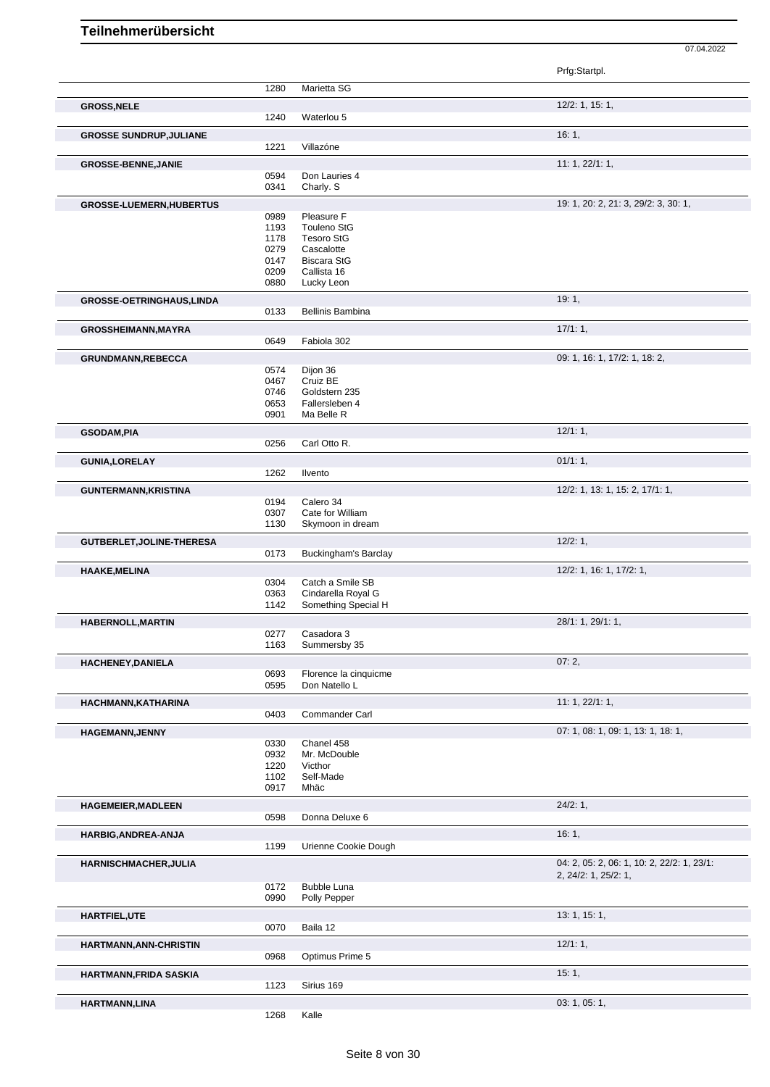|                                 |              |                                         | Prfg:Startpl.                              |
|---------------------------------|--------------|-----------------------------------------|--------------------------------------------|
|                                 | 1280         | Marietta SG                             |                                            |
| <b>GROSS, NELE</b>              |              |                                         | $12/2$ : 1, 15: 1,                         |
|                                 | 1240         | Waterlou 5                              |                                            |
| <b>GROSSE SUNDRUP, JULIANE</b>  |              |                                         | 16:1,                                      |
|                                 | 1221         | Villazóne                               |                                            |
| <b>GROSSE-BENNE, JANIE</b>      |              |                                         | 11: 1, 22/1: 1,                            |
|                                 | 0594         | Don Lauries 4                           |                                            |
|                                 | 0341         | Charly. S                               |                                            |
| <b>GROSSE-LUEMERN, HUBERTUS</b> |              |                                         | 19: 1, 20: 2, 21: 3, 29/2: 3, 30: 1,       |
|                                 | 0989         | Pleasure F                              |                                            |
|                                 | 1193<br>1178 | <b>Touleno StG</b><br><b>Tesoro StG</b> |                                            |
|                                 | 0279         | Cascalotte                              |                                            |
|                                 | 0147         | <b>Biscara StG</b>                      |                                            |
|                                 | 0209         | Callista 16                             |                                            |
|                                 | 0880         | Lucky Leon                              |                                            |
| GROSSE-OETRINGHAUS, LINDA       |              |                                         | 19:1,                                      |
|                                 | 0133         | <b>Bellinis Bambina</b>                 |                                            |
| <b>GROSSHEIMANN, MAYRA</b>      |              |                                         | 17/1:1,                                    |
|                                 | 0649         | Fabiola 302                             |                                            |
| GRUNDMANN, REBECCA              |              |                                         | 09: 1, 16: 1, 17/2: 1, 18: 2,              |
|                                 | 0574         | Dijon 36                                |                                            |
|                                 | 0467<br>0746 | Cruiz BE<br>Goldstern 235               |                                            |
|                                 | 0653         | Fallersleben 4                          |                                            |
|                                 | 0901         | Ma Belle R                              |                                            |
| <b>GSODAM,PIA</b>               |              |                                         | 12/1:1,                                    |
|                                 | 0256         | Carl Otto R.                            |                                            |
| <b>GUNIA, LORELAY</b>           |              |                                         | 01/1:1,                                    |
|                                 | 1262         | Ilvento                                 |                                            |
| <b>GUNTERMANN, KRISTINA</b>     |              |                                         | 12/2: 1, 13: 1, 15: 2, 17/1: 1,            |
|                                 | 0194         | Calero 34                               |                                            |
|                                 | 0307         | Cate for William                        |                                            |
|                                 | 1130         | Skymoon in dream                        |                                            |
| GUTBERLET, JOLINE-THERESA       |              |                                         | 12/2:1,                                    |
|                                 | 0173         | <b>Buckingham's Barclay</b>             |                                            |
| <b>HAAKE, MELINA</b>            |              |                                         | 12/2: 1, 16: 1, 17/2: 1,                   |
|                                 | 0304<br>0363 | Catch a Smile SB<br>Cindarella Royal G  |                                            |
|                                 | 1142         | Something Special H                     |                                            |
| <b>HABERNOLL, MARTIN</b>        |              |                                         | 28/1: 1, 29/1: 1,                          |
|                                 | 0277         | Casadora 3                              |                                            |
|                                 | 1163         | Summersby 35                            |                                            |
| HACHENEY, DANIELA               |              |                                         | 07:2,                                      |
|                                 | 0693         | Florence la cinquicme                   |                                            |
|                                 | 0595         | Don Natello L                           |                                            |
| HACHMANN, KATHARINA             |              |                                         | 11: 1, 22/1: 1,                            |
|                                 |              | Commander Carl                          |                                            |
|                                 | 0403         |                                         |                                            |
| <b>HAGEMANN, JENNY</b>          |              |                                         | 07: 1, 08: 1, 09: 1, 13: 1, 18: 1,         |
|                                 | 0330         | Chanel 458                              |                                            |
|                                 | 0932<br>1220 | Mr. McDouble<br>Victhor                 |                                            |
|                                 | 1102         | Self-Made                               |                                            |
|                                 | 0917         | Mhäc                                    |                                            |
| <b>HAGEMEIER, MADLEEN</b>       |              |                                         | 24/2:1,                                    |
|                                 | 0598         | Donna Deluxe 6                          |                                            |
| HARBIG, ANDREA-ANJA             |              |                                         | 16:1,                                      |
|                                 | 1199         | Urienne Cookie Dough                    |                                            |
| <b>HARNISCHMACHER, JULIA</b>    |              |                                         | 04: 2, 05: 2, 06: 1, 10: 2, 22/2: 1, 23/1: |
|                                 |              |                                         | 2, 24/2: 1, 25/2: 1,                       |
|                                 | 0172<br>0990 | <b>Bubble Luna</b><br>Polly Pepper      |                                            |
|                                 |              |                                         |                                            |
| HARTFIEL, UTE                   | 0070         | Baila 12                                | 13: 1, 15: 1,                              |
|                                 |              |                                         |                                            |
| HARTMANN, ANN-CHRISTIN          |              |                                         | 12/1:1,                                    |
|                                 | 0968         | Optimus Prime 5                         |                                            |
| <b>HARTMANN, FRIDA SASKIA</b>   |              |                                         | 15:1,                                      |
| HARTMANN, LINA                  | 1123         | Sirius 169                              | 03: 1, 05: 1,                              |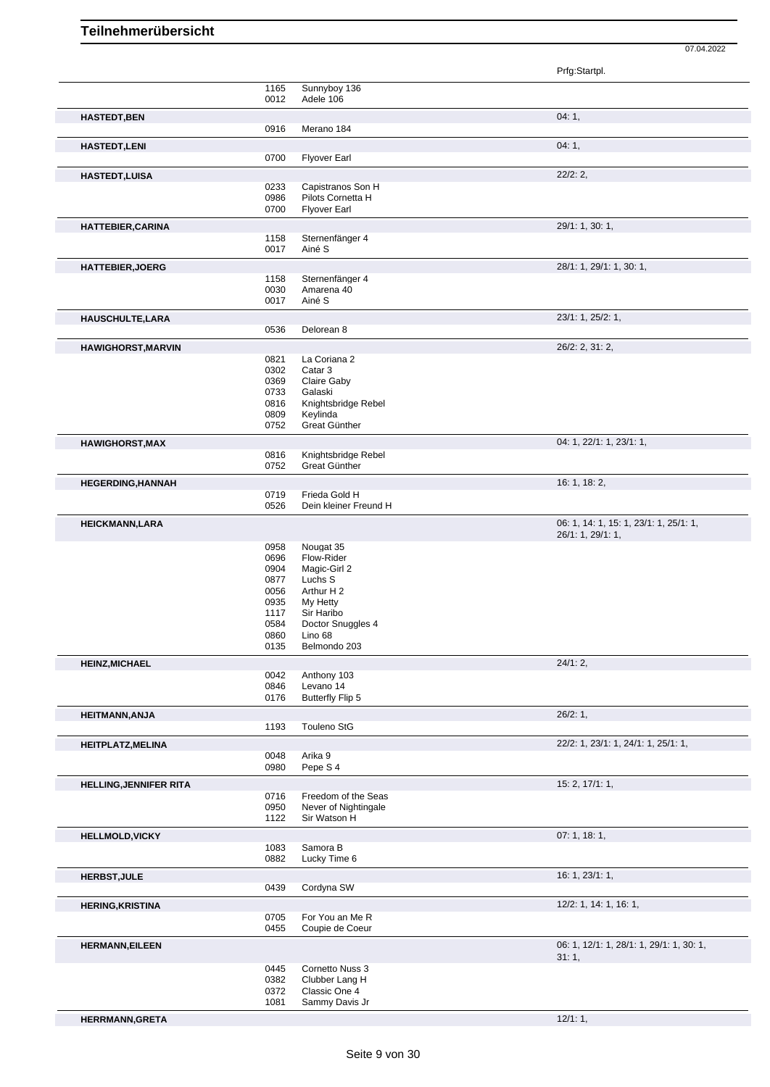| Sunnyboy 136<br>1165<br>0012<br>Adele 106<br>04:1,<br><b>HASTEDT, BEN</b><br>0916<br>Merano 184<br>04:1,<br>0700<br><b>Flyover Earl</b><br>22/2:2,<br>0233<br>Capistranos Son H<br>Pilots Cornetta H<br>0986<br>0700<br><b>Flyover Earl</b><br>29/1: 1, 30: 1,<br>Sternenfänger 4<br>1158<br>0017<br>Ainé S<br>28/1: 1, 29/1: 1, 30: 1,<br>1158<br>Sternenfänger 4<br>0030<br>Amarena 40<br>Ainé S<br>0017<br>23/1: 1, 25/2: 1,<br>HAUSCHULTE, LARA<br>0536<br>Delorean 8<br>26/2: 2, 31: 2,<br><b>HAWIGHORST, MARVIN</b><br>0821<br>La Coriana 2<br>0302<br>Catar 3<br>0369<br>Claire Gaby<br>0733<br>Galaski<br>0816<br>Knightsbridge Rebel<br>0809<br>Keylinda<br>Great Günther<br>0752<br>04: 1, 22/1: 1, 23/1: 1,<br><b>HAWIGHORST, MAX</b><br>0816<br>Knightsbridge Rebel<br>0752<br>Great Günther<br>16: 1, 18: 2,<br><b>HEGERDING, HANNAH</b><br>0719<br>Frieda Gold H<br>Dein kleiner Freund H<br>0526<br>06: 1, 14: 1, 15: 1, 23/1: 1, 25/1: 1,<br><b>HEICKMANN,LARA</b><br>26/1: 1, 29/1: 1,<br>0958<br>Nougat 35<br>Flow-Rider<br>0696<br>0904<br>Magic-Girl 2<br>0877<br>Luchs S<br>0056<br>Arthur H 2<br>0935<br>My Hetty<br>1117<br>Sir Haribo<br>0584<br>Doctor Snuggles 4<br>0860<br>Lino 68<br>Belmondo 203<br>0135<br>24/1:2,<br><b>HEINZ, MICHAEL</b><br>0042<br>Anthony 103<br>0846<br>Levano 14<br>0176<br><b>Butterfly Flip 5</b><br>26/2:1,<br><b>HEITMANN, ANJA</b><br>Touleno StG<br>1193<br>22/2: 1, 23/1: 1, 24/1: 1, 25/1: 1,<br><b>HEITPLATZ, MELINA</b><br>0048<br>Arika 9<br>Pepe S 4<br>0980<br>15: 2, 17/1: 1,<br><b>HELLING, JENNIFER RITA</b><br>Freedom of the Seas<br>0716<br>0950<br>Never of Nightingale<br>Sir Watson H<br>1122<br>07:1, 18:1,<br>1083<br>Samora B<br>Lucky Time 6<br>0882<br>16: 1, 23/1: 1,<br>Cordyna SW<br>0439<br>12/2: 1, 14: 1, 16: 1,<br><b>HERING, KRISTINA</b><br>For You an Me R<br>0705<br>0455<br>Coupie de Coeur<br>06: 1, 12/1: 1, 28/1: 1, 29/1: 1, 30: 1,<br><b>HERMANN, EILEEN</b><br>31:1,<br>0445<br>Cornetto Nuss 3<br>0382<br>Clubber Lang H<br>Classic One 4<br>0372<br>1081<br>Sammy Davis Jr |                          |  | Prfg:Startpl. |
|--------------------------------------------------------------------------------------------------------------------------------------------------------------------------------------------------------------------------------------------------------------------------------------------------------------------------------------------------------------------------------------------------------------------------------------------------------------------------------------------------------------------------------------------------------------------------------------------------------------------------------------------------------------------------------------------------------------------------------------------------------------------------------------------------------------------------------------------------------------------------------------------------------------------------------------------------------------------------------------------------------------------------------------------------------------------------------------------------------------------------------------------------------------------------------------------------------------------------------------------------------------------------------------------------------------------------------------------------------------------------------------------------------------------------------------------------------------------------------------------------------------------------------------------------------------------------------------------------------------------------------------------------------------------------------------------------------------------------------------------------------------------------------------------------------------------------------------------------------------------------------------------------------------------------------------------------------------------------------------------------------------------------------------------------------------------------------|--------------------------|--|---------------|
|                                                                                                                                                                                                                                                                                                                                                                                                                                                                                                                                                                                                                                                                                                                                                                                                                                                                                                                                                                                                                                                                                                                                                                                                                                                                                                                                                                                                                                                                                                                                                                                                                                                                                                                                                                                                                                                                                                                                                                                                                                                                                |                          |  |               |
|                                                                                                                                                                                                                                                                                                                                                                                                                                                                                                                                                                                                                                                                                                                                                                                                                                                                                                                                                                                                                                                                                                                                                                                                                                                                                                                                                                                                                                                                                                                                                                                                                                                                                                                                                                                                                                                                                                                                                                                                                                                                                |                          |  |               |
|                                                                                                                                                                                                                                                                                                                                                                                                                                                                                                                                                                                                                                                                                                                                                                                                                                                                                                                                                                                                                                                                                                                                                                                                                                                                                                                                                                                                                                                                                                                                                                                                                                                                                                                                                                                                                                                                                                                                                                                                                                                                                |                          |  |               |
|                                                                                                                                                                                                                                                                                                                                                                                                                                                                                                                                                                                                                                                                                                                                                                                                                                                                                                                                                                                                                                                                                                                                                                                                                                                                                                                                                                                                                                                                                                                                                                                                                                                                                                                                                                                                                                                                                                                                                                                                                                                                                | <b>HASTEDT,LENI</b>      |  |               |
|                                                                                                                                                                                                                                                                                                                                                                                                                                                                                                                                                                                                                                                                                                                                                                                                                                                                                                                                                                                                                                                                                                                                                                                                                                                                                                                                                                                                                                                                                                                                                                                                                                                                                                                                                                                                                                                                                                                                                                                                                                                                                |                          |  |               |
|                                                                                                                                                                                                                                                                                                                                                                                                                                                                                                                                                                                                                                                                                                                                                                                                                                                                                                                                                                                                                                                                                                                                                                                                                                                                                                                                                                                                                                                                                                                                                                                                                                                                                                                                                                                                                                                                                                                                                                                                                                                                                | <b>HASTEDT,LUISA</b>     |  |               |
|                                                                                                                                                                                                                                                                                                                                                                                                                                                                                                                                                                                                                                                                                                                                                                                                                                                                                                                                                                                                                                                                                                                                                                                                                                                                                                                                                                                                                                                                                                                                                                                                                                                                                                                                                                                                                                                                                                                                                                                                                                                                                |                          |  |               |
|                                                                                                                                                                                                                                                                                                                                                                                                                                                                                                                                                                                                                                                                                                                                                                                                                                                                                                                                                                                                                                                                                                                                                                                                                                                                                                                                                                                                                                                                                                                                                                                                                                                                                                                                                                                                                                                                                                                                                                                                                                                                                |                          |  |               |
|                                                                                                                                                                                                                                                                                                                                                                                                                                                                                                                                                                                                                                                                                                                                                                                                                                                                                                                                                                                                                                                                                                                                                                                                                                                                                                                                                                                                                                                                                                                                                                                                                                                                                                                                                                                                                                                                                                                                                                                                                                                                                |                          |  |               |
|                                                                                                                                                                                                                                                                                                                                                                                                                                                                                                                                                                                                                                                                                                                                                                                                                                                                                                                                                                                                                                                                                                                                                                                                                                                                                                                                                                                                                                                                                                                                                                                                                                                                                                                                                                                                                                                                                                                                                                                                                                                                                | <b>HATTEBIER, CARINA</b> |  |               |
|                                                                                                                                                                                                                                                                                                                                                                                                                                                                                                                                                                                                                                                                                                                                                                                                                                                                                                                                                                                                                                                                                                                                                                                                                                                                                                                                                                                                                                                                                                                                                                                                                                                                                                                                                                                                                                                                                                                                                                                                                                                                                |                          |  |               |
|                                                                                                                                                                                                                                                                                                                                                                                                                                                                                                                                                                                                                                                                                                                                                                                                                                                                                                                                                                                                                                                                                                                                                                                                                                                                                                                                                                                                                                                                                                                                                                                                                                                                                                                                                                                                                                                                                                                                                                                                                                                                                |                          |  |               |
|                                                                                                                                                                                                                                                                                                                                                                                                                                                                                                                                                                                                                                                                                                                                                                                                                                                                                                                                                                                                                                                                                                                                                                                                                                                                                                                                                                                                                                                                                                                                                                                                                                                                                                                                                                                                                                                                                                                                                                                                                                                                                | <b>HATTEBIER, JOERG</b>  |  |               |
|                                                                                                                                                                                                                                                                                                                                                                                                                                                                                                                                                                                                                                                                                                                                                                                                                                                                                                                                                                                                                                                                                                                                                                                                                                                                                                                                                                                                                                                                                                                                                                                                                                                                                                                                                                                                                                                                                                                                                                                                                                                                                |                          |  |               |
|                                                                                                                                                                                                                                                                                                                                                                                                                                                                                                                                                                                                                                                                                                                                                                                                                                                                                                                                                                                                                                                                                                                                                                                                                                                                                                                                                                                                                                                                                                                                                                                                                                                                                                                                                                                                                                                                                                                                                                                                                                                                                |                          |  |               |
|                                                                                                                                                                                                                                                                                                                                                                                                                                                                                                                                                                                                                                                                                                                                                                                                                                                                                                                                                                                                                                                                                                                                                                                                                                                                                                                                                                                                                                                                                                                                                                                                                                                                                                                                                                                                                                                                                                                                                                                                                                                                                |                          |  |               |
|                                                                                                                                                                                                                                                                                                                                                                                                                                                                                                                                                                                                                                                                                                                                                                                                                                                                                                                                                                                                                                                                                                                                                                                                                                                                                                                                                                                                                                                                                                                                                                                                                                                                                                                                                                                                                                                                                                                                                                                                                                                                                |                          |  |               |
|                                                                                                                                                                                                                                                                                                                                                                                                                                                                                                                                                                                                                                                                                                                                                                                                                                                                                                                                                                                                                                                                                                                                                                                                                                                                                                                                                                                                                                                                                                                                                                                                                                                                                                                                                                                                                                                                                                                                                                                                                                                                                |                          |  |               |
|                                                                                                                                                                                                                                                                                                                                                                                                                                                                                                                                                                                                                                                                                                                                                                                                                                                                                                                                                                                                                                                                                                                                                                                                                                                                                                                                                                                                                                                                                                                                                                                                                                                                                                                                                                                                                                                                                                                                                                                                                                                                                |                          |  |               |
|                                                                                                                                                                                                                                                                                                                                                                                                                                                                                                                                                                                                                                                                                                                                                                                                                                                                                                                                                                                                                                                                                                                                                                                                                                                                                                                                                                                                                                                                                                                                                                                                                                                                                                                                                                                                                                                                                                                                                                                                                                                                                |                          |  |               |
|                                                                                                                                                                                                                                                                                                                                                                                                                                                                                                                                                                                                                                                                                                                                                                                                                                                                                                                                                                                                                                                                                                                                                                                                                                                                                                                                                                                                                                                                                                                                                                                                                                                                                                                                                                                                                                                                                                                                                                                                                                                                                |                          |  |               |
|                                                                                                                                                                                                                                                                                                                                                                                                                                                                                                                                                                                                                                                                                                                                                                                                                                                                                                                                                                                                                                                                                                                                                                                                                                                                                                                                                                                                                                                                                                                                                                                                                                                                                                                                                                                                                                                                                                                                                                                                                                                                                |                          |  |               |
|                                                                                                                                                                                                                                                                                                                                                                                                                                                                                                                                                                                                                                                                                                                                                                                                                                                                                                                                                                                                                                                                                                                                                                                                                                                                                                                                                                                                                                                                                                                                                                                                                                                                                                                                                                                                                                                                                                                                                                                                                                                                                |                          |  |               |
|                                                                                                                                                                                                                                                                                                                                                                                                                                                                                                                                                                                                                                                                                                                                                                                                                                                                                                                                                                                                                                                                                                                                                                                                                                                                                                                                                                                                                                                                                                                                                                                                                                                                                                                                                                                                                                                                                                                                                                                                                                                                                |                          |  |               |
|                                                                                                                                                                                                                                                                                                                                                                                                                                                                                                                                                                                                                                                                                                                                                                                                                                                                                                                                                                                                                                                                                                                                                                                                                                                                                                                                                                                                                                                                                                                                                                                                                                                                                                                                                                                                                                                                                                                                                                                                                                                                                |                          |  |               |
|                                                                                                                                                                                                                                                                                                                                                                                                                                                                                                                                                                                                                                                                                                                                                                                                                                                                                                                                                                                                                                                                                                                                                                                                                                                                                                                                                                                                                                                                                                                                                                                                                                                                                                                                                                                                                                                                                                                                                                                                                                                                                |                          |  |               |
|                                                                                                                                                                                                                                                                                                                                                                                                                                                                                                                                                                                                                                                                                                                                                                                                                                                                                                                                                                                                                                                                                                                                                                                                                                                                                                                                                                                                                                                                                                                                                                                                                                                                                                                                                                                                                                                                                                                                                                                                                                                                                |                          |  |               |
|                                                                                                                                                                                                                                                                                                                                                                                                                                                                                                                                                                                                                                                                                                                                                                                                                                                                                                                                                                                                                                                                                                                                                                                                                                                                                                                                                                                                                                                                                                                                                                                                                                                                                                                                                                                                                                                                                                                                                                                                                                                                                |                          |  |               |
|                                                                                                                                                                                                                                                                                                                                                                                                                                                                                                                                                                                                                                                                                                                                                                                                                                                                                                                                                                                                                                                                                                                                                                                                                                                                                                                                                                                                                                                                                                                                                                                                                                                                                                                                                                                                                                                                                                                                                                                                                                                                                |                          |  |               |
|                                                                                                                                                                                                                                                                                                                                                                                                                                                                                                                                                                                                                                                                                                                                                                                                                                                                                                                                                                                                                                                                                                                                                                                                                                                                                                                                                                                                                                                                                                                                                                                                                                                                                                                                                                                                                                                                                                                                                                                                                                                                                |                          |  |               |
|                                                                                                                                                                                                                                                                                                                                                                                                                                                                                                                                                                                                                                                                                                                                                                                                                                                                                                                                                                                                                                                                                                                                                                                                                                                                                                                                                                                                                                                                                                                                                                                                                                                                                                                                                                                                                                                                                                                                                                                                                                                                                |                          |  |               |
|                                                                                                                                                                                                                                                                                                                                                                                                                                                                                                                                                                                                                                                                                                                                                                                                                                                                                                                                                                                                                                                                                                                                                                                                                                                                                                                                                                                                                                                                                                                                                                                                                                                                                                                                                                                                                                                                                                                                                                                                                                                                                |                          |  |               |
|                                                                                                                                                                                                                                                                                                                                                                                                                                                                                                                                                                                                                                                                                                                                                                                                                                                                                                                                                                                                                                                                                                                                                                                                                                                                                                                                                                                                                                                                                                                                                                                                                                                                                                                                                                                                                                                                                                                                                                                                                                                                                |                          |  |               |
|                                                                                                                                                                                                                                                                                                                                                                                                                                                                                                                                                                                                                                                                                                                                                                                                                                                                                                                                                                                                                                                                                                                                                                                                                                                                                                                                                                                                                                                                                                                                                                                                                                                                                                                                                                                                                                                                                                                                                                                                                                                                                |                          |  |               |
|                                                                                                                                                                                                                                                                                                                                                                                                                                                                                                                                                                                                                                                                                                                                                                                                                                                                                                                                                                                                                                                                                                                                                                                                                                                                                                                                                                                                                                                                                                                                                                                                                                                                                                                                                                                                                                                                                                                                                                                                                                                                                |                          |  |               |
|                                                                                                                                                                                                                                                                                                                                                                                                                                                                                                                                                                                                                                                                                                                                                                                                                                                                                                                                                                                                                                                                                                                                                                                                                                                                                                                                                                                                                                                                                                                                                                                                                                                                                                                                                                                                                                                                                                                                                                                                                                                                                |                          |  |               |
|                                                                                                                                                                                                                                                                                                                                                                                                                                                                                                                                                                                                                                                                                                                                                                                                                                                                                                                                                                                                                                                                                                                                                                                                                                                                                                                                                                                                                                                                                                                                                                                                                                                                                                                                                                                                                                                                                                                                                                                                                                                                                |                          |  |               |
|                                                                                                                                                                                                                                                                                                                                                                                                                                                                                                                                                                                                                                                                                                                                                                                                                                                                                                                                                                                                                                                                                                                                                                                                                                                                                                                                                                                                                                                                                                                                                                                                                                                                                                                                                                                                                                                                                                                                                                                                                                                                                |                          |  |               |
|                                                                                                                                                                                                                                                                                                                                                                                                                                                                                                                                                                                                                                                                                                                                                                                                                                                                                                                                                                                                                                                                                                                                                                                                                                                                                                                                                                                                                                                                                                                                                                                                                                                                                                                                                                                                                                                                                                                                                                                                                                                                                |                          |  |               |
|                                                                                                                                                                                                                                                                                                                                                                                                                                                                                                                                                                                                                                                                                                                                                                                                                                                                                                                                                                                                                                                                                                                                                                                                                                                                                                                                                                                                                                                                                                                                                                                                                                                                                                                                                                                                                                                                                                                                                                                                                                                                                |                          |  |               |
|                                                                                                                                                                                                                                                                                                                                                                                                                                                                                                                                                                                                                                                                                                                                                                                                                                                                                                                                                                                                                                                                                                                                                                                                                                                                                                                                                                                                                                                                                                                                                                                                                                                                                                                                                                                                                                                                                                                                                                                                                                                                                |                          |  |               |
|                                                                                                                                                                                                                                                                                                                                                                                                                                                                                                                                                                                                                                                                                                                                                                                                                                                                                                                                                                                                                                                                                                                                                                                                                                                                                                                                                                                                                                                                                                                                                                                                                                                                                                                                                                                                                                                                                                                                                                                                                                                                                |                          |  |               |
|                                                                                                                                                                                                                                                                                                                                                                                                                                                                                                                                                                                                                                                                                                                                                                                                                                                                                                                                                                                                                                                                                                                                                                                                                                                                                                                                                                                                                                                                                                                                                                                                                                                                                                                                                                                                                                                                                                                                                                                                                                                                                |                          |  |               |
|                                                                                                                                                                                                                                                                                                                                                                                                                                                                                                                                                                                                                                                                                                                                                                                                                                                                                                                                                                                                                                                                                                                                                                                                                                                                                                                                                                                                                                                                                                                                                                                                                                                                                                                                                                                                                                                                                                                                                                                                                                                                                |                          |  |               |
|                                                                                                                                                                                                                                                                                                                                                                                                                                                                                                                                                                                                                                                                                                                                                                                                                                                                                                                                                                                                                                                                                                                                                                                                                                                                                                                                                                                                                                                                                                                                                                                                                                                                                                                                                                                                                                                                                                                                                                                                                                                                                |                          |  |               |
|                                                                                                                                                                                                                                                                                                                                                                                                                                                                                                                                                                                                                                                                                                                                                                                                                                                                                                                                                                                                                                                                                                                                                                                                                                                                                                                                                                                                                                                                                                                                                                                                                                                                                                                                                                                                                                                                                                                                                                                                                                                                                |                          |  |               |
|                                                                                                                                                                                                                                                                                                                                                                                                                                                                                                                                                                                                                                                                                                                                                                                                                                                                                                                                                                                                                                                                                                                                                                                                                                                                                                                                                                                                                                                                                                                                                                                                                                                                                                                                                                                                                                                                                                                                                                                                                                                                                |                          |  |               |
|                                                                                                                                                                                                                                                                                                                                                                                                                                                                                                                                                                                                                                                                                                                                                                                                                                                                                                                                                                                                                                                                                                                                                                                                                                                                                                                                                                                                                                                                                                                                                                                                                                                                                                                                                                                                                                                                                                                                                                                                                                                                                |                          |  |               |
|                                                                                                                                                                                                                                                                                                                                                                                                                                                                                                                                                                                                                                                                                                                                                                                                                                                                                                                                                                                                                                                                                                                                                                                                                                                                                                                                                                                                                                                                                                                                                                                                                                                                                                                                                                                                                                                                                                                                                                                                                                                                                |                          |  |               |
|                                                                                                                                                                                                                                                                                                                                                                                                                                                                                                                                                                                                                                                                                                                                                                                                                                                                                                                                                                                                                                                                                                                                                                                                                                                                                                                                                                                                                                                                                                                                                                                                                                                                                                                                                                                                                                                                                                                                                                                                                                                                                |                          |  |               |
|                                                                                                                                                                                                                                                                                                                                                                                                                                                                                                                                                                                                                                                                                                                                                                                                                                                                                                                                                                                                                                                                                                                                                                                                                                                                                                                                                                                                                                                                                                                                                                                                                                                                                                                                                                                                                                                                                                                                                                                                                                                                                |                          |  |               |
|                                                                                                                                                                                                                                                                                                                                                                                                                                                                                                                                                                                                                                                                                                                                                                                                                                                                                                                                                                                                                                                                                                                                                                                                                                                                                                                                                                                                                                                                                                                                                                                                                                                                                                                                                                                                                                                                                                                                                                                                                                                                                |                          |  |               |
|                                                                                                                                                                                                                                                                                                                                                                                                                                                                                                                                                                                                                                                                                                                                                                                                                                                                                                                                                                                                                                                                                                                                                                                                                                                                                                                                                                                                                                                                                                                                                                                                                                                                                                                                                                                                                                                                                                                                                                                                                                                                                |                          |  |               |
|                                                                                                                                                                                                                                                                                                                                                                                                                                                                                                                                                                                                                                                                                                                                                                                                                                                                                                                                                                                                                                                                                                                                                                                                                                                                                                                                                                                                                                                                                                                                                                                                                                                                                                                                                                                                                                                                                                                                                                                                                                                                                | <b>HELLMOLD, VICKY</b>   |  |               |
|                                                                                                                                                                                                                                                                                                                                                                                                                                                                                                                                                                                                                                                                                                                                                                                                                                                                                                                                                                                                                                                                                                                                                                                                                                                                                                                                                                                                                                                                                                                                                                                                                                                                                                                                                                                                                                                                                                                                                                                                                                                                                |                          |  |               |
|                                                                                                                                                                                                                                                                                                                                                                                                                                                                                                                                                                                                                                                                                                                                                                                                                                                                                                                                                                                                                                                                                                                                                                                                                                                                                                                                                                                                                                                                                                                                                                                                                                                                                                                                                                                                                                                                                                                                                                                                                                                                                |                          |  |               |
|                                                                                                                                                                                                                                                                                                                                                                                                                                                                                                                                                                                                                                                                                                                                                                                                                                                                                                                                                                                                                                                                                                                                                                                                                                                                                                                                                                                                                                                                                                                                                                                                                                                                                                                                                                                                                                                                                                                                                                                                                                                                                | <b>HERBST, JULE</b>      |  |               |
|                                                                                                                                                                                                                                                                                                                                                                                                                                                                                                                                                                                                                                                                                                                                                                                                                                                                                                                                                                                                                                                                                                                                                                                                                                                                                                                                                                                                                                                                                                                                                                                                                                                                                                                                                                                                                                                                                                                                                                                                                                                                                |                          |  |               |
|                                                                                                                                                                                                                                                                                                                                                                                                                                                                                                                                                                                                                                                                                                                                                                                                                                                                                                                                                                                                                                                                                                                                                                                                                                                                                                                                                                                                                                                                                                                                                                                                                                                                                                                                                                                                                                                                                                                                                                                                                                                                                |                          |  |               |
|                                                                                                                                                                                                                                                                                                                                                                                                                                                                                                                                                                                                                                                                                                                                                                                                                                                                                                                                                                                                                                                                                                                                                                                                                                                                                                                                                                                                                                                                                                                                                                                                                                                                                                                                                                                                                                                                                                                                                                                                                                                                                |                          |  |               |
|                                                                                                                                                                                                                                                                                                                                                                                                                                                                                                                                                                                                                                                                                                                                                                                                                                                                                                                                                                                                                                                                                                                                                                                                                                                                                                                                                                                                                                                                                                                                                                                                                                                                                                                                                                                                                                                                                                                                                                                                                                                                                |                          |  |               |
|                                                                                                                                                                                                                                                                                                                                                                                                                                                                                                                                                                                                                                                                                                                                                                                                                                                                                                                                                                                                                                                                                                                                                                                                                                                                                                                                                                                                                                                                                                                                                                                                                                                                                                                                                                                                                                                                                                                                                                                                                                                                                |                          |  |               |
|                                                                                                                                                                                                                                                                                                                                                                                                                                                                                                                                                                                                                                                                                                                                                                                                                                                                                                                                                                                                                                                                                                                                                                                                                                                                                                                                                                                                                                                                                                                                                                                                                                                                                                                                                                                                                                                                                                                                                                                                                                                                                |                          |  |               |
|                                                                                                                                                                                                                                                                                                                                                                                                                                                                                                                                                                                                                                                                                                                                                                                                                                                                                                                                                                                                                                                                                                                                                                                                                                                                                                                                                                                                                                                                                                                                                                                                                                                                                                                                                                                                                                                                                                                                                                                                                                                                                |                          |  |               |
|                                                                                                                                                                                                                                                                                                                                                                                                                                                                                                                                                                                                                                                                                                                                                                                                                                                                                                                                                                                                                                                                                                                                                                                                                                                                                                                                                                                                                                                                                                                                                                                                                                                                                                                                                                                                                                                                                                                                                                                                                                                                                |                          |  |               |
|                                                                                                                                                                                                                                                                                                                                                                                                                                                                                                                                                                                                                                                                                                                                                                                                                                                                                                                                                                                                                                                                                                                                                                                                                                                                                                                                                                                                                                                                                                                                                                                                                                                                                                                                                                                                                                                                                                                                                                                                                                                                                |                          |  |               |
|                                                                                                                                                                                                                                                                                                                                                                                                                                                                                                                                                                                                                                                                                                                                                                                                                                                                                                                                                                                                                                                                                                                                                                                                                                                                                                                                                                                                                                                                                                                                                                                                                                                                                                                                                                                                                                                                                                                                                                                                                                                                                | <b>HERRMANN, GRETA</b>   |  | 12/1:1,       |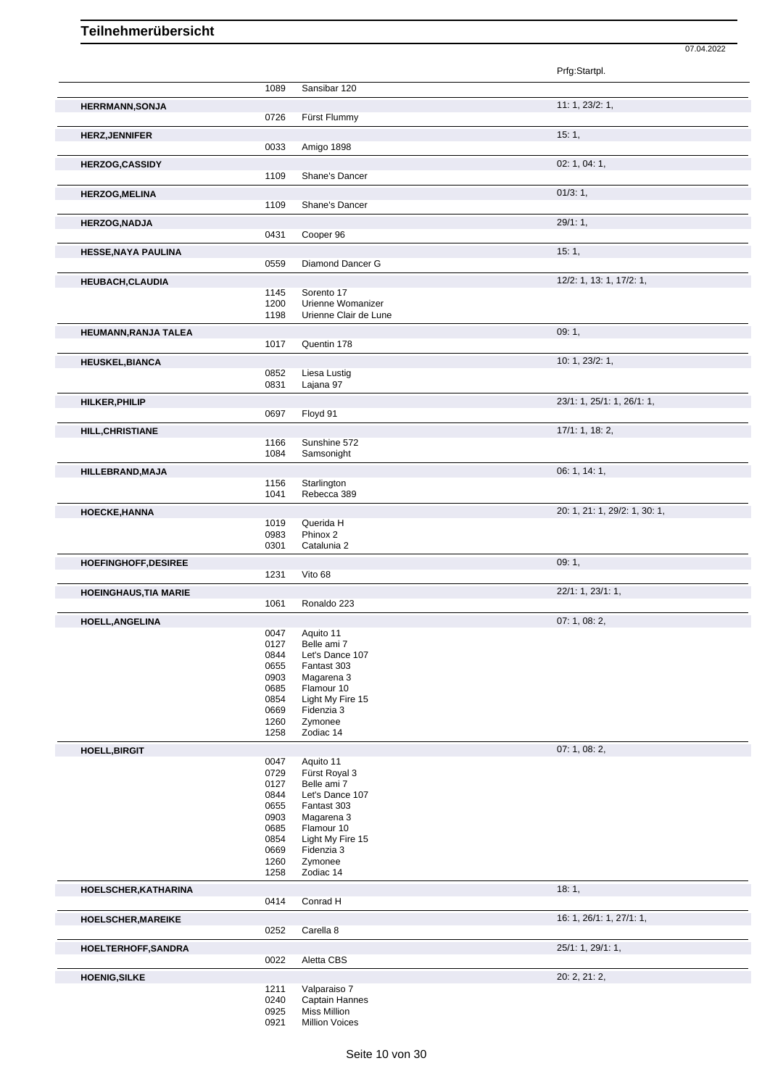|                              |              |                                | 07.04.2022                    |
|------------------------------|--------------|--------------------------------|-------------------------------|
|                              |              |                                | Prfg:Startpl.                 |
|                              | 1089         | Sansibar 120                   |                               |
|                              |              |                                | 11: 1, 23/2: 1,               |
| <b>HERRMANN, SONJA</b>       | 0726         | Fürst Flummy                   |                               |
| <b>HERZ, JENNIFER</b>        |              |                                | 15:1,                         |
|                              | 0033         | Amigo 1898                     |                               |
| <b>HERZOG,CASSIDY</b>        |              |                                | 02: 1, 04: 1,                 |
|                              | 1109         | Shane's Dancer                 |                               |
| <b>HERZOG, MELINA</b>        |              |                                | 01/3:1,                       |
|                              | 1109         | Shane's Dancer                 |                               |
| <b>HERZOG, NADJA</b>         |              |                                | 29/1:1,                       |
|                              | 0431         | Cooper 96                      |                               |
| HESSE, NAYA PAULINA          | 0559         | Diamond Dancer G               | 15:1,                         |
|                              |              |                                |                               |
| <b>HEUBACH, CLAUDIA</b>      | 1145         | Sorento 17                     | 12/2: 1, 13: 1, 17/2: 1,      |
|                              | 1200         | Urienne Womanizer              |                               |
|                              | 1198         | Urienne Clair de Lune          |                               |
| HEUMANN, RANJA TALEA         |              |                                | 09:1,                         |
|                              | 1017         | Quentin 178                    |                               |
| <b>HEUSKEL, BIANCA</b>       | 0852         | Liesa Lustig                   | 10: 1, 23/2: 1,               |
|                              | 0831         | Lajana 97                      |                               |
| HILKER, PHILIP               |              |                                | 23/1: 1, 25/1: 1, 26/1: 1,    |
|                              | 0697         | Floyd 91                       |                               |
| <b>HILL, CHRISTIANE</b>      |              |                                | 17/1: 1, 18: 2,               |
|                              | 1166         | Sunshine 572                   |                               |
|                              | 1084         | Samsonight                     |                               |
| HILLEBRAND, MAJA             | 1156         | Starlington                    | 06: 1, 14: 1,                 |
|                              | 1041         | Rebecca 389                    |                               |
| HOECKE, HANNA                |              |                                | 20: 1, 21: 1, 29/2: 1, 30: 1, |
|                              | 1019         | Querida H                      |                               |
|                              | 0983<br>0301 | Phinox 2<br>Catalunia 2        |                               |
| HOEFINGHOFF, DESIREE         |              |                                | 09:1,                         |
|                              | 1231         | Vito 68                        |                               |
| <b>HOEINGHAUS, TIA MARIE</b> |              |                                | 22/1: 1, 23/1: 1,             |
|                              | 1061         | Ronaldo 223                    |                               |
| HOELL, ANGELINA              |              |                                | 07: 1, 08: 2,                 |
|                              | 0047<br>0127 | Aquito 11<br>Belle ami 7       |                               |
|                              | 0844         | Let's Dance 107                |                               |
|                              | 0655         | Fantast 303                    |                               |
|                              | 0903<br>0685 | Magarena 3<br>Flamour 10       |                               |
|                              | 0854         | Light My Fire 15               |                               |
|                              | 0669<br>1260 | Fidenzia 3<br>Zymonee          |                               |
|                              | 1258         | Zodiac 14                      |                               |
| <b>HOELL, BIRGIT</b>         |              |                                | 07: 1, 08: 2,                 |
|                              | 0047         | Aquito 11                      |                               |
|                              | 0729<br>0127 | Fürst Royal 3<br>Belle ami 7   |                               |
|                              | 0844         | Let's Dance 107                |                               |
|                              | 0655         | Fantast 303                    |                               |
|                              | 0903<br>0685 | Magarena 3<br>Flamour 10       |                               |
|                              | 0854         | Light My Fire 15               |                               |
|                              | 0669<br>1260 | Fidenzia 3<br>Zymonee          |                               |
|                              | 1258         | Zodiac 14                      |                               |
| HOELSCHER, KATHARINA         |              |                                | 18:1,                         |
|                              | 0414         | Conrad H                       |                               |
| HOELSCHER, MAREIKE           |              |                                | 16: 1, 26/1: 1, 27/1: 1,      |
|                              | 0252         | Carella 8                      |                               |
| HOELTERHOFF, SANDRA          |              |                                | 25/1: 1, 29/1: 1,             |
|                              | 0022         | Aletta CBS                     |                               |
| <b>HOENIG, SILKE</b>         |              |                                | 20: 2, 21: 2,                 |
|                              | 1211<br>0240 | Valparaiso 7<br>Captain Hannes |                               |
|                              | 0925         | <b>Miss Million</b>            |                               |

Million Voices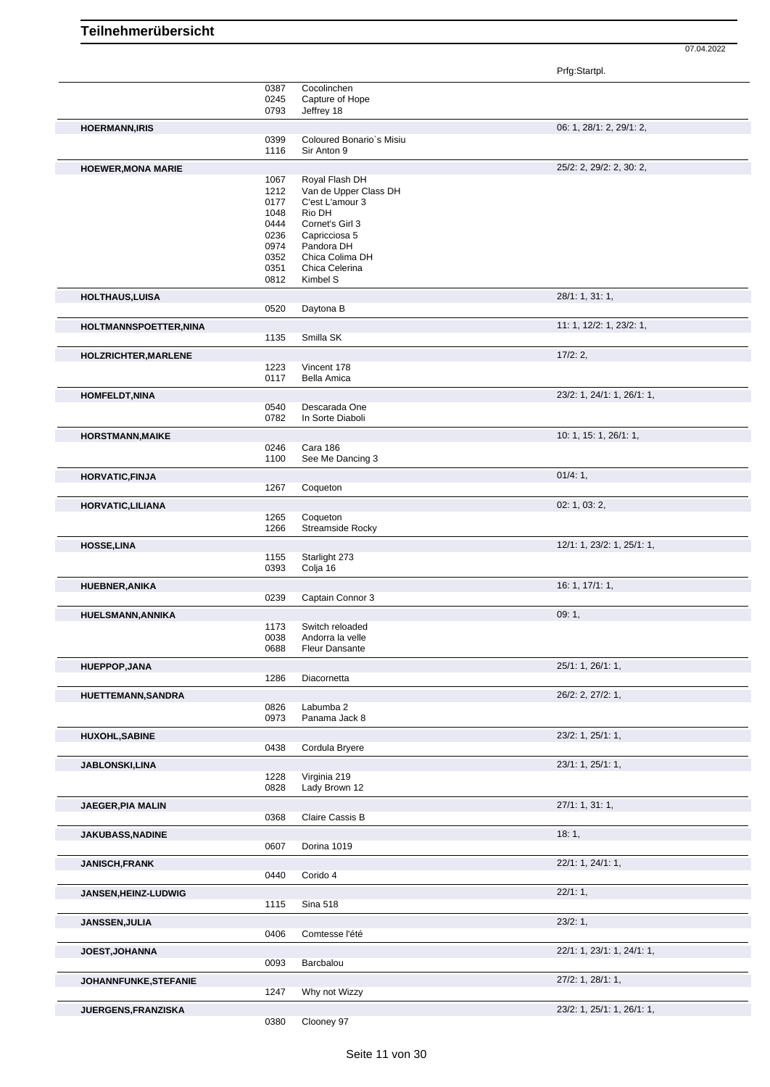Prfg:Startpl.

|                             | 0387 | Cocolinchen              |                            |
|-----------------------------|------|--------------------------|----------------------------|
|                             | 0245 | Capture of Hope          |                            |
|                             | 0793 | Jeffrey 18               |                            |
|                             |      |                          |                            |
| <b>HOERMANN, IRIS</b>       |      |                          | 06: 1, 28/1: 2, 29/1: 2,   |
|                             | 0399 | Coloured Bonario's Misiu |                            |
|                             | 1116 | Sir Anton 9              |                            |
| <b>HOEWER, MONA MARIE</b>   |      |                          | 25/2: 2, 29/2: 2, 30: 2,   |
|                             |      |                          |                            |
|                             | 1067 | Royal Flash DH           |                            |
|                             | 1212 | Van de Upper Class DH    |                            |
|                             | 0177 | C'est L'amour 3          |                            |
|                             | 1048 | Rio DH                   |                            |
|                             | 0444 | Cornet's Girl 3          |                            |
|                             | 0236 | Capricciosa 5            |                            |
|                             | 0974 | Pandora DH               |                            |
|                             | 0352 | Chica Colima DH          |                            |
|                             | 0351 | Chica Celerina           |                            |
|                             | 0812 | Kimbel S                 |                            |
| <b>HOLTHAUS, LUISA</b>      |      |                          | 28/1: 1, 31: 1,            |
|                             |      |                          |                            |
|                             | 0520 | Daytona B                |                            |
| HOLTMANNSPOETTER, NINA      |      |                          | 11: 1, 12/2: 1, 23/2: 1,   |
|                             | 1135 | Smilla SK                |                            |
|                             |      |                          |                            |
| HOLZRICHTER, MARLENE        |      |                          | 17/2:2,                    |
|                             | 1223 | Vincent 178              |                            |
|                             | 0117 | <b>Bella Amica</b>       |                            |
|                             |      |                          |                            |
| <b>HOMFELDT, NINA</b>       |      |                          | 23/2: 1, 24/1: 1, 26/1: 1, |
|                             | 0540 | Descarada One            |                            |
|                             | 0782 | In Sorte Diaboli         |                            |
|                             |      |                          | 10: 1, 15: 1, 26/1: 1,     |
| <b>HORSTMANN, MAIKE</b>     |      |                          |                            |
|                             | 0246 | Cara 186                 |                            |
|                             | 1100 | See Me Dancing 3         |                            |
| <b>HORVATIC, FINJA</b>      |      |                          | 01/4:1,                    |
|                             | 1267 | Coqueton                 |                            |
|                             |      |                          |                            |
| HORVATIC, LILIANA           |      |                          | 02: 1, 03: 2,              |
|                             | 1265 | Coqueton                 |                            |
|                             | 1266 | <b>Streamside Rocky</b>  |                            |
|                             |      |                          | 12/1: 1, 23/2: 1, 25/1: 1, |
| <b>HOSSE,LINA</b>           |      |                          |                            |
|                             | 1155 | Starlight 273            |                            |
|                             | 0393 | Colja 16                 |                            |
| HUEBNER, ANIKA              |      |                          | 16: 1, 17/1: 1,            |
|                             | 0239 | Captain Connor 3         |                            |
|                             |      |                          |                            |
| HUELSMANN, ANNIKA           |      |                          | 09:1,                      |
|                             | 1173 | Switch reloaded          |                            |
|                             | 0038 | Andorra la velle         |                            |
|                             | 0688 | <b>Fleur Dansante</b>    |                            |
|                             |      |                          |                            |
| <b>HUEPPOP,JANA</b>         |      |                          | 25/1: 1, 26/1: 1,          |
|                             | 1286 | Diacornetta              |                            |
| <b>HUETTEMANN, SANDRA</b>   |      |                          | 26/2: 2, 27/2: 1,          |
|                             | 0826 | Labumba 2                |                            |
|                             | 0973 | Panama Jack 8            |                            |
|                             |      |                          |                            |
| <b>HUXOHL, SABINE</b>       |      |                          | 23/2: 1, 25/1: 1,          |
|                             | 0438 | Cordula Bryere           |                            |
|                             |      |                          |                            |
| <b>JABLONSKI,LINA</b>       |      |                          | 23/1: 1, 25/1: 1,          |
|                             | 1228 | Virginia 219             |                            |
|                             | 0828 | Lady Brown 12            |                            |
|                             |      |                          | 27/1: 1, 31: 1,            |
| <b>JAEGER, PIA MALIN</b>    |      |                          |                            |
|                             | 0368 | Claire Cassis B          |                            |
| <b>JAKUBASS, NADINE</b>     |      |                          | 18:1,                      |
|                             | 0607 | Dorina 1019              |                            |
|                             |      |                          |                            |
| <b>JANISCH,FRANK</b>        |      |                          | 22/1: 1, 24/1: 1,          |
|                             | 0440 | Corido 4                 |                            |
|                             |      |                          |                            |
| <b>JANSEN, HEINZ-LUDWIG</b> |      |                          | 22/1:1,                    |
|                             | 1115 | <b>Sina 518</b>          |                            |
|                             |      |                          | 23/2:1,                    |
| JANSSEN, JULIA              |      |                          |                            |
|                             | 0406 | Comtesse l'été           |                            |
| <b>JOEST, JOHANNA</b>       |      |                          | 22/1: 1, 23/1: 1, 24/1: 1, |
|                             | 0093 | Barcbalou                |                            |
|                             |      |                          |                            |
| JOHANNFUNKE, STEFANIE       |      |                          | 27/2: 1, 28/1: 1,          |
|                             | 1247 | Why not Wizzy            |                            |
|                             |      |                          |                            |
| JUERGENS,FRANZISKA          |      | Clooney 97               | 23/2: 1, 25/1: 1, 26/1: 1, |
|                             | 0380 |                          |                            |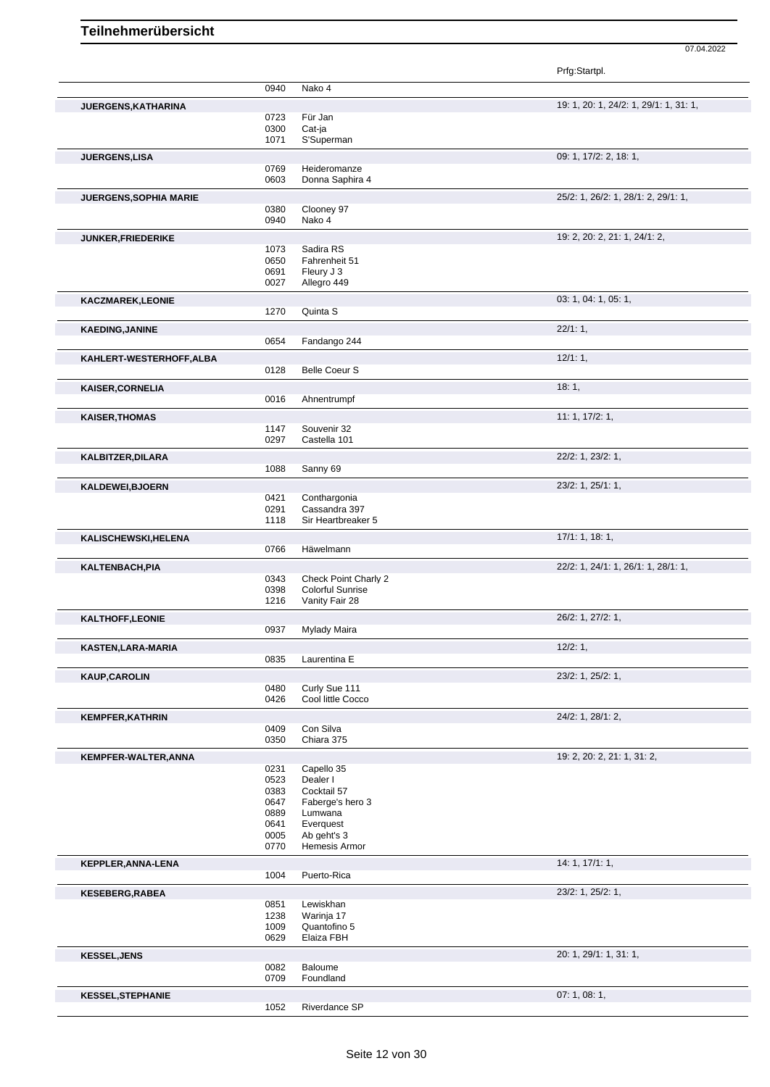| Prfg:Startpl. |
|---------------|
|---------------|

|                            | 0940         | Nako 4                                          |                                        |
|----------------------------|--------------|-------------------------------------------------|----------------------------------------|
|                            |              |                                                 | 19: 1, 20: 1, 24/2: 1, 29/1: 1, 31: 1, |
| <b>JUERGENS, KATHARINA</b> | 0723         | Für Jan                                         |                                        |
|                            | 0300         | Cat-ja                                          |                                        |
|                            | 1071         | S'Superman                                      |                                        |
| JUERGENS,LISA              |              |                                                 | 09: 1, 17/2: 2, 18: 1,                 |
|                            | 0769         | Heideromanze                                    |                                        |
|                            | 0603         | Donna Saphira 4                                 |                                        |
| JUERGENS, SOPHIA MARIE     |              |                                                 | 25/2: 1, 26/2: 1, 28/1: 2, 29/1: 1,    |
|                            | 0380         | Clooney 97                                      |                                        |
|                            | 0940         | Nako 4                                          |                                        |
| <b>JUNKER, FRIEDERIKE</b>  |              |                                                 | 19: 2, 20: 2, 21: 1, 24/1: 2,          |
|                            | 1073<br>0650 | Sadira RS<br>Fahrenheit 51                      |                                        |
|                            | 0691         | Fleury J 3                                      |                                        |
|                            | 0027         | Allegro 449                                     |                                        |
| <b>KACZMAREK,LEONIE</b>    |              |                                                 | 03: 1, 04: 1, 05: 1,                   |
|                            | 1270         | Quinta S                                        |                                        |
| <b>KAEDING, JANINE</b>     |              |                                                 | 22/1:1,                                |
|                            | 0654         | Fandango 244                                    |                                        |
| KAHLERT-WESTERHOFF, ALBA   |              |                                                 | 12/1:1,                                |
|                            | 0128         | <b>Belle Coeur S</b>                            |                                        |
| KAISER, CORNELIA           |              |                                                 | 18:1,                                  |
|                            | 0016         | Ahnentrumpf                                     |                                        |
| <b>KAISER, THOMAS</b>      |              |                                                 | 11: 1, 17/2: 1,                        |
|                            | 1147         | Souvenir 32                                     |                                        |
|                            | 0297         | Castella 101                                    |                                        |
| KALBITZER, DILARA          |              |                                                 | 22/2: 1, 23/2: 1,                      |
|                            | 1088         | Sanny 69                                        |                                        |
| KALDEWEI, BJOERN           |              |                                                 | 23/2: 1, 25/1: 1,                      |
|                            | 0421         | Conthargonia                                    |                                        |
|                            | 0291         | Cassandra 397                                   |                                        |
|                            | 1118         | Sir Heartbreaker 5                              |                                        |
| KALISCHEWSKI, HELENA       |              |                                                 | 17/1: 1, 18: 1,                        |
|                            | 0766         | Häwelmann                                       |                                        |
| KALTENBACH, PIA            |              |                                                 | 22/2: 1, 24/1: 1, 26/1: 1, 28/1: 1,    |
|                            | 0343<br>0398 | Check Point Charly 2<br><b>Colorful Sunrise</b> |                                        |
|                            | 1216         | Vanity Fair 28                                  |                                        |
|                            |              |                                                 | 26/2: 1, 27/2: 1,                      |
| KALTHOFF, LEONIE           | 0937         | Mylady Maira                                    |                                        |
|                            |              |                                                 | 12/2:1,                                |
| KASTEN, LARA-MARIA         | 0835         | Laurentina E                                    |                                        |
|                            |              |                                                 | 23/2: 1, 25/2: 1,                      |
| <b>KAUP, CAROLIN</b>       | 0480         | Curly Sue 111                                   |                                        |
|                            | 0426         | Cool little Cocco                               |                                        |
| <b>KEMPFER, KATHRIN</b>    |              |                                                 | 24/2: 1, 28/1: 2,                      |
|                            | 0409         | Con Silva                                       |                                        |
|                            | 0350         | Chiara 375                                      |                                        |
| KEMPFER-WALTER, ANNA       |              |                                                 | 19: 2, 20: 2, 21: 1, 31: 2,            |
|                            | 0231         | Capello 35                                      |                                        |
|                            | 0523<br>0383 | Dealer I<br>Cocktail 57                         |                                        |
|                            | 0647         | Faberge's hero 3                                |                                        |
|                            | 0889         | Lumwana                                         |                                        |
|                            | 0641         | Everquest                                       |                                        |
|                            | 0005<br>0770 | Ab geht's 3<br>Hemesis Armor                    |                                        |
|                            |              |                                                 | 14: 1, 17/1: 1,                        |
| KEPPLER, ANNA-LENA         | 1004         | Puerto-Rica                                     |                                        |
|                            |              |                                                 |                                        |
| <b>KESEBERG,RABEA</b>      | 0851         | Lewiskhan                                       | 23/2: 1, 25/2: 1,                      |
|                            | 1238         | Warinja 17                                      |                                        |
|                            | 1009         | Quantofino 5                                    |                                        |
|                            | 0629         | Elaiza FBH                                      |                                        |
| <b>KESSEL, JENS</b>        |              |                                                 | 20: 1, 29/1: 1, 31: 1,                 |
|                            | 0082         | Baloume                                         |                                        |
|                            | 0709         | Foundland                                       |                                        |
| <b>KESSEL, STEPHANIE</b>   |              |                                                 | 07:1,08:1,                             |
|                            | 1052         | Riverdance SP                                   |                                        |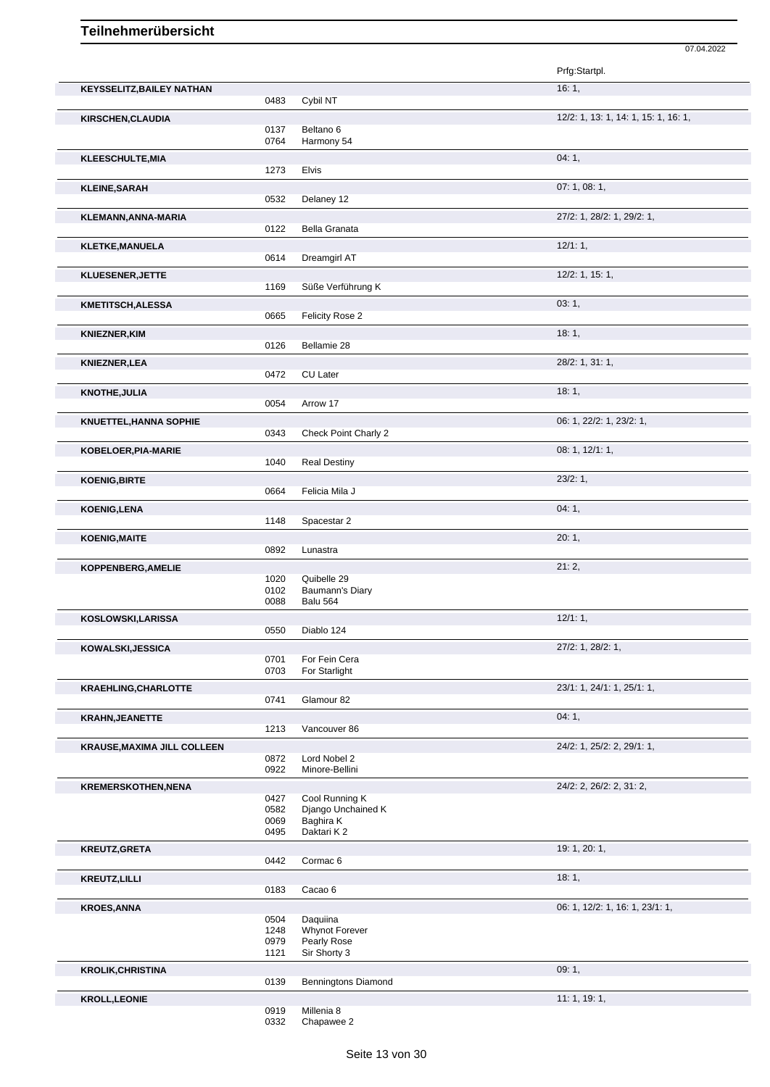|                                                  |              |                                | 07.04.2022                           |
|--------------------------------------------------|--------------|--------------------------------|--------------------------------------|
|                                                  |              |                                | Prfg:Startpl.                        |
| <b>KEYSSELITZ, BAILEY NATHAN</b>                 | 0483         | Cybil NT                       | 16:1,                                |
|                                                  |              |                                |                                      |
| KIRSCHEN, CLAUDIA                                | 0137         | Beltano <sub>6</sub>           | 12/2: 1, 13: 1, 14: 1, 15: 1, 16: 1, |
|                                                  | 0764         | Harmony 54                     |                                      |
| KLEESCHULTE, MIA                                 |              |                                | 04:1,                                |
|                                                  | 1273         | <b>Elvis</b>                   |                                      |
| <b>KLEINE, SARAH</b>                             |              |                                | 07: 1, 08: 1,                        |
|                                                  | 0532         | Delaney 12                     |                                      |
| KLEMANN, ANNA-MARIA                              |              |                                | 27/2: 1, 28/2: 1, 29/2: 1,           |
|                                                  | 0122         | <b>Bella Granata</b>           |                                      |
| <b>KLETKE, MANUELA</b>                           |              |                                | 12/1:1,                              |
|                                                  | 0614         | Dreamgirl AT                   |                                      |
| KLUESENER, JETTE                                 |              |                                | $12/2$ : 1, 15: 1,                   |
|                                                  | 1169         | Süße Verführung K              |                                      |
| <b>KMETITSCH, ALESSA</b>                         |              |                                | 03:1,                                |
|                                                  | 0665         | Felicity Rose 2                |                                      |
| <b>KNIEZNER, KIM</b>                             |              |                                | 18:1,                                |
|                                                  | 0126         | Bellamie 28                    |                                      |
| <b>KNIEZNER, LEA</b>                             |              |                                | 28/2: 1, 31: 1,                      |
|                                                  | 0472         | CU Later                       |                                      |
| <b>KNOTHE, JULIA</b>                             |              |                                | 18:1,                                |
|                                                  | 0054         | Arrow 17                       |                                      |
| <b>KNUETTEL, HANNA SOPHIE</b>                    |              |                                | 06: 1, 22/2: 1, 23/2: 1,             |
|                                                  | 0343         | Check Point Charly 2           |                                      |
| KOBELOER, PIA-MARIE                              |              |                                | 08: 1, 12/1: 1,                      |
|                                                  | 1040         | <b>Real Destiny</b>            |                                      |
| <b>KOENIG, BIRTE</b>                             |              |                                | 23/2:1,                              |
|                                                  | 0664         | Felicia Mila J                 |                                      |
| <b>KOENIG,LENA</b>                               |              |                                | 04:1,                                |
|                                                  | 1148         | Spacestar 2                    |                                      |
| <b>KOENIG, MAITE</b>                             | 0892         |                                | 20:1,                                |
|                                                  |              | Lunastra                       |                                      |
| KOPPENBERG, AMELIE                               | 1020         | Quibelle 29                    | 21:2,                                |
|                                                  | 0102         | Baumann's Diary                |                                      |
|                                                  | 0088         | <b>Balu 564</b>                |                                      |
| KOSLOWSKI,LARISSA                                |              |                                | $12/1:1$ ,                           |
|                                                  | 0550         | Diablo 124                     |                                      |
| KOWALSKI, JESSICA                                |              |                                | 27/2: 1, 28/2: 1,                    |
|                                                  | 0701         | For Fein Cera                  |                                      |
|                                                  | 0703         | For Starlight                  |                                      |
| <b>KRAEHLING, CHARLOTTE</b>                      |              |                                | 23/1: 1, 24/1: 1, 25/1: 1,           |
|                                                  | 0741         | Glamour 82                     |                                      |
| <b>KRAHN, JEANETTE</b>                           |              |                                | 04:1,                                |
|                                                  | 1213         | Vancouver 86                   |                                      |
| <b>KRAUSE, MAXIMA JILL COLLEEN</b>               |              |                                | 24/2: 1, 25/2: 2, 29/1: 1,           |
|                                                  | 0872<br>0922 | Lord Nobel 2<br>Minore-Bellini |                                      |
|                                                  |              |                                | 24/2: 2, 26/2: 2, 31: 2,             |
| <b>KREMERSKOTHEN, NENA</b>                       | 0427         | Cool Running K                 |                                      |
|                                                  | 0582         | Django Unchained K             |                                      |
|                                                  | 0069         | Baghira K<br>Daktari K2        |                                      |
|                                                  | 0495         |                                |                                      |
| <b>KREUTZ, GRETA</b>                             | 0442         |                                | 19: 1, 20: 1,                        |
|                                                  |              | Cormac <sub>6</sub>            |                                      |
| <b>KREUTZ, LILLI</b>                             |              |                                | 18:1,                                |
|                                                  | 0183         | Cacao 6                        |                                      |
| <b>KROES, ANNA</b>                               |              |                                | 06: 1, 12/2: 1, 16: 1, 23/1: 1,      |
|                                                  | 0504<br>1248 | Daquiina<br>Whynot Forever     |                                      |
|                                                  | 0979         | Pearly Rose                    |                                      |
|                                                  | 1121         | Sir Shorty 3                   |                                      |
|                                                  |              |                                |                                      |
|                                                  |              |                                | 09:1,                                |
|                                                  | 0139         | <b>Benningtons Diamond</b>     |                                      |
| <b>KROLIK, CHRISTINA</b><br><b>KROLL, LEONIE</b> | 0919         | Millenia 8                     | 11:1, 19:1,                          |

0332 Chapawee 2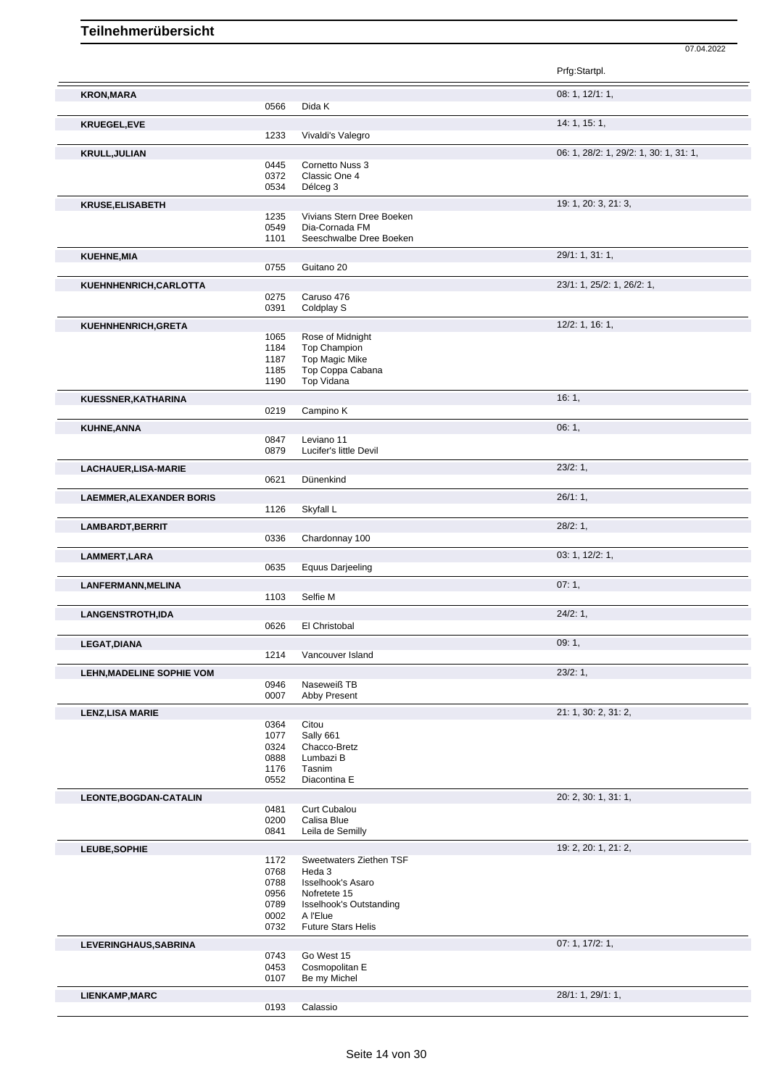|                                 |              |                                           | Prfg:Startpl.                          |
|---------------------------------|--------------|-------------------------------------------|----------------------------------------|
| <b>KRON, MARA</b>               |              |                                           | 08: 1, 12/1: 1,                        |
|                                 | 0566         | Dida K                                    |                                        |
| <b>KRUEGEL,EVE</b>              |              |                                           | 14: 1, 15: 1,                          |
|                                 | 1233         | Vivaldi's Valegro                         |                                        |
| <b>KRULL, JULIAN</b>            |              | Cornetto Nuss 3                           | 06: 1, 28/2: 1, 29/2: 1, 30: 1, 31: 1, |
|                                 | 0445<br>0372 | Classic One 4                             |                                        |
|                                 | 0534         | Délceg 3                                  |                                        |
| <b>KRUSE, ELISABETH</b>         |              |                                           | 19: 1, 20: 3, 21: 3,                   |
|                                 | 1235         | Vivians Stern Dree Boeken                 |                                        |
|                                 | 0549<br>1101 | Dia-Cornada FM<br>Seeschwalbe Dree Boeken |                                        |
| <b>KUEHNE, MIA</b>              |              |                                           | 29/1: 1, 31: 1,                        |
|                                 | 0755         | Guitano 20                                |                                        |
| KUEHNHENRICH, CARLOTTA          |              |                                           | 23/1: 1, 25/2: 1, 26/2: 1,             |
|                                 | 0275         | Caruso 476                                |                                        |
|                                 | 0391         | Coldplay S                                |                                        |
| KUEHNHENRICH, GRETA             |              |                                           | $12/2$ : 1, 16: 1,                     |
|                                 | 1065<br>1184 | Rose of Midnight<br><b>Top Champion</b>   |                                        |
|                                 | 1187         | Top Magic Mike                            |                                        |
|                                 | 1185         | Top Coppa Cabana                          |                                        |
|                                 | 1190         | Top Vidana                                |                                        |
| KUESSNER, KATHARINA             | 0219         | Campino K                                 | 16:1,                                  |
|                                 |              |                                           |                                        |
| KUHNE, ANNA                     | 0847         | Leviano 11                                | 06: 1,                                 |
|                                 | 0879         | Lucifer's little Devil                    |                                        |
| LACHAUER, LISA-MARIE            |              |                                           | 23/2:1,                                |
|                                 | 0621         | Dünenkind                                 |                                        |
| <b>LAEMMER, ALEXANDER BORIS</b> |              |                                           | 26/1:1,                                |
|                                 | 1126         | Skyfall L                                 |                                        |
| LAMBARDT, BERRIT                |              |                                           | 28/2:1,                                |
|                                 | 0336         | Chardonnay 100                            |                                        |
| LAMMERT, LARA                   | 0635         | <b>Equus Darjeeling</b>                   | 03: 1, 12/2: 1,                        |
|                                 |              |                                           |                                        |
| LANFERMANN, MELINA              | 1103         | Selfie M                                  | 07:1,                                  |
| LANGENSTROTH,IDA                |              |                                           | 24/2:1,                                |
|                                 | 0626         | El Christobal                             |                                        |
| <b>LEGAT, DIANA</b>             |              |                                           | 09: 1,                                 |
|                                 | 1214         | Vancouver Island                          |                                        |
| LEHN, MADELINE SOPHIE VOM       |              |                                           | 23/2:1,                                |
|                                 | 0946<br>0007 | Naseweiß TB<br>Abby Present               |                                        |
|                                 |              |                                           |                                        |
| <b>LENZ, LISA MARIE</b>         | 0364         | Citou                                     | 21: 1, 30: 2, 31: 2,                   |
|                                 | 1077         | Sally 661                                 |                                        |
|                                 | 0324<br>0888 | Chacco-Bretz<br>Lumbazi B                 |                                        |
|                                 | 1176         | Tasnim                                    |                                        |
|                                 | 0552         | Diacontina E                              |                                        |
| LEONTE, BOGDAN-CATALIN          |              |                                           | 20: 2, 30: 1, 31: 1,                   |
|                                 | 0481<br>0200 | Curt Cubalou<br>Calisa Blue               |                                        |
|                                 | 0841         | Leila de Semilly                          |                                        |
| LEUBE, SOPHIE                   |              |                                           | 19: 2, 20: 1, 21: 2,                   |
|                                 | 1172         | Sweetwaters Ziethen TSF                   |                                        |
|                                 | 0768         | Heda 3                                    |                                        |
|                                 | 0788<br>0956 | Isselhook's Asaro<br>Nofretete 15         |                                        |
|                                 | 0789         | Isselhook's Outstanding                   |                                        |
|                                 | 0002<br>0732 | A l'Elue<br><b>Future Stars Helis</b>     |                                        |
|                                 |              |                                           |                                        |
| LEVERINGHAUS, SABRINA           | 0743         | Go West 15                                | 07:1, 17/2:1,                          |
|                                 | 0453         | Cosmopolitan E                            |                                        |
|                                 | 0107         | Be my Michel                              |                                        |
| <b>LIENKAMP, MARC</b>           |              |                                           | 28/1: 1, 29/1: 1,                      |
|                                 | 0193         | Calassio                                  |                                        |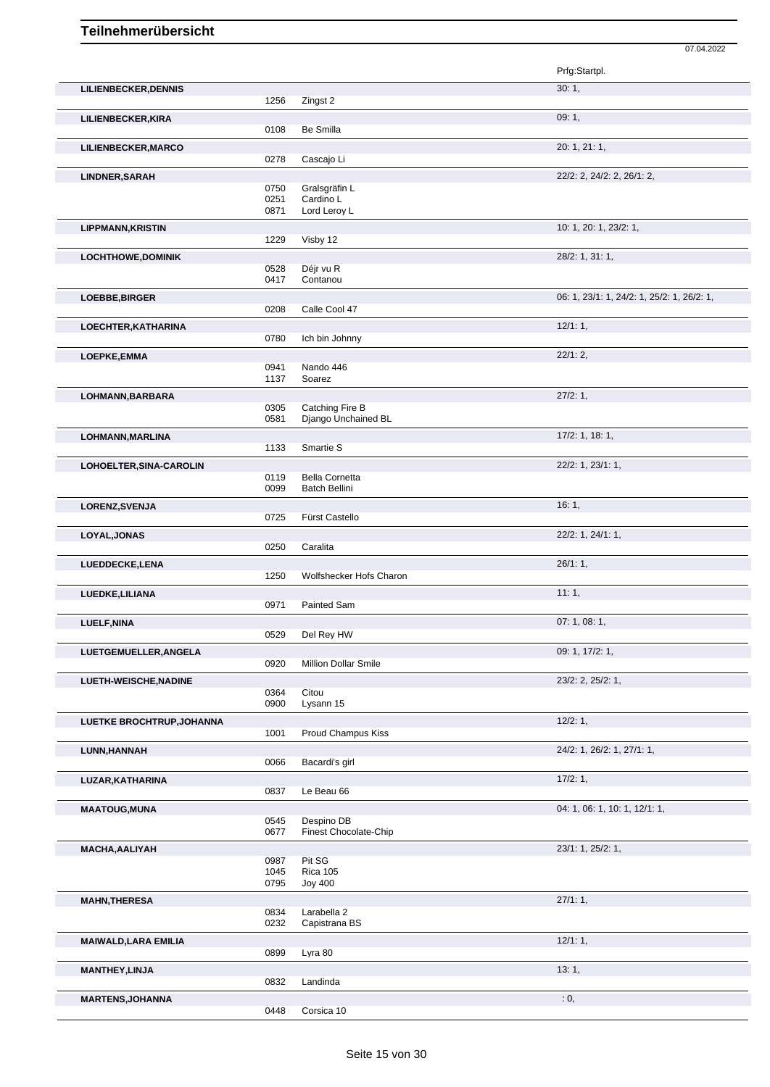|                             |              |                                        | 07.04.2022                                 |
|-----------------------------|--------------|----------------------------------------|--------------------------------------------|
|                             |              |                                        | Prfg:Startpl.                              |
| <b>LILIENBECKER, DENNIS</b> |              |                                        | 30:1,                                      |
|                             | 1256         | Zingst 2                               |                                            |
| LILIENBECKER, KIRA          |              |                                        | 09:1,                                      |
|                             | 0108         | Be Smilla                              |                                            |
| LILIENBECKER, MARCO         |              |                                        | 20: 1, 21: 1,                              |
|                             | 0278         | Cascajo Li                             |                                            |
| LINDNER, SARAH              |              |                                        | 22/2: 2, 24/2: 2, 26/1: 2,                 |
|                             | 0750<br>0251 | Gralsgräfin L<br>Cardino L             |                                            |
|                             | 0871         | Lord Leroy L                           |                                            |
| <b>LIPPMANN, KRISTIN</b>    |              |                                        | 10: 1, 20: 1, 23/2: 1,                     |
|                             | 1229         | Visby 12                               |                                            |
| <b>LOCHTHOWE, DOMINIK</b>   |              |                                        | 28/2: 1, 31: 1,                            |
|                             | 0528         | Déjr vu R                              |                                            |
|                             | 0417         | Contanou                               |                                            |
| LOEBBE, BIRGER              |              |                                        | 06: 1, 23/1: 1, 24/2: 1, 25/2: 1, 26/2: 1, |
|                             | 0208         | Calle Cool 47                          |                                            |
| LOECHTER, KATHARINA         |              |                                        | 12/1:1,                                    |
|                             | 0780         | Ich bin Johnny                         |                                            |
| LOEPKE, EMMA                |              |                                        | 22/1:2,                                    |
|                             | 0941         | Nando 446                              |                                            |
|                             | 1137         | Soarez                                 |                                            |
| LOHMANN, BARBARA            |              |                                        | 27/2:1,                                    |
|                             | 0305<br>0581 | Catching Fire B<br>Django Unchained BL |                                            |
|                             |              |                                        | 17/2: 1, 18: 1,                            |
| LOHMANN, MARLINA            | 1133         | Smartie S                              |                                            |
| LOHOELTER, SINA-CAROLIN     |              |                                        | 22/2: 1, 23/1: 1,                          |
|                             | 0119         | <b>Bella Cornetta</b>                  |                                            |
|                             | 0099         | Batch Bellini                          |                                            |
| LORENZ, SVENJA              |              |                                        | 16:1,                                      |
|                             | 0725         | Fürst Castello                         |                                            |
| LOYAL, JONAS                |              |                                        | 22/2: 1, 24/1: 1,                          |
|                             | 0250         | Caralita                               |                                            |
| LUEDDECKE,LENA              |              |                                        | 26/1:1,                                    |
|                             | 1250         | Wolfshecker Hofs Charon                |                                            |
| LUEDKE, LILIANA             |              |                                        | 11:1,                                      |
|                             | 0971         | Painted Sam                            |                                            |
| LUELF, NINA                 |              |                                        | 07:1,08:1,                                 |
|                             | 0529         | Del Rey HW                             |                                            |
| LUETGEMUELLER, ANGELA       |              |                                        | 09: 1, 17/2: 1,                            |
|                             | 0920         | Million Dollar Smile                   |                                            |
| LUETH-WEISCHE, NADINE       |              |                                        | 23/2: 2, 25/2: 1,                          |
|                             | 0364         | Citou                                  |                                            |
|                             | 0900         | Lysann 15                              |                                            |
| LUETKE BROCHTRUP, JOHANNA   |              |                                        | 12/2:1,                                    |
|                             | 1001         | <b>Proud Champus Kiss</b>              |                                            |
| LUNN, HANNAH                |              |                                        | 24/2: 1, 26/2: 1, 27/1: 1,                 |
|                             | 0066         | Bacardi's girl                         |                                            |
| LUZAR, KATHARINA            |              |                                        | 17/2:1,                                    |
|                             | 0837         | Le Beau 66                             |                                            |
| <b>MAATOUG, MUNA</b>        |              |                                        | 04: 1, 06: 1, 10: 1, 12/1: 1,              |
|                             | 0545<br>0677 | Despino DB<br>Finest Chocolate-Chip    |                                            |
|                             |              |                                        | 23/1: 1, 25/2: 1,                          |
| MACHA, AALIYAH              | 0987         | Pit SG                                 |                                            |
|                             | 1045         | <b>Rica 105</b>                        |                                            |
|                             | 0795         | <b>Joy 400</b>                         |                                            |

0987 Pit SG 1045 Rica 105 0795 Joy 400 **MAHN,THERESA** 27/1: 1, Larabella 2 0232 Capistrana BS

**MAIWALD,LARA EMILIA** 12/1: 1,

**MANTHEY,LINJA** 13: 1, 20032 Landinda 13: 1, 2004 Landinda **MARTENS, JOHANNA** : 0, 0448 Corsica 10 Corsica 10

0899 Lyra 80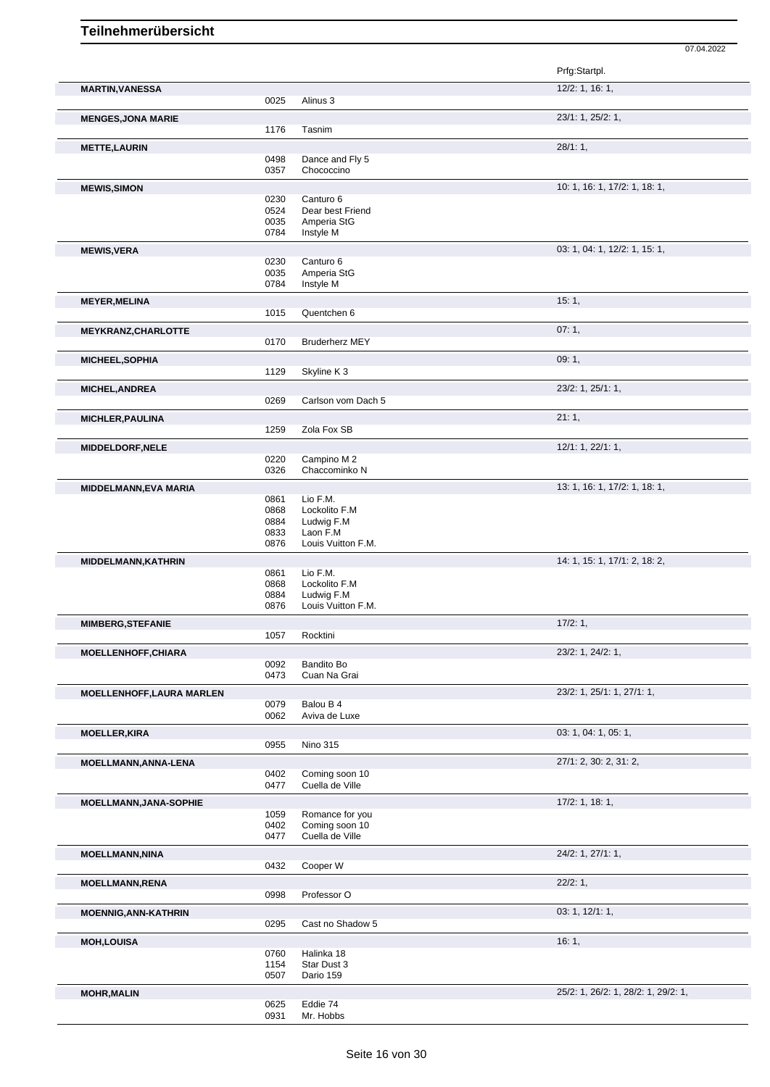|                                  |              |                                | Prfg:Startpl.                       |
|----------------------------------|--------------|--------------------------------|-------------------------------------|
| <b>MARTIN, VANESSA</b>           |              |                                | 12/2: 1, 16: 1,                     |
|                                  | 0025         | Alinus 3                       |                                     |
| <b>MENGES, JONA MARIE</b>        |              |                                | 23/1: 1, 25/2: 1,                   |
|                                  | 1176         | Tasnim                         |                                     |
| <b>METTE, LAURIN</b>             |              |                                | 28/1:1,                             |
|                                  | 0498         | Dance and Fly 5                |                                     |
|                                  | 0357         | Chococcino                     |                                     |
| <b>MEWIS, SIMON</b>              |              |                                | 10: 1, 16: 1, 17/2: 1, 18: 1,       |
|                                  | 0230         | Canturo 6                      |                                     |
|                                  | 0524         | Dear best Friend               |                                     |
|                                  | 0035         | Amperia StG                    |                                     |
|                                  | 0784         | Instyle M                      |                                     |
| <b>MEWIS, VERA</b>               |              |                                | 03: 1, 04: 1, 12/2: 1, 15: 1,       |
|                                  | 0230<br>0035 | Canturo 6<br>Amperia StG       |                                     |
|                                  | 0784         | Instyle M                      |                                     |
|                                  |              |                                |                                     |
| <b>MEYER, MELINA</b>             | 1015         | Quentchen 6                    | 15:1,                               |
|                                  |              |                                |                                     |
| <b>MEYKRANZ, CHARLOTTE</b>       |              |                                | 07:1,                               |
|                                  | 0170         | <b>Bruderherz MEY</b>          |                                     |
| <b>MICHEEL, SOPHIA</b>           |              |                                | 09:1,                               |
|                                  | 1129         | Skyline K3                     |                                     |
| <b>MICHEL, ANDREA</b>            |              |                                | $23/2$ : 1, $25/1$ : 1,             |
|                                  | 0269         | Carlson vom Dach 5             |                                     |
| <b>MICHLER, PAULINA</b>          |              |                                | 21:1,                               |
|                                  | 1259         | Zola Fox SB                    |                                     |
| <b>MIDDELDORF, NELE</b>          |              |                                | 12/1: 1, 22/1: 1,                   |
|                                  | 0220         | Campino M 2                    |                                     |
|                                  | 0326         | Chaccominko N                  |                                     |
| <b>MIDDELMANN, EVA MARIA</b>     |              |                                | 13: 1, 16: 1, 17/2: 1, 18: 1,       |
|                                  | 0861         | Lio F.M.                       |                                     |
|                                  | 0868         | Lockolito F.M                  |                                     |
|                                  | 0884         | Ludwig F.M                     |                                     |
|                                  | 0833<br>0876 | Laon F.M<br>Louis Vuitton F.M. |                                     |
|                                  |              |                                |                                     |
| MIDDELMANN, KATHRIN              |              |                                | 14: 1, 15: 1, 17/1: 2, 18: 2,       |
|                                  | 0861<br>0868 | Lio F.M.<br>Lockolito F.M      |                                     |
|                                  | 0884         | Ludwig F.M                     |                                     |
|                                  | 0876         | Louis Vuitton F.M.             |                                     |
| <b>MIMBERG, STEFANIE</b>         |              |                                | 17/2:1,                             |
|                                  | 1057         | Rocktini                       |                                     |
| MOELLENHOFF, CHIARA              |              |                                | 23/2: 1, 24/2: 1,                   |
|                                  | 0092         | Bandito Bo                     |                                     |
|                                  | 0473         | Cuan Na Grai                   |                                     |
| <b>MOELLENHOFF, LAURA MARLEN</b> |              |                                | 23/2: 1, 25/1: 1, 27/1: 1,          |
|                                  | 0079         | Balou B 4                      |                                     |
|                                  | 0062         | Aviva de Luxe                  |                                     |
| <b>MOELLER, KIRA</b>             |              |                                | 03: 1, 04: 1, 05: 1,                |
|                                  | 0955         | <b>Nino 315</b>                |                                     |
| MOELLMANN, ANNA-LENA             |              |                                | 27/1: 2, 30: 2, 31: 2,              |
|                                  | 0402         | Coming soon 10                 |                                     |
|                                  | 0477         | Cuella de Ville                |                                     |
| MOELLMANN, JANA-SOPHIE           |              |                                | 17/2: 1, 18: 1,                     |
|                                  | 1059         | Romance for you                |                                     |
|                                  | 0402         | Coming soon 10                 |                                     |
|                                  | 0477         | Cuella de Ville                |                                     |
| <b>MOELLMANN, NINA</b>           |              |                                | 24/2: 1, 27/1: 1,                   |
|                                  | 0432         | Cooper W                       |                                     |
| <b>MOELLMANN,RENA</b>            |              |                                | 22/2:1,                             |
|                                  | 0998         | Professor O                    |                                     |
|                                  |              |                                | 03: 1, 12/1: 1,                     |
| <b>MOENNIG, ANN-KATHRIN</b>      | 0295         | Cast no Shadow 5               |                                     |
|                                  |              |                                |                                     |
| <b>MOH,LOUISA</b>                |              |                                | 16:1,                               |
|                                  | 0760<br>1154 | Halinka 18<br>Star Dust 3      |                                     |
|                                  | 0507         | Dario 159                      |                                     |
|                                  |              |                                | 25/2: 1, 26/2: 1, 28/2: 1, 29/2: 1, |
| <b>MOHR, MALIN</b>               | 0625         | Eddie 74                       |                                     |
|                                  | 0931         | Mr. Hobbs                      |                                     |
|                                  |              |                                |                                     |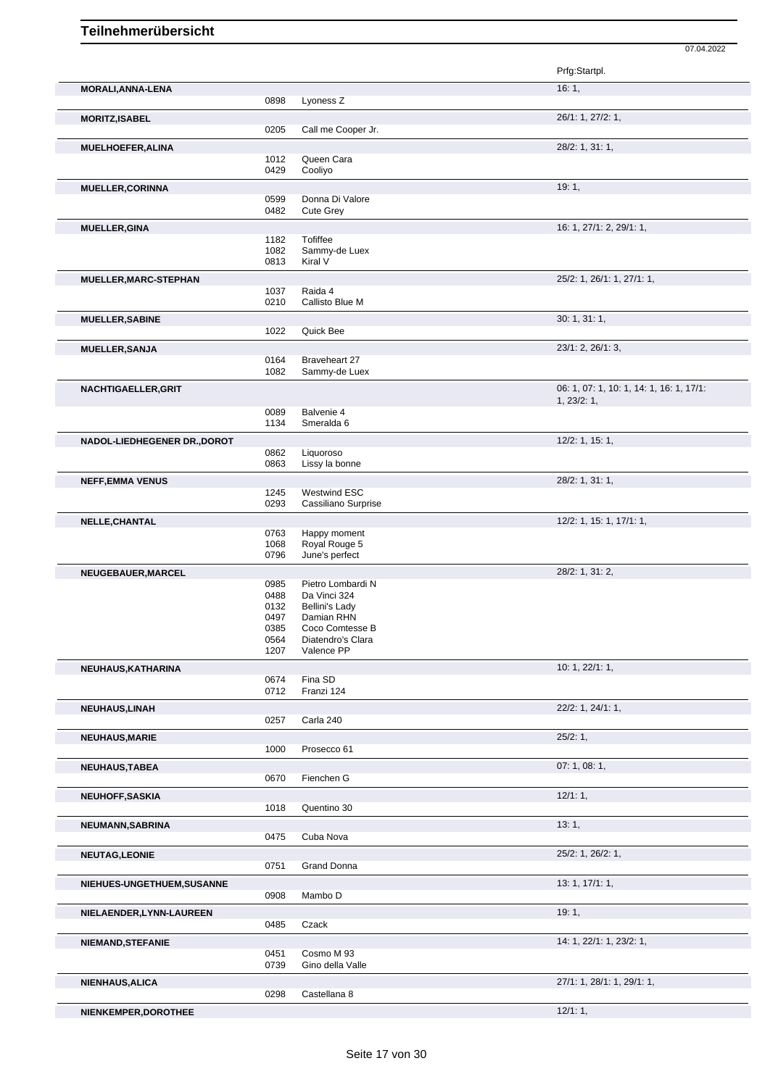|                              |              |                                      | 07.04.2022                               |
|------------------------------|--------------|--------------------------------------|------------------------------------------|
|                              |              |                                      | Prfg:Startpl.                            |
| MORALI, ANNA-LENA            |              |                                      | 16:1,                                    |
|                              | 0898         | Lyoness <sub>Z</sub>                 |                                          |
| <b>MORITZ, ISABEL</b>        |              |                                      | 26/1: 1, 27/2: 1,                        |
|                              | 0205         | Call me Cooper Jr.                   |                                          |
| <b>MUELHOEFER, ALINA</b>     |              |                                      | 28/2: 1, 31: 1,                          |
|                              | 1012         | Queen Cara                           |                                          |
|                              | 0429         | Cooliyo                              |                                          |
| <b>MUELLER, CORINNA</b>      |              |                                      | 19:1,                                    |
|                              | 0599         | Donna Di Valore                      |                                          |
|                              | 0482         | Cute Grey                            |                                          |
| MUELLER, GINA                |              | Tofiffee                             | 16: 1, 27/1: 2, 29/1: 1,                 |
|                              | 1182<br>1082 | Sammy-de Luex                        |                                          |
|                              | 0813         | Kiral V                              |                                          |
| MUELLER, MARC-STEPHAN        |              |                                      | 25/2: 1, 26/1: 1, 27/1: 1,               |
|                              | 1037         | Raida 4                              |                                          |
|                              | 0210         | Callisto Blue M                      |                                          |
| <b>MUELLER, SABINE</b>       |              |                                      | 30:1, 31:1,                              |
|                              | 1022         | Quick Bee                            |                                          |
| <b>MUELLER, SANJA</b>        |              |                                      | 23/1: 2, 26/1: 3,                        |
|                              | 0164         | Braveheart 27                        |                                          |
|                              | 1082         | Sammy-de Luex                        |                                          |
| NACHTIGAELLER, GRIT          |              |                                      | 06: 1, 07: 1, 10: 1, 14: 1, 16: 1, 17/1: |
|                              | 0089         | Balvenie 4                           | 1, 23/2: 1,                              |
|                              | 1134         | Smeralda 6                           |                                          |
| NADOL-LIEDHEGENER DR., DOROT |              |                                      | 12/2: 1, 15: 1,                          |
|                              | 0862         | Liquoroso                            |                                          |
|                              | 0863         | Lissy la bonne                       |                                          |
| <b>NEFF, EMMA VENUS</b>      |              |                                      | 28/2: 1, 31: 1,                          |
|                              | 1245         | <b>Westwind ESC</b>                  |                                          |
|                              | 0293         | Cassiliano Surprise                  |                                          |
| <b>NELLE, CHANTAL</b>        |              |                                      | 12/2: 1, 15: 1, 17/1: 1,                 |
|                              | 0763         | Happy moment                         |                                          |
|                              | 1068<br>0796 | Royal Rouge 5<br>June's perfect      |                                          |
|                              |              |                                      |                                          |
| NEUGEBAUER, MARCEL           | 0985         | Pietro Lombardi N                    | 28/2: 1, 31: 2,                          |
|                              | 0488         | Da Vinci 324                         |                                          |
|                              | 0132         | <b>Bellini's Lady</b>                |                                          |
|                              | 0497         | Damian RHN                           |                                          |
|                              | 0385<br>0564 | Coco Comtesse B<br>Diatendro's Clara |                                          |
|                              | 1207         | Valence PP                           |                                          |
| NEUHAUS, KATHARINA           |              |                                      | 10: 1, 22/1: 1,                          |
|                              | 0674         | Fina SD                              |                                          |
|                              | 0712         | Franzi 124                           |                                          |
| <b>NEUHAUS, LINAH</b>        |              |                                      | 22/2: 1, 24/1: 1,                        |
|                              | 0257         | Carla 240                            |                                          |
| <b>NEUHAUS, MARIE</b>        |              |                                      | 25/2:1,                                  |
|                              | 1000         | Prosecco 61                          |                                          |
| <b>NEUHAUS, TABEA</b>        |              |                                      | 07:1,08:1,                               |
|                              | 0670         | Fienchen G                           |                                          |
| <b>NEUHOFF, SASKIA</b>       |              |                                      | 12/1:1,                                  |
|                              | 1018         | Quentino 30                          |                                          |
| NEUMANN, SABRINA             |              |                                      | 13:1,                                    |
|                              | 0475         | Cuba Nova                            |                                          |
| <b>NEUTAG,LEONIE</b>         |              |                                      | 25/2: 1, 26/2: 1,                        |
|                              | 0751         | Grand Donna                          |                                          |
| NIEHUES-UNGETHUEM, SUSANNE   |              |                                      | 13: 1, 17/1: 1,                          |
|                              | 0908         | Mambo D                              |                                          |
| NIELAENDER, LYNN-LAUREEN     |              |                                      | 19:1,                                    |
|                              | 0485         | Czack                                |                                          |
|                              |              |                                      | 14: 1, 22/1: 1, 23/2: 1,                 |
| <b>NIEMAND, STEFANIE</b>     | 0451         | Cosmo M 93                           |                                          |
|                              | 0739         | Gino della Valle                     |                                          |

**NIENKEMPER, DOROTHEE** 12/1: 1,

**NIENHAUS,ALICA** 27/1: 1, 28/1: 1, 29/1: 1,

Castellana 8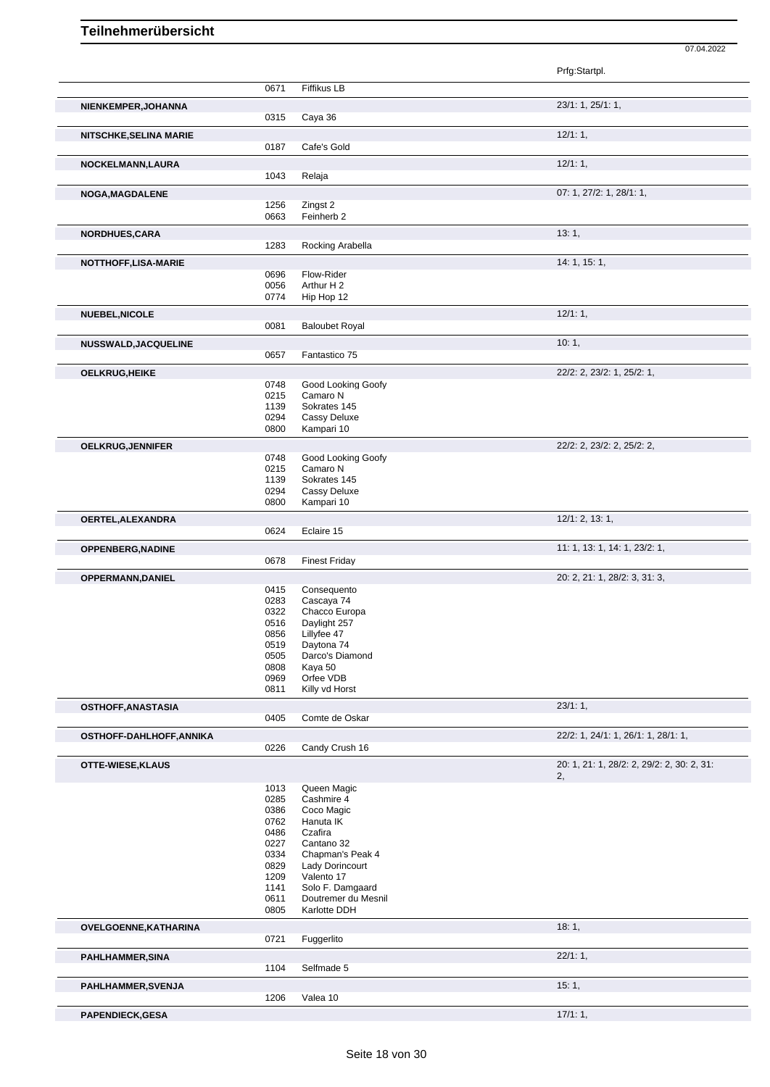|                                                                  |              |                               | Prfg:Startpl.                              |
|------------------------------------------------------------------|--------------|-------------------------------|--------------------------------------------|
|                                                                  | 0671         | Fiffikus LB                   |                                            |
| NIENKEMPER, JOHANNA                                              |              |                               | 23/1: 1, 25/1: 1,                          |
|                                                                  | 0315         | Caya 36                       |                                            |
|                                                                  |              |                               |                                            |
| NITSCHKE, SELINA MARIE                                           |              |                               | 12/1:1,                                    |
|                                                                  | 0187         | Cafe's Gold                   |                                            |
| NOCKELMANN, LAURA                                                |              |                               | 12/1:1,                                    |
|                                                                  | 1043         | Relaja                        |                                            |
| NOGA, MAGDALENE                                                  |              |                               | 07: 1, 27/2: 1, 28/1: 1,                   |
|                                                                  | 1256         | Zingst 2                      |                                            |
|                                                                  | 0663         | Feinherb 2                    |                                            |
|                                                                  |              |                               | 13:1,                                      |
| NORDHUES, CARA                                                   | 1283         | Rocking Arabella              |                                            |
|                                                                  |              |                               |                                            |
| NOTTHOFF,LISA-MARIE                                              |              |                               | 14: 1, 15: 1,                              |
|                                                                  | 0696         | Flow-Rider                    |                                            |
|                                                                  | 0056         | Arthur H 2                    |                                            |
|                                                                  | 0774         | Hip Hop 12                    |                                            |
| NUEBEL, NICOLE                                                   |              |                               | $12/1:1$ ,                                 |
|                                                                  | 0081         | <b>Baloubet Royal</b>         |                                            |
| NUSSWALD, JACQUELINE                                             |              |                               | 10:1,                                      |
|                                                                  | 0657         | Fantastico 75                 |                                            |
|                                                                  |              |                               |                                            |
| <b>OELKRUG, HEIKE</b>                                            |              |                               | 22/2: 2, 23/2: 1, 25/2: 1,                 |
|                                                                  | 0748         | Good Looking Goofy            |                                            |
|                                                                  | 0215         | Camaro N                      |                                            |
|                                                                  | 1139         | Sokrates 145                  |                                            |
|                                                                  | 0294<br>0800 | Cassy Deluxe<br>Kampari 10    |                                            |
|                                                                  |              |                               |                                            |
| OELKRUG, JENNIFER                                                |              |                               | 22/2: 2, 23/2: 2, 25/2: 2,                 |
|                                                                  | 0748         | Good Looking Goofy            |                                            |
|                                                                  | 0215         | Camaro N                      |                                            |
|                                                                  | 1139         | Sokrates 145                  |                                            |
|                                                                  | 0294         | Cassy Deluxe                  |                                            |
|                                                                  | 0800         | Kampari 10                    |                                            |
| OERTEL, ALEXANDRA                                                |              |                               | 12/1: 2, 13: 1,                            |
|                                                                  | 0624         | Eclaire 15                    |                                            |
|                                                                  |              |                               | 11: 1, 13: 1, 14: 1, 23/2: 1,              |
| <b>OPPENBERG, NADINE</b>                                         | 0678         | <b>Finest Friday</b>          |                                            |
|                                                                  |              |                               |                                            |
| OPPERMANN, DANIEL                                                |              |                               | 20: 2, 21: 1, 28/2: 3, 31: 3,              |
|                                                                  | 0415         | Consequento                   |                                            |
|                                                                  | 0283         | Cascaya 74                    |                                            |
|                                                                  | 0322         | Chacco Europa<br>Daylight 257 |                                            |
|                                                                  | 0516<br>0856 |                               |                                            |
|                                                                  |              | Lillyfee 47                   |                                            |
|                                                                  | 0519<br>0505 | Daytona 74<br>Darco's Diamond |                                            |
|                                                                  | 0808         | Kaya 50                       |                                            |
|                                                                  | 0969         | Orfee VDB                     |                                            |
|                                                                  | 0811         | Killy vd Horst                |                                            |
|                                                                  |              |                               |                                            |
| OSTHOFF, ANASTASIA                                               |              |                               | 23/1:1,                                    |
|                                                                  | 0405         | Comte de Oskar                |                                            |
| OSTHOFF-DAHLHOFF, ANNIKA                                         |              |                               | 22/2: 1, 24/1: 1, 26/1: 1, 28/1: 1,        |
|                                                                  | 0226         | Candy Crush 16                |                                            |
| OTTE-WIESE, KLAUS                                                |              |                               | 20: 1, 21: 1, 28/2: 2, 29/2: 2, 30: 2, 31: |
|                                                                  |              |                               | 2,                                         |
|                                                                  | 1013         | Queen Magic                   |                                            |
|                                                                  | 0285         | Cashmire 4                    |                                            |
|                                                                  | 0386         | Coco Magic                    |                                            |
|                                                                  | 0762         | Hanuta IK                     |                                            |
|                                                                  | 0486         | Czafira                       |                                            |
|                                                                  | 0227         | Cantano 32                    |                                            |
|                                                                  | 0334         | Chapman's Peak 4              |                                            |
|                                                                  | 0829         | Lady Dorincourt               |                                            |
|                                                                  | 1209         | Valento 17                    |                                            |
|                                                                  | 1141         | Solo F. Damgaard              |                                            |
|                                                                  | 0611         | Doutremer du Mesnil           |                                            |
|                                                                  | 0805         | Karlotte DDH                  |                                            |
| OVELGOENNE, KATHARINA                                            |              |                               | 18:1,                                      |
|                                                                  | 0721         | Fuggerlito                    |                                            |
|                                                                  |              |                               | 22/1:1,                                    |
|                                                                  |              |                               |                                            |
|                                                                  |              |                               |                                            |
|                                                                  | 1104         | Selfmade 5                    |                                            |
|                                                                  |              |                               | 15:1,                                      |
|                                                                  | 1206         | Valea 10                      |                                            |
| PAHLHAMMER, SINA<br>PAHLHAMMER, SVENJA<br><b>PAPENDIECK,GESA</b> |              |                               | 17/1:1,                                    |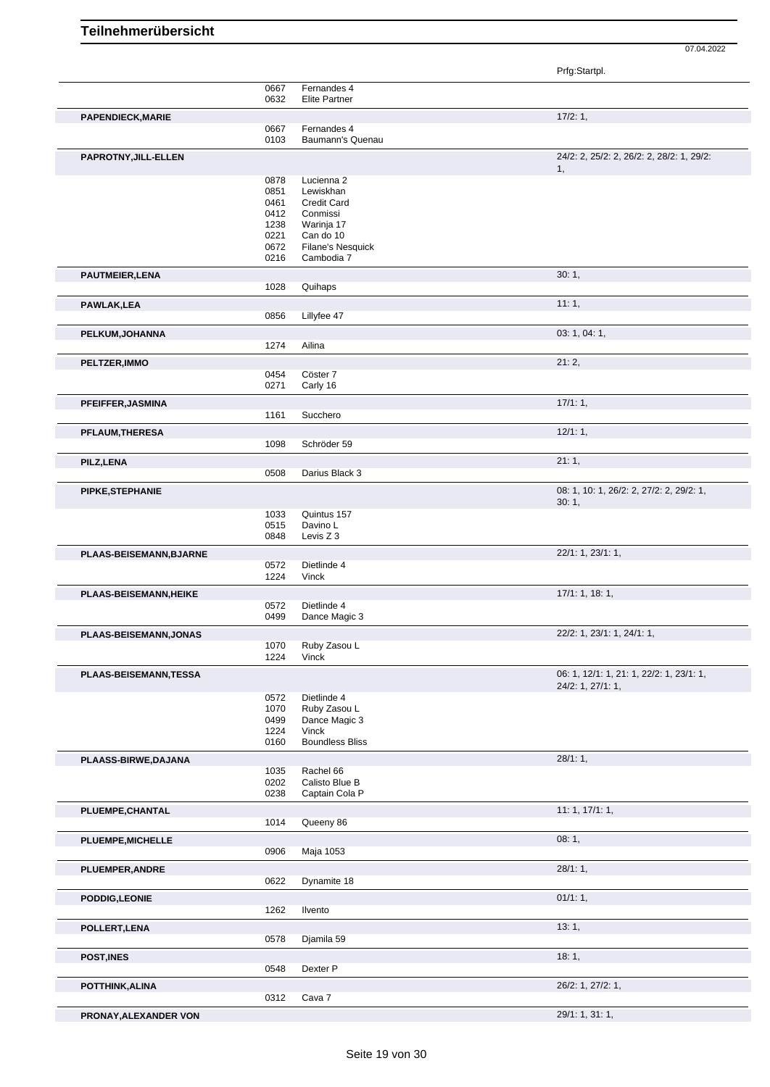Prfg:Startpl.

|                          | 0667         | Fernandes 4                     |                                           |
|--------------------------|--------------|---------------------------------|-------------------------------------------|
|                          | 0632         | <b>Elite Partner</b>            |                                           |
| <b>PAPENDIECK, MARIE</b> |              |                                 | 17/2:1,                                   |
|                          | 0667         | Fernandes 4                     |                                           |
|                          | 0103         | Baumann's Quenau                |                                           |
| PAPROTNY, JILL-ELLEN     |              |                                 | 24/2: 2, 25/2: 2, 26/2: 2, 28/2: 1, 29/2: |
|                          |              |                                 | 1,                                        |
|                          | 0878<br>0851 | Lucienna 2<br>Lewiskhan         |                                           |
|                          | 0461         | <b>Credit Card</b>              |                                           |
|                          | 0412         | Conmissi                        |                                           |
|                          | 1238         | Warinja 17                      |                                           |
|                          | 0221         | Can do 10                       |                                           |
|                          | 0672         | Filane's Nesquick               |                                           |
|                          | 0216         | Cambodia 7                      |                                           |
| <b>PAUTMEIER, LENA</b>   |              |                                 | 30:1,                                     |
|                          | 1028         | Quihaps                         |                                           |
| <b>PAWLAK,LEA</b>        |              |                                 | 11:1,                                     |
|                          | 0856         | Lillyfee 47                     |                                           |
| PELKUM, JOHANNA          |              |                                 | 03: 1, 04: 1,                             |
|                          | 1274         | Ailina                          |                                           |
| PELTZER, IMMO            |              |                                 | 21:2,                                     |
|                          | 0454         | Cöster 7                        |                                           |
|                          | 0271         | Carly 16                        |                                           |
| PFEIFFER, JASMINA        |              |                                 | 17/1:1,                                   |
|                          | 1161         | Succhero                        |                                           |
| <b>PFLAUM, THERESA</b>   |              |                                 | 12/1:1,                                   |
|                          | 1098         | Schröder 59                     |                                           |
| PILZ, LENA               |              |                                 | 21:1,                                     |
|                          | 0508         | Darius Black 3                  |                                           |
| PIPKE, STEPHANIE         |              |                                 | 08: 1, 10: 1, 26/2: 2, 27/2: 2, 29/2: 1,  |
|                          |              |                                 | 30:1,                                     |
|                          | 1033         | Quintus 157                     |                                           |
|                          | 0515         | Davino L                        |                                           |
|                          | 0848         | Levis Z 3                       |                                           |
| PLAAS-BEISEMANN, BJARNE  |              |                                 | 22/1: 1, 23/1: 1,                         |
|                          | 0572<br>1224 | Dietlinde 4<br>Vinck            |                                           |
|                          |              |                                 |                                           |
| PLAAS-BEISEMANN, HEIKE   | 0572         | Dietlinde 4                     | 17/1: 1, 18: 1,                           |
|                          | 0499         | Dance Magic 3                   |                                           |
| PLAAS-BEISEMANN, JONAS   |              |                                 | 22/2: 1, 23/1: 1, 24/1: 1,                |
|                          | 1070         | Ruby Zasou L                    |                                           |
|                          | 1224         | Vinck                           |                                           |
| PLAAS-BEISEMANN, TESSA   |              |                                 | 06: 1, 12/1: 1, 21: 1, 22/2: 1, 23/1: 1,  |
|                          |              |                                 | 24/2: 1, 27/1: 1,                         |
|                          | 0572         | Dietlinde 4                     |                                           |
|                          | 1070         | Ruby Zasou L                    |                                           |
|                          | 0499         | Dance Magic 3                   |                                           |
|                          | 1224<br>0160 | Vinck<br><b>Boundless Bliss</b> |                                           |
|                          |              |                                 |                                           |
| PLAASS-BIRWE, DAJANA     | 1035         | Rachel 66                       | 28/1:1,                                   |
|                          | 0202         | Calisto Blue B                  |                                           |
|                          | 0238         | Captain Cola P                  |                                           |
| PLUEMPE, CHANTAL         |              |                                 | 11: 1, 17/1: 1,                           |
|                          | 1014         | Queeny 86                       |                                           |
| PLUEMPE, MICHELLE        |              |                                 | 08:1,                                     |
|                          | 0906         | Maja 1053                       |                                           |
|                          |              |                                 | 28/1:1,                                   |
| PLUEMPER, ANDRE          | 0622         | Dynamite 18                     |                                           |
|                          |              |                                 |                                           |
| PODDIG, LEONIE           | 1262         | Ilvento                         | 01/1:1,                                   |
|                          |              |                                 |                                           |
| POLLERT, LENA            |              |                                 | 13:1,                                     |
|                          | 0578         | Djamila 59                      |                                           |
| POST, INES               |              |                                 | 18:1,                                     |
|                          | 0548         | Dexter P                        |                                           |
| POTTHINK, ALINA          |              |                                 | 26/2: 1, 27/2: 1,                         |
|                          | 0312         | Cava 7                          |                                           |
| PRONAY, ALEXANDER VON    |              |                                 | 29/1: 1, 31: 1,                           |
|                          |              |                                 |                                           |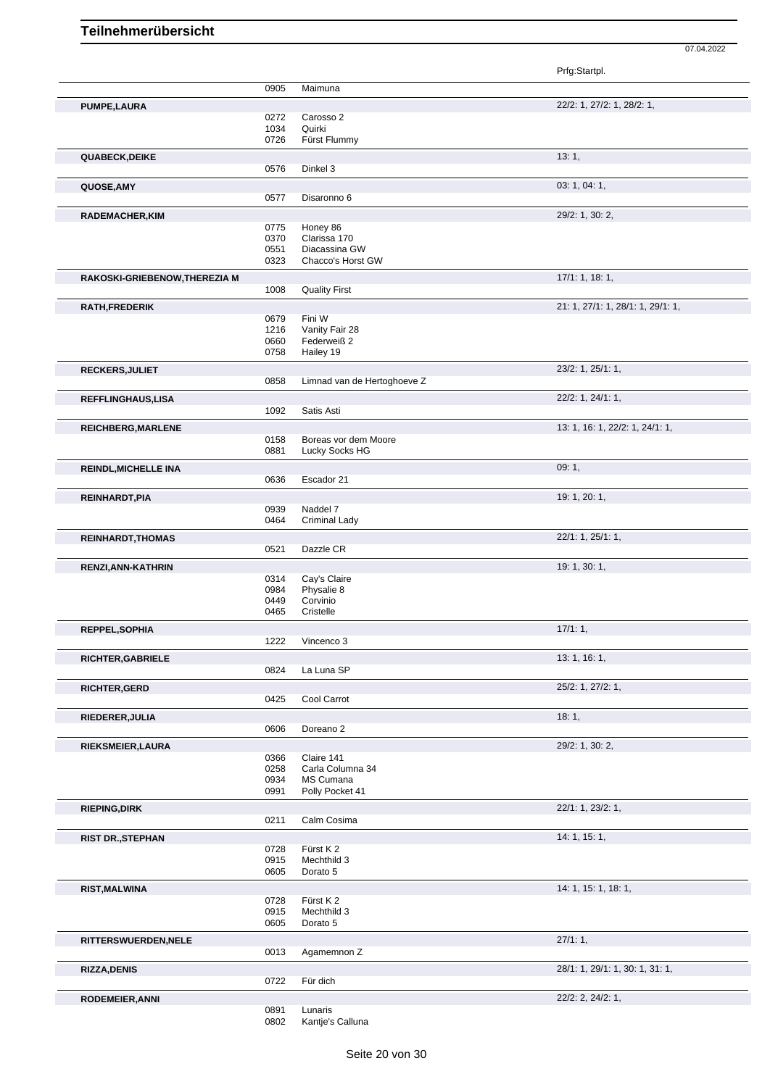|                               |              |                             | Prfg:Startpl.                     |
|-------------------------------|--------------|-----------------------------|-----------------------------------|
|                               | 0905         | Maimuna                     |                                   |
| <b>PUMPE,LAURA</b>            |              |                             | 22/2: 1, 27/2: 1, 28/2: 1,        |
|                               | 0272         | Carosso 2                   |                                   |
|                               | 1034         | Quirki                      |                                   |
|                               | 0726         | Fürst Flummy                |                                   |
| <b>QUABECK, DEIKE</b>         |              |                             | 13:1,                             |
|                               | 0576         | Dinkel 3                    |                                   |
| QUOSE, AMY                    |              |                             | 03: 1, 04: 1,                     |
|                               | 0577         | Disaronno 6                 |                                   |
|                               |              |                             | 29/2: 1, 30: 2,                   |
| RADEMACHER, KIM               | 0775         | Honey 86                    |                                   |
|                               | 0370         | Clarissa 170                |                                   |
|                               | 0551         | Diacassina GW               |                                   |
|                               | 0323         | Chacco's Horst GW           |                                   |
| RAKOSKI-GRIEBENOW, THEREZIA M |              |                             | 17/1: 1, 18: 1,                   |
|                               | 1008         | <b>Quality First</b>        |                                   |
|                               |              |                             | 21: 1, 27/1: 1, 28/1: 1, 29/1: 1, |
| RATH, FREDERIK                | 0679         | Fini W                      |                                   |
|                               | 1216         | Vanity Fair 28              |                                   |
|                               | 0660         | Federweiß 2                 |                                   |
|                               | 0758         | Hailey 19                   |                                   |
| RECKERS, JULIET               |              |                             | 23/2: 1, 25/1: 1,                 |
|                               | 0858         | Limnad van de Hertoghoeve Z |                                   |
|                               |              |                             |                                   |
| REFFLINGHAUS, LISA            | 1092         | Satis Asti                  | 22/2: 1, 24/1: 1,                 |
|                               |              |                             |                                   |
| <b>REICHBERG, MARLENE</b>     |              |                             | 13: 1, 16: 1, 22/2: 1, 24/1: 1,   |
|                               | 0158         | Boreas vor dem Moore        |                                   |
|                               | 0881         | Lucky Socks HG              |                                   |
| <b>REINDL, MICHELLE INA</b>   |              |                             | 09:1,                             |
|                               | 0636         | Escador 21                  |                                   |
| REINHARDT, PIA                |              |                             | 19: 1, 20: 1,                     |
|                               | 0939         | Naddel 7                    |                                   |
|                               | 0464         | <b>Criminal Lady</b>        |                                   |
|                               |              |                             | 22/1: 1, 25/1: 1,                 |
| <b>REINHARDT, THOMAS</b>      | 0521         | Dazzle CR                   |                                   |
|                               |              |                             |                                   |
| RENZI, ANN-KATHRIN            |              |                             | 19: 1, 30: 1,                     |
|                               | 0314<br>0984 | Cay's Claire<br>Physalie 8  |                                   |
|                               | 0449         | Corvinio                    |                                   |
|                               | 0465         | Cristelle                   |                                   |
|                               |              |                             | $17/1:1$ ,                        |
| REPPEL, SOPHIA                | 1222         | Vincenco 3                  |                                   |
|                               |              |                             |                                   |
| RICHTER, GABRIELE             |              |                             | 13:1, 16:1,                       |
|                               | 0824         | La Luna SP                  |                                   |
| RICHTER, GERD                 |              |                             | 25/2: 1, 27/2: 1,                 |
|                               | 0425         | Cool Carrot                 |                                   |
| RIEDERER, JULIA               |              |                             | 18:1,                             |
|                               | 0606         | Doreano <sub>2</sub>        |                                   |
|                               |              |                             | 29/2: 1, 30: 2,                   |
| RIEKSMEIER, LAURA             | 0366         | Claire 141                  |                                   |
|                               | 0258         | Carla Columna 34            |                                   |
|                               | 0934         | MS Cumana                   |                                   |
|                               | 0991         | Polly Pocket 41             |                                   |
| <b>RIEPING, DIRK</b>          |              |                             | 22/1: 1, 23/2: 1,                 |
|                               | 0211         | Calm Cosima                 |                                   |
|                               |              |                             | 14: 1, 15: 1,                     |
| <b>RIST DR., STEPHAN</b>      | 0728         | Fürst K 2                   |                                   |
|                               | 0915         | Mechthild 3                 |                                   |
|                               | 0605         | Dorato 5                    |                                   |
|                               |              |                             | 14: 1, 15: 1, 18: 1,              |
| <b>RIST, MALWINA</b>          | 0728         | Fürst K2                    |                                   |
|                               | 0915         | Mechthild 3                 |                                   |
|                               | 0605         | Dorato 5                    |                                   |
|                               |              |                             |                                   |
| RITTERSWUERDEN, NELE          | 0013         | Agamemnon Z                 | 27/1:1,                           |
|                               |              |                             |                                   |
| <b>RIZZA, DENIS</b>           |              |                             | 28/1: 1, 29/1: 1, 30: 1, 31: 1,   |
|                               | 0722         | Für dich                    |                                   |
| RODEMEIER, ANNI               |              |                             | 22/2: 2, 24/2: 1,                 |
|                               | 0891         | Lunaris                     |                                   |
|                               | 0802         | Kantje's Calluna            |                                   |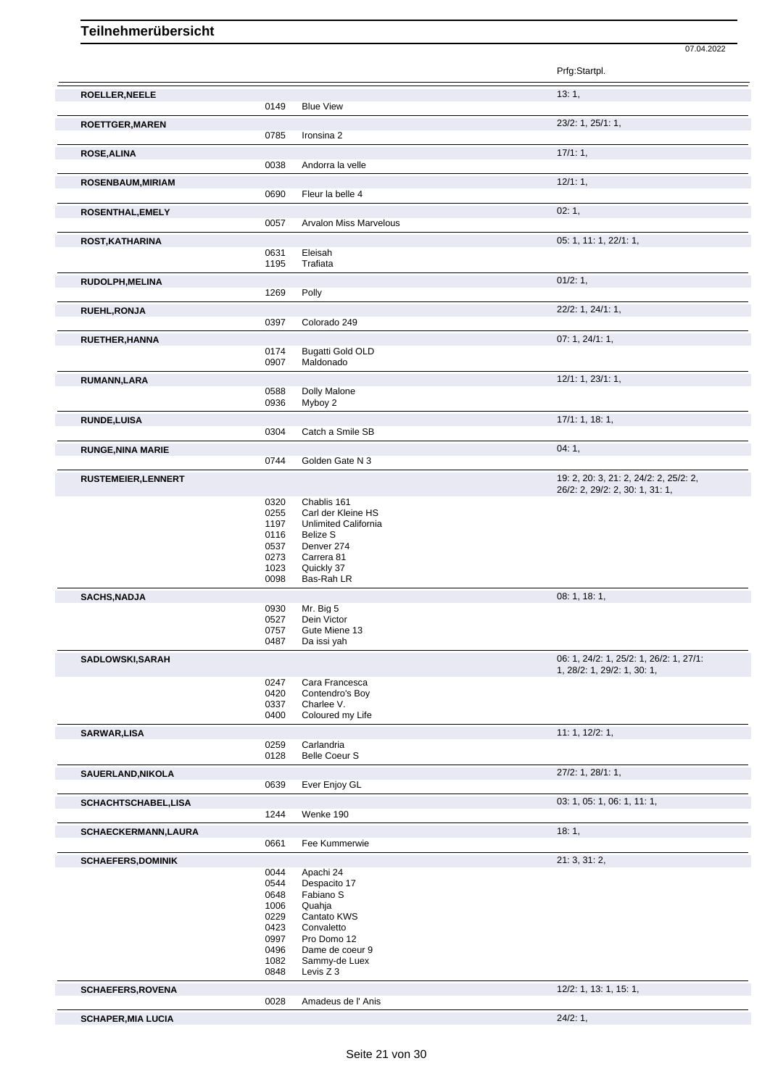|                            |              |                                            | Prfg:Startpl.                                                          |
|----------------------------|--------------|--------------------------------------------|------------------------------------------------------------------------|
| ROELLER, NEELE             |              |                                            | 13:1,                                                                  |
|                            | 0149         | <b>Blue View</b>                           |                                                                        |
| <b>ROETTGER, MAREN</b>     | 0785         | Ironsina 2                                 | 23/2: 1, 25/1: 1,                                                      |
|                            |              |                                            |                                                                        |
| <b>ROSE, ALINA</b>         | 0038         | Andorra la velle                           | 17/1:1,                                                                |
|                            |              |                                            |                                                                        |
| ROSENBAUM, MIRIAM          |              |                                            | 12/1:1,                                                                |
|                            | 0690         | Fleur la belle 4                           |                                                                        |
| ROSENTHAL, EMELY           |              |                                            | 02:1,                                                                  |
|                            | 0057         | <b>Arvalon Miss Marvelous</b>              |                                                                        |
| ROST, KATHARINA            |              |                                            | 05: 1, 11: 1, 22/1: 1,                                                 |
|                            | 0631         | Eleisah                                    |                                                                        |
|                            | 1195         | Trafiata                                   |                                                                        |
| <b>RUDOLPH, MELINA</b>     |              |                                            | 01/2: 1,                                                               |
|                            | 1269         | Polly                                      |                                                                        |
| <b>RUEHL, RONJA</b>        |              |                                            | 22/2: 1, 24/1: 1,                                                      |
|                            | 0397         | Colorado 249                               |                                                                        |
| <b>RUETHER, HANNA</b>      |              |                                            | 07: 1, 24/1: 1,                                                        |
|                            | 0174         | <b>Bugatti Gold OLD</b>                    |                                                                        |
|                            | 0907         | Maldonado                                  |                                                                        |
| RUMANN, LARA               |              |                                            | 12/1: 1, 23/1: 1,                                                      |
|                            | 0588         | Dolly Malone                               |                                                                        |
|                            | 0936         | Myboy 2                                    |                                                                        |
| <b>RUNDE,LUISA</b>         |              |                                            | 17/1: 1, 18: 1,                                                        |
|                            | 0304         | Catch a Smile SB                           |                                                                        |
| <b>RUNGE, NINA MARIE</b>   |              |                                            | 04:1,                                                                  |
|                            | 0744         | Golden Gate N 3                            |                                                                        |
| <b>RUSTEMEIER, LENNERT</b> |              |                                            | 19: 2, 20: 3, 21: 2, 24/2: 2, 25/2: 2,                                 |
|                            |              |                                            | 26/2: 2, 29/2: 2, 30: 1, 31: 1,                                        |
|                            | 0320         | Chablis 161                                |                                                                        |
|                            | 0255<br>1197 | Carl der Kleine HS<br>Unlimited California |                                                                        |
|                            | 0116         | <b>Belize S</b>                            |                                                                        |
|                            | 0537         | Denver 274                                 |                                                                        |
|                            | 0273         | Carrera 81                                 |                                                                        |
|                            | 1023<br>0098 | Quickly 37<br>Bas-Rah LR                   |                                                                        |
|                            |              |                                            |                                                                        |
| <b>SACHS, NADJA</b>        | 0930         | Mr. Big 5                                  | 08: 1, 18: 1,                                                          |
|                            | 0527         | Dein Victor                                |                                                                        |
|                            | 0757         | Gute Miene 13                              |                                                                        |
|                            | 0487         | Da issi yah                                |                                                                        |
| SADLOWSKI, SARAH           |              |                                            | 06: 1, 24/2: 1, 25/2: 1, 26/2: 1, 27/1:<br>1, 28/2: 1, 29/2: 1, 30: 1, |
|                            | 0247         | Cara Francesca                             |                                                                        |
|                            | 0420         | Contendro's Boy                            |                                                                        |
|                            | 0337<br>0400 | Charlee V.<br>Coloured my Life             |                                                                        |
|                            |              |                                            |                                                                        |
| <b>SARWAR,LISA</b>         | 0259         | Carlandria                                 | 11: 1, 12/2: 1,                                                        |
|                            | 0128         | <b>Belle Coeur S</b>                       |                                                                        |
|                            |              |                                            | $27/2$ : 1, $28/1$ : 1,                                                |
| SAUERLAND, NIKOLA          | 0639         | Ever Enjoy GL                              |                                                                        |
|                            |              |                                            |                                                                        |
| SCHACHTSCHABEL,LISA        | 1244         | Wenke 190                                  | 03: 1, 05: 1, 06: 1, 11: 1,                                            |
|                            |              |                                            |                                                                        |
| <b>SCHAECKERMANN,LAURA</b> |              |                                            | 18:1,                                                                  |
|                            | 0661         | Fee Kummerwie                              |                                                                        |
| <b>SCHAEFERS, DOMINIK</b>  |              |                                            | 21:3,31:2,                                                             |
|                            | 0044<br>0544 | Apachi 24<br>Despacito 17                  |                                                                        |
|                            | 0648         | Fabiano S                                  |                                                                        |
|                            | 1006         | Quahja                                     |                                                                        |
|                            | 0229         | Cantato KWS                                |                                                                        |
|                            | 0423<br>0997 | Convaletto<br>Pro Domo 12                  |                                                                        |
|                            | 0496         | Dame de coeur 9                            |                                                                        |
|                            | 1082         | Sammy-de Luex                              |                                                                        |
|                            | 0848         | Levis Z 3                                  |                                                                        |
| <b>SCHAEFERS, ROVENA</b>   |              |                                            | 12/2: 1, 13: 1, 15: 1,                                                 |
|                            | 0028         | Amadeus de l'Anis                          |                                                                        |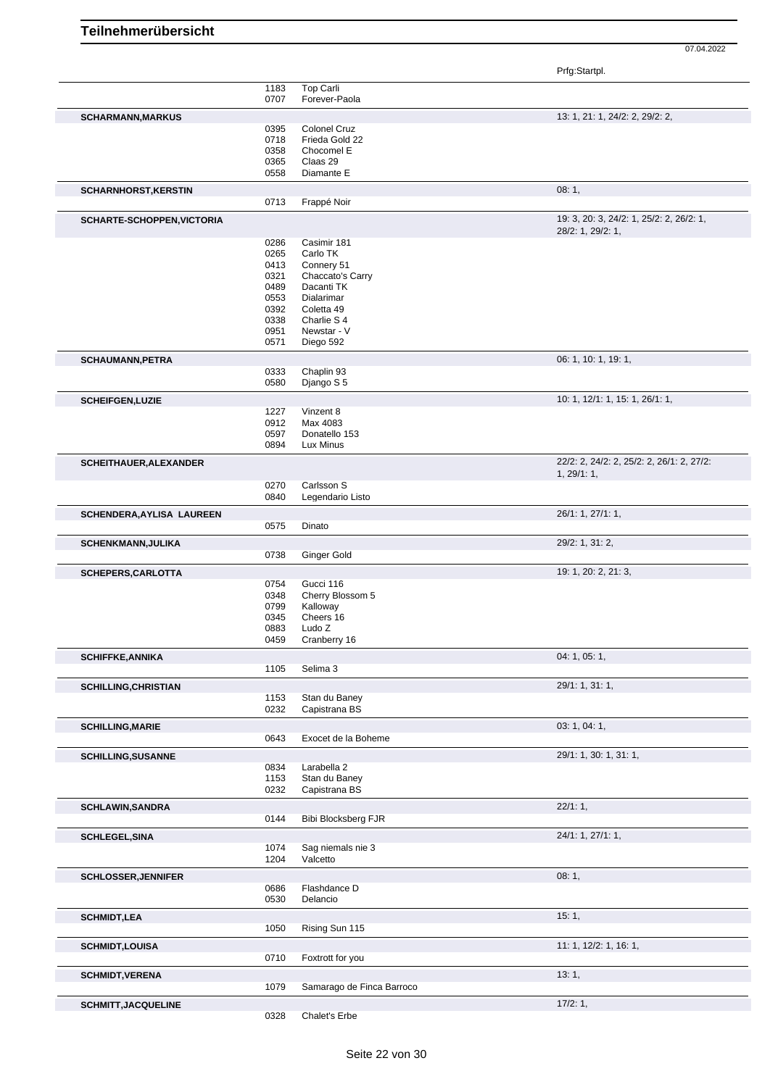| Prfg:Startpl. |
|---------------|
|---------------|

|                               | 1183 | Top Carli                 |                                           |
|-------------------------------|------|---------------------------|-------------------------------------------|
|                               | 0707 | Forever-Paola             |                                           |
|                               |      |                           |                                           |
| <b>SCHARMANN, MARKUS</b>      |      |                           | 13: 1, 21: 1, 24/2: 2, 29/2: 2,           |
|                               | 0395 | Colonel Cruz              |                                           |
|                               | 0718 | Frieda Gold 22            |                                           |
|                               | 0358 | Chocomel E                |                                           |
|                               | 0365 | Claas 29                  |                                           |
|                               | 0558 | Diamante E                |                                           |
|                               |      |                           |                                           |
| <b>SCHARNHORST, KERSTIN</b>   |      |                           | 08:1,                                     |
|                               | 0713 | Frappé Noir               |                                           |
|                               |      |                           |                                           |
| SCHARTE-SCHOPPEN, VICTORIA    |      |                           | 19: 3, 20: 3, 24/2: 1, 25/2: 2, 26/2: 1,  |
|                               |      |                           | 28/2: 1, 29/2: 1,                         |
|                               | 0286 | Casimir 181               |                                           |
|                               | 0265 | Carlo TK                  |                                           |
|                               | 0413 | Connery 51                |                                           |
|                               | 0321 | Chaccato's Carry          |                                           |
|                               | 0489 | Dacanti TK                |                                           |
|                               | 0553 | Dialarimar                |                                           |
|                               | 0392 | Coletta 49                |                                           |
|                               | 0338 | Charlie S 4               |                                           |
|                               | 0951 | Newstar - V               |                                           |
|                               | 0571 | Diego 592                 |                                           |
|                               |      |                           |                                           |
| <b>SCHAUMANN, PETRA</b>       |      |                           | 06: 1, 10: 1, 19: 1,                      |
|                               | 0333 | Chaplin 93                |                                           |
|                               | 0580 | Django S 5                |                                           |
| <b>SCHEIFGEN, LUZIE</b>       |      |                           | 10: 1, 12/1: 1, 15: 1, 26/1: 1,           |
|                               |      |                           |                                           |
|                               | 1227 | Vinzent 8                 |                                           |
|                               | 0912 | Max 4083                  |                                           |
|                               | 0597 | Donatello 153             |                                           |
|                               | 0894 | Lux Minus                 |                                           |
| <b>SCHEITHAUER, ALEXANDER</b> |      |                           | 22/2: 2, 24/2: 2, 25/2: 2, 26/1: 2, 27/2: |
|                               |      |                           | 1, 29/1: 1,                               |
|                               | 0270 | Carlsson S                |                                           |
|                               | 0840 | Legendario Listo          |                                           |
|                               |      |                           |                                           |
| SCHENDERA, AYLISA LAUREEN     |      |                           | 26/1: 1, 27/1: 1,                         |
|                               | 0575 | Dinato                    |                                           |
| <b>SCHENKMANN, JULIKA</b>     |      |                           | 29/2: 1, 31: 2,                           |
|                               | 0738 | Ginger Gold               |                                           |
|                               |      |                           |                                           |
| SCHEPERS, CARLOTTA            |      |                           | 19: 1, 20: 2, 21: 3,                      |
|                               | 0754 | Gucci 116                 |                                           |
|                               | 0348 | Cherry Blossom 5          |                                           |
|                               | 0799 | Kalloway                  |                                           |
|                               | 0345 | Cheers 16                 |                                           |
|                               | 0883 | Ludo <sub>Z</sub>         |                                           |
|                               | 0459 | Cranberry 16              |                                           |
|                               |      |                           |                                           |
| <b>SCHIFFKE, ANNIKA</b>       |      |                           | 04: 1, 05: 1,                             |
|                               | 1105 | Selima 3                  |                                           |
| <b>SCHILLING, CHRISTIAN</b>   |      |                           | 29/1: 1, 31: 1,                           |
|                               | 1153 | Stan du Baney             |                                           |
|                               | 0232 | Capistrana BS             |                                           |
|                               |      |                           |                                           |
| <b>SCHILLING, MARIE</b>       |      |                           | 03: 1, 04: 1,                             |
|                               | 0643 | Exocet de la Boheme       |                                           |
| <b>SCHILLING, SUSANNE</b>     |      |                           | 29/1: 1, 30: 1, 31: 1,                    |
|                               | 0834 | Larabella 2               |                                           |
|                               | 1153 | Stan du Baney             |                                           |
|                               | 0232 | Capistrana BS             |                                           |
|                               |      |                           |                                           |
| <b>SCHLAWIN, SANDRA</b>       |      |                           | 22/1:1,                                   |
|                               | 0144 | Bibi Blocksberg FJR       |                                           |
| <b>SCHLEGEL, SINA</b>         |      |                           | 24/1: 1, 27/1: 1,                         |
|                               | 1074 | Sag niemals nie 3         |                                           |
|                               | 1204 | Valcetto                  |                                           |
|                               |      |                           |                                           |
| <b>SCHLOSSER, JENNIFER</b>    |      |                           | 08:1,                                     |
|                               | 0686 | Flashdance D              |                                           |
|                               | 0530 | Delancio                  |                                           |
| <b>SCHMIDT,LEA</b>            |      |                           | 15:1,                                     |
|                               | 1050 | Rising Sun 115            |                                           |
|                               |      |                           |                                           |
|                               |      |                           | 11: 1, 12/2: 1, 16: 1,                    |
| <b>SCHMIDT,LOUISA</b>         |      |                           |                                           |
|                               | 0710 | Foxtrott for you          |                                           |
|                               |      |                           |                                           |
| <b>SCHMIDT, VERENA</b>        |      |                           | 13:1,                                     |
|                               | 1079 | Samarago de Finca Barroco |                                           |
| <b>SCHMITT, JACQUELINE</b>    | 0328 | Chalet's Erbe             | 17/2:1,                                   |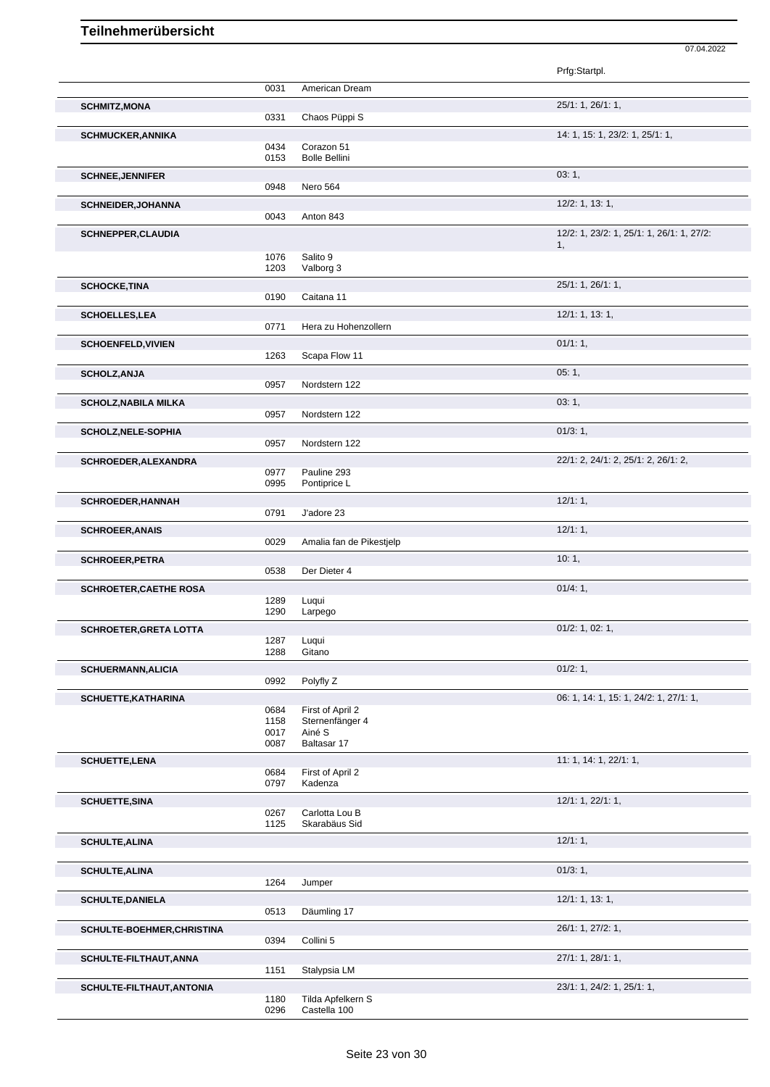|                                                                                                                                                                                                                                                                      |              |                             | Prfg:Startpl.                             |
|----------------------------------------------------------------------------------------------------------------------------------------------------------------------------------------------------------------------------------------------------------------------|--------------|-----------------------------|-------------------------------------------|
|                                                                                                                                                                                                                                                                      | 0031         | American Dream              |                                           |
| <b>SCHMITZ, MONA</b>                                                                                                                                                                                                                                                 |              |                             | 25/1: 1, 26/1: 1,                         |
|                                                                                                                                                                                                                                                                      | 0331         | Chaos Püppi S               |                                           |
| <b>SCHMUCKER, ANNIKA</b>                                                                                                                                                                                                                                             |              |                             | 14: 1, 15: 1, 23/2: 1, 25/1: 1,           |
|                                                                                                                                                                                                                                                                      | 0434         | Corazon 51                  |                                           |
|                                                                                                                                                                                                                                                                      | 0153         | <b>Bolle Bellini</b>        |                                           |
| <b>SCHNEE, JENNIFER</b>                                                                                                                                                                                                                                              |              |                             | 03:1,                                     |
|                                                                                                                                                                                                                                                                      | 0948         | Nero 564                    |                                           |
|                                                                                                                                                                                                                                                                      |              |                             |                                           |
| <b>SCHNEIDER, JOHANNA</b>                                                                                                                                                                                                                                            |              |                             | 12/2: 1, 13: 1,                           |
|                                                                                                                                                                                                                                                                      | 0043         | Anton 843                   |                                           |
| <b>SCHNEPPER, CLAUDIA</b>                                                                                                                                                                                                                                            |              |                             | 12/2: 1, 23/2: 1, 25/1: 1, 26/1: 1, 27/2: |
|                                                                                                                                                                                                                                                                      |              |                             | 1,                                        |
|                                                                                                                                                                                                                                                                      | 1076<br>1203 | Salito 9<br>Valborg 3       |                                           |
|                                                                                                                                                                                                                                                                      |              |                             |                                           |
| <b>SCHOCKE, TINA</b>                                                                                                                                                                                                                                                 |              |                             | 25/1: 1, 26/1: 1,                         |
|                                                                                                                                                                                                                                                                      | 0190         | Caitana 11                  |                                           |
| <b>SCHOELLES, LEA</b>                                                                                                                                                                                                                                                |              |                             | 12/1: 1, 13: 1,                           |
|                                                                                                                                                                                                                                                                      | 0771         | Hera zu Hohenzollern        |                                           |
| <b>SCHOENFELD, VIVIEN</b>                                                                                                                                                                                                                                            |              |                             | 01/1:1,                                   |
|                                                                                                                                                                                                                                                                      | 1263         | Scapa Flow 11               |                                           |
|                                                                                                                                                                                                                                                                      |              |                             |                                           |
| <b>SCHOLZ, ANJA</b>                                                                                                                                                                                                                                                  | 0957         | Nordstern 122               | 05:1,                                     |
|                                                                                                                                                                                                                                                                      |              |                             |                                           |
| <b>SCHOLZ, NABILA MILKA</b>                                                                                                                                                                                                                                          |              |                             | 03:1,                                     |
|                                                                                                                                                                                                                                                                      | 0957         | Nordstern 122               |                                           |
| <b>SCHOLZ, NELE-SOPHIA</b>                                                                                                                                                                                                                                           |              |                             | 01/3:1,                                   |
|                                                                                                                                                                                                                                                                      | 0957         | Nordstern 122               |                                           |
| SCHROEDER, ALEXANDRA                                                                                                                                                                                                                                                 |              |                             | 22/1: 2, 24/1: 2, 25/1: 2, 26/1: 2,       |
|                                                                                                                                                                                                                                                                      | 0977         | Pauline 293                 |                                           |
|                                                                                                                                                                                                                                                                      | 0995         | Pontiprice L                |                                           |
|                                                                                                                                                                                                                                                                      |              |                             | 12/1:1,                                   |
| <b>SCHROEDER, HANNAH</b>                                                                                                                                                                                                                                             | 0791         | J'adore 23                  |                                           |
|                                                                                                                                                                                                                                                                      |              |                             |                                           |
| <b>SCHROEER, ANAIS</b>                                                                                                                                                                                                                                               |              |                             | 12/1:1,                                   |
|                                                                                                                                                                                                                                                                      | 0029         | Amalia fan de Pikestjelp    |                                           |
| <b>SCHROEER, PETRA</b>                                                                                                                                                                                                                                               |              |                             | 10:1,                                     |
|                                                                                                                                                                                                                                                                      | 0538         | Der Dieter 4                |                                           |
| <b>SCHROETER, CAETHE ROSA</b>                                                                                                                                                                                                                                        |              |                             | 01/4:1,                                   |
|                                                                                                                                                                                                                                                                      | 1289         | Luqui                       |                                           |
|                                                                                                                                                                                                                                                                      | 1290         | Larpego                     |                                           |
| <b>SCHROETER, GRETA LOTTA</b>                                                                                                                                                                                                                                        |              |                             | $01/2$ : 1, 02: 1,                        |
|                                                                                                                                                                                                                                                                      |              |                             |                                           |
|                                                                                                                                                                                                                                                                      |              |                             |                                           |
|                                                                                                                                                                                                                                                                      | 1287<br>1288 | Luqui<br>Gitano             |                                           |
|                                                                                                                                                                                                                                                                      |              |                             |                                           |
|                                                                                                                                                                                                                                                                      |              |                             | 01/2: 1,                                  |
|                                                                                                                                                                                                                                                                      | 0992         | Polyfly Z                   |                                           |
|                                                                                                                                                                                                                                                                      |              |                             | 06: 1, 14: 1, 15: 1, 24/2: 1, 27/1: 1,    |
|                                                                                                                                                                                                                                                                      | 0684         | First of April 2            |                                           |
|                                                                                                                                                                                                                                                                      | 1158         | Sternenfänger 4             |                                           |
|                                                                                                                                                                                                                                                                      | 0017<br>0087 | Ainé S<br>Baltasar 17       |                                           |
|                                                                                                                                                                                                                                                                      |              |                             |                                           |
|                                                                                                                                                                                                                                                                      |              |                             | 11: 1, 14: 1, 22/1: 1,                    |
|                                                                                                                                                                                                                                                                      | 0684<br>0797 | First of April 2<br>Kadenza |                                           |
|                                                                                                                                                                                                                                                                      |              |                             |                                           |
|                                                                                                                                                                                                                                                                      |              |                             | 12/1: 1, 22/1: 1,                         |
|                                                                                                                                                                                                                                                                      | 0267         | Carlotta Lou B              |                                           |
|                                                                                                                                                                                                                                                                      | 1125         | Skarabäus Sid               |                                           |
|                                                                                                                                                                                                                                                                      |              |                             | 12/1:1,                                   |
|                                                                                                                                                                                                                                                                      |              |                             |                                           |
|                                                                                                                                                                                                                                                                      |              |                             | 01/3:1,                                   |
|                                                                                                                                                                                                                                                                      | 1264         | Jumper                      |                                           |
|                                                                                                                                                                                                                                                                      |              |                             | 12/1: 1, 13: 1,                           |
|                                                                                                                                                                                                                                                                      | 0513         | Däumling 17                 |                                           |
|                                                                                                                                                                                                                                                                      |              |                             |                                           |
|                                                                                                                                                                                                                                                                      |              |                             | 26/1: 1, 27/2: 1,                         |
|                                                                                                                                                                                                                                                                      | 0394         | Collini 5                   |                                           |
|                                                                                                                                                                                                                                                                      |              |                             | 27/1: 1, 28/1: 1,                         |
|                                                                                                                                                                                                                                                                      | 1151         | Stalypsia LM                |                                           |
| <b>SCHUERMANN, ALICIA</b><br>SCHUETTE, KATHARINA<br><b>SCHUETTE, LENA</b><br><b>SCHUETTE, SINA</b><br><b>SCHULTE, ALINA</b><br><b>SCHULTE, ALINA</b><br><b>SCHULTE, DANIELA</b><br>SCHULTE-BOEHMER, CHRISTINA<br>SCHULTE-FILTHAUT, ANNA<br>SCHULTE-FILTHAUT, ANTONIA |              |                             | 23/1: 1, 24/2: 1, 25/1: 1,                |

07.04.2022

0296 Castella 100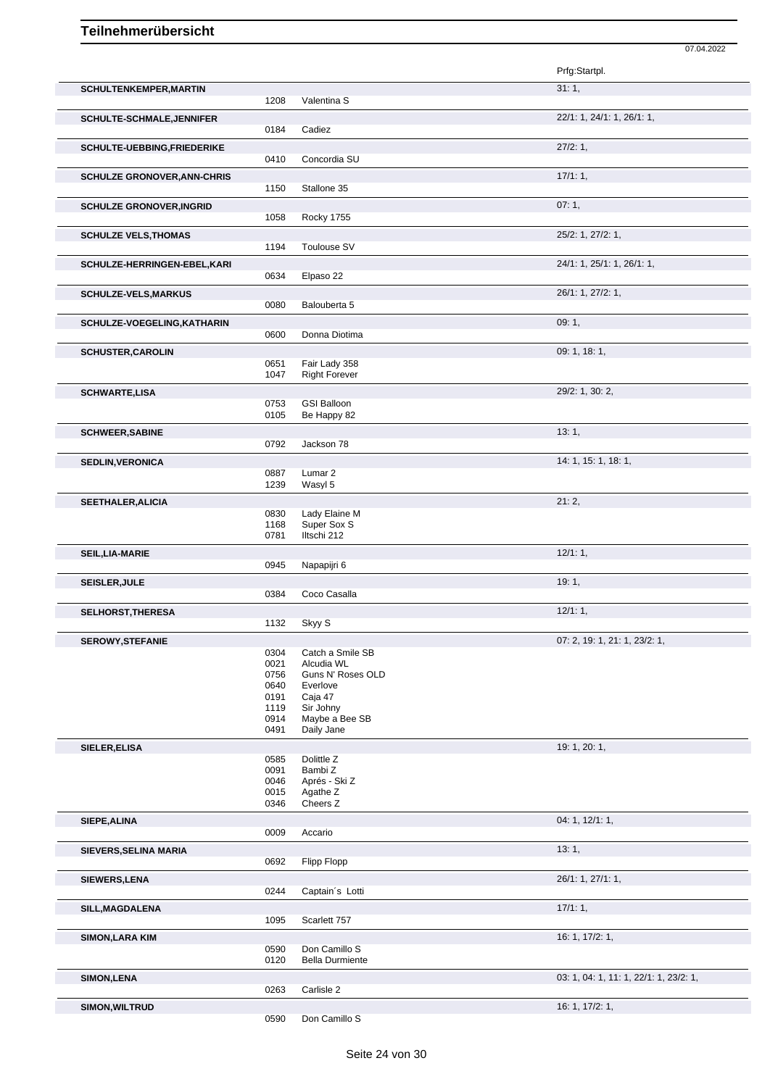|                                    |              |                                | 07.04.2022                             |
|------------------------------------|--------------|--------------------------------|----------------------------------------|
|                                    |              |                                | Prfg:Startpl.                          |
| SCHULTENKEMPER, MARTIN             | 1208         | Valentina S                    | 31:1,                                  |
| <b>SCHULTE-SCHMALE, JENNIFER</b>   |              |                                | 22/1: 1, 24/1: 1, 26/1: 1,             |
|                                    | 0184         | Cadiez                         |                                        |
| SCHULTE-UEBBING, FRIEDERIKE        |              |                                | 27/2:1,                                |
|                                    | 0410         | Concordia SU                   |                                        |
| <b>SCHULZE GRONOVER, ANN-CHRIS</b> | 1150         | Stallone 35                    | 17/1:1,                                |
| <b>SCHULZE GRONOVER, INGRID</b>    |              |                                | 07:1,                                  |
|                                    | 1058         | Rocky 1755                     |                                        |
| <b>SCHULZE VELS, THOMAS</b>        | 1194         | Toulouse SV                    | 25/2: 1, 27/2: 1,                      |
| SCHULZE-HERRINGEN-EBEL, KARI       |              |                                | 24/1: 1, 25/1: 1, 26/1: 1,             |
|                                    | 0634         | Elpaso 22                      |                                        |
| <b>SCHULZE-VELS, MARKUS</b>        |              |                                | 26/1: 1, 27/2: 1,                      |
|                                    | 0080         | Balouberta 5                   |                                        |
| SCHULZE-VOEGELING, KATHARIN        | 0600         | Donna Diotima                  | 09:1,                                  |
| <b>SCHUSTER, CAROLIN</b>           |              |                                | 09: 1, 18: 1,                          |
|                                    | 0651         | Fair Lady 358                  |                                        |
|                                    | 1047         | <b>Right Forever</b>           |                                        |
| <b>SCHWARTE,LISA</b>               | 0753         | <b>GSI Balloon</b>             | 29/2: 1, 30: 2,                        |
|                                    | 0105         | Be Happy 82                    |                                        |
| <b>SCHWEER, SABINE</b>             |              |                                | 13:1,                                  |
|                                    | 0792         | Jackson 78                     |                                        |
| <b>SEDLIN, VERONICA</b>            | 0887         | Lumar <sub>2</sub>             | 14: 1, 15: 1, 18: 1,                   |
|                                    | 1239         | Wasyl 5                        |                                        |
| <b>SEETHALER, ALICIA</b>           |              |                                | 21:2,                                  |
|                                    | 0830<br>1168 | Lady Elaine M<br>Super Sox S   |                                        |
|                                    | 0781         | Iltschi 212                    |                                        |
| SEIL, LIA-MARIE                    |              |                                | 12/1:1,                                |
|                                    | 0945         | Napapijri 6                    |                                        |
| SEISLER, JULE                      | 0384         | Coco Casalla                   | 19:1,                                  |
| <b>SELHORST, THERESA</b>           |              |                                | 12/1:1,                                |
|                                    | 1132         | Skyy S                         |                                        |
| <b>SEROWY, STEFANIE</b>            |              |                                | 07: 2, 19: 1, 21: 1, 23/2: 1,          |
|                                    | 0304<br>0021 | Catch a Smile SB<br>Alcudia WL |                                        |
|                                    | 0756         | Guns N' Roses OLD              |                                        |
|                                    | 0640<br>0191 | Everlove<br>Caja 47            |                                        |
|                                    | 1119         | Sir Johny                      |                                        |
|                                    | 0914<br>0491 | Maybe a Bee SB<br>Daily Jane   |                                        |
| SIELER, ELISA                      |              |                                | 19: 1, 20: 1,                          |
|                                    | 0585         | Dolittle Z                     |                                        |
|                                    | 0091         | Bambi Z                        |                                        |
|                                    | 0046<br>0015 | Aprés - Ski Z<br>Agathe Z      |                                        |
|                                    | 0346         | Cheers Z                       |                                        |
| SIEPE, ALINA                       |              |                                | 04: 1, 12/1: 1,                        |
|                                    | 0009         | Accario                        |                                        |
| SIEVERS, SELINA MARIA              | 0692         | Flipp Flopp                    | 13:1,                                  |
| SIEWERS, LENA                      |              |                                | 26/1: 1, 27/1: 1,                      |
|                                    | 0244         | Captain's Lotti                |                                        |
| SILL, MAGDALENA                    |              |                                | 17/1:1,                                |
|                                    | 1095         | Scarlett 757                   |                                        |
| <b>SIMON, LARA KIM</b>             | 0590         | Don Camillo S                  | 16: 1, 17/2: 1,                        |
|                                    | 0120         | <b>Bella Durmiente</b>         |                                        |
| SIMON, LENA                        |              |                                | 03: 1, 04: 1, 11: 1, 22/1: 1, 23/2: 1, |
|                                    | 0263         | Carlisle 2                     |                                        |
| SIMON, WILTRUD                     | 0590         | Don Camillo S                  | 16: 1, 17/2: 1,                        |
|                                    |              |                                |                                        |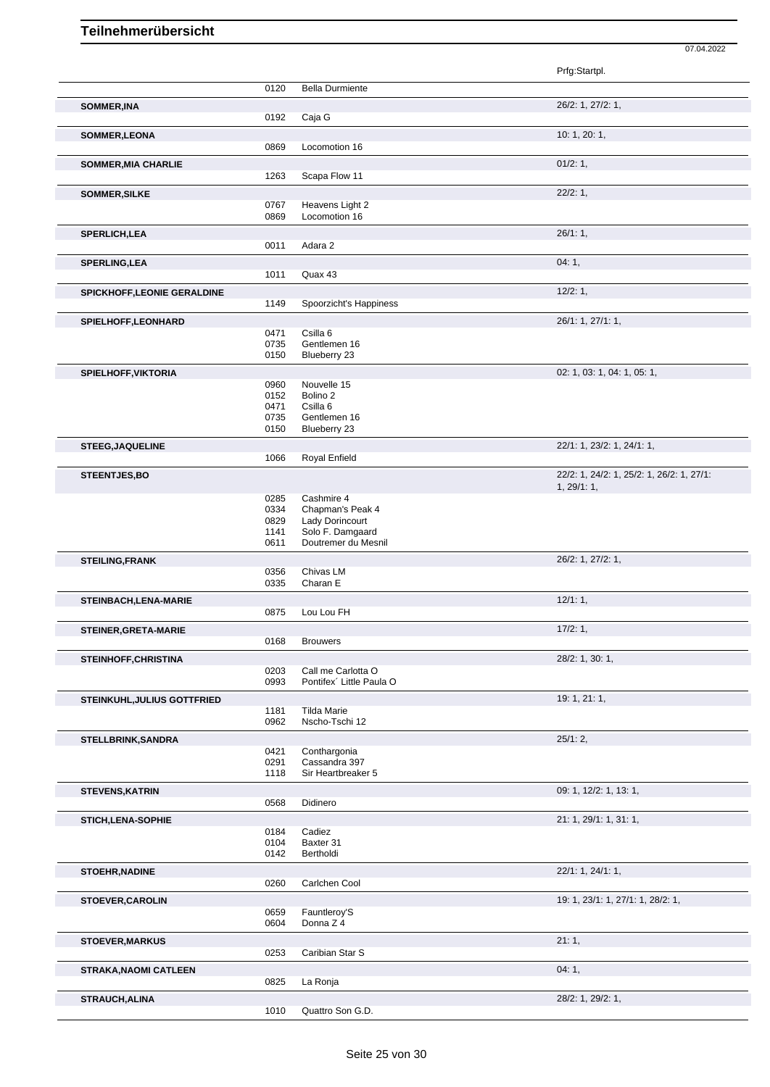|                                    |              |                                     | Prfg:Startpl.                                            |
|------------------------------------|--------------|-------------------------------------|----------------------------------------------------------|
|                                    | 0120         | <b>Bella Durmiente</b>              |                                                          |
| <b>SOMMER, INA</b>                 |              |                                     | 26/2: 1, 27/2: 1,                                        |
|                                    | 0192         | Caja G                              |                                                          |
| SOMMER, LEONA                      |              |                                     | 10: 1, 20: 1,                                            |
|                                    | 0869         | Locomotion 16                       |                                                          |
| <b>SOMMER, MIA CHARLIE</b>         |              |                                     | 01/2:1,                                                  |
|                                    | 1263         | Scapa Flow 11                       |                                                          |
| <b>SOMMER, SILKE</b>               | 0767         | Heavens Light 2                     | 22/2:1,                                                  |
|                                    | 0869         | Locomotion 16                       |                                                          |
| <b>SPERLICH, LEA</b>               |              |                                     | 26/1:1,                                                  |
|                                    | 0011         | Adara 2                             |                                                          |
| <b>SPERLING, LEA</b>               |              |                                     | 04:1,                                                    |
|                                    | 1011         | Quax 43                             |                                                          |
| SPICKHOFF, LEONIE GERALDINE        |              |                                     | 12/2:1,                                                  |
|                                    | 1149         | Spoorzicht's Happiness              |                                                          |
| SPIELHOFF, LEONHARD                | 0471         | Csilla 6                            | 26/1: 1, 27/1: 1,                                        |
|                                    | 0735         | Gentlemen 16                        |                                                          |
|                                    | 0150         | Blueberry 23                        |                                                          |
| SPIELHOFF, VIKTORIA                |              |                                     | 02: 1, 03: 1, 04: 1, 05: 1,                              |
|                                    | 0960<br>0152 | Nouvelle 15<br>Bolino <sub>2</sub>  |                                                          |
|                                    | 0471         | Csilla <sub>6</sub>                 |                                                          |
|                                    | 0735         | Gentlemen 16                        |                                                          |
|                                    | 0150         | Blueberry 23                        |                                                          |
| <b>STEEG, JAQUELINE</b>            |              |                                     | 22/1: 1, 23/2: 1, 24/1: 1,                               |
|                                    | 1066         | Royal Enfield                       |                                                          |
| <b>STEENTJES,BO</b>                |              |                                     | 22/2: 1, 24/2: 1, 25/2: 1, 26/2: 1, 27/1:<br>1, 29/1: 1, |
|                                    | 0285         | Cashmire 4                          |                                                          |
|                                    | 0334<br>0829 | Chapman's Peak 4<br>Lady Dorincourt |                                                          |
|                                    | 1141         | Solo F. Damgaard                    |                                                          |
|                                    | 0611         | Doutremer du Mesnil                 |                                                          |
| <b>STEILING, FRANK</b>             |              |                                     | 26/2: 1, 27/2: 1,                                        |
|                                    | 0356         | Chivas LM                           |                                                          |
|                                    | 0335         | Charan E                            |                                                          |
| STEINBACH, LENA-MARIE              | 0875         | Lou Lou FH                          | 12/1:1,                                                  |
| STEINER, GRETA-MARIE               |              |                                     | 17/2:1,                                                  |
|                                    | 0168         | <b>Brouwers</b>                     |                                                          |
| STEINHOFF, CHRISTINA               |              |                                     | 28/2: 1, 30: 1,                                          |
|                                    | 0203         | Call me Carlotta O                  |                                                          |
|                                    | 0993         | Pontifex' Little Paula O            |                                                          |
| <b>STEINKUHL, JULIUS GOTTFRIED</b> | 1181         | <b>Tilda Marie</b>                  | 19: 1, 21: 1,                                            |
|                                    | 0962         | Nscho-Tschi 12                      |                                                          |
| STELLBRINK, SANDRA                 |              |                                     | 25/1:2,                                                  |
|                                    | 0421         | Conthargonia                        |                                                          |
|                                    | 0291<br>1118 | Cassandra 397<br>Sir Heartbreaker 5 |                                                          |
| <b>STEVENS, KATRIN</b>             |              |                                     | 09: 1, 12/2: 1, 13: 1,                                   |
|                                    | 0568         | Didinero                            |                                                          |
| <b>STICH, LENA-SOPHIE</b>          |              |                                     | 21: 1, 29/1: 1, 31: 1,                                   |
|                                    | 0184         | Cadiez                              |                                                          |
|                                    | 0104<br>0142 | Baxter 31<br>Bertholdi              |                                                          |
|                                    |              |                                     |                                                          |
| <b>STOEHR, NADINE</b>              | 0260         | Carlchen Cool                       | 22/1: 1, 24/1: 1,                                        |
|                                    |              |                                     | 19: 1, 23/1: 1, 27/1: 1, 28/2: 1,                        |
| <b>STOEVER, CAROLIN</b>            | 0659         | Fauntleroy'S                        |                                                          |
|                                    | 0604         | Donna Z 4                           |                                                          |
| <b>STOEVER, MARKUS</b>             |              |                                     | 21:1,                                                    |
|                                    | 0253         | Caribian Star S                     |                                                          |
| <b>STRAKA, NAOMI CATLEEN</b>       |              |                                     | 04:1,                                                    |
|                                    | 0825         | La Ronja                            |                                                          |
| STRAUCH, ALINA                     |              |                                     | 28/2: 1, 29/2: 1,                                        |
|                                    | 1010         | Quattro Son G.D.                    |                                                          |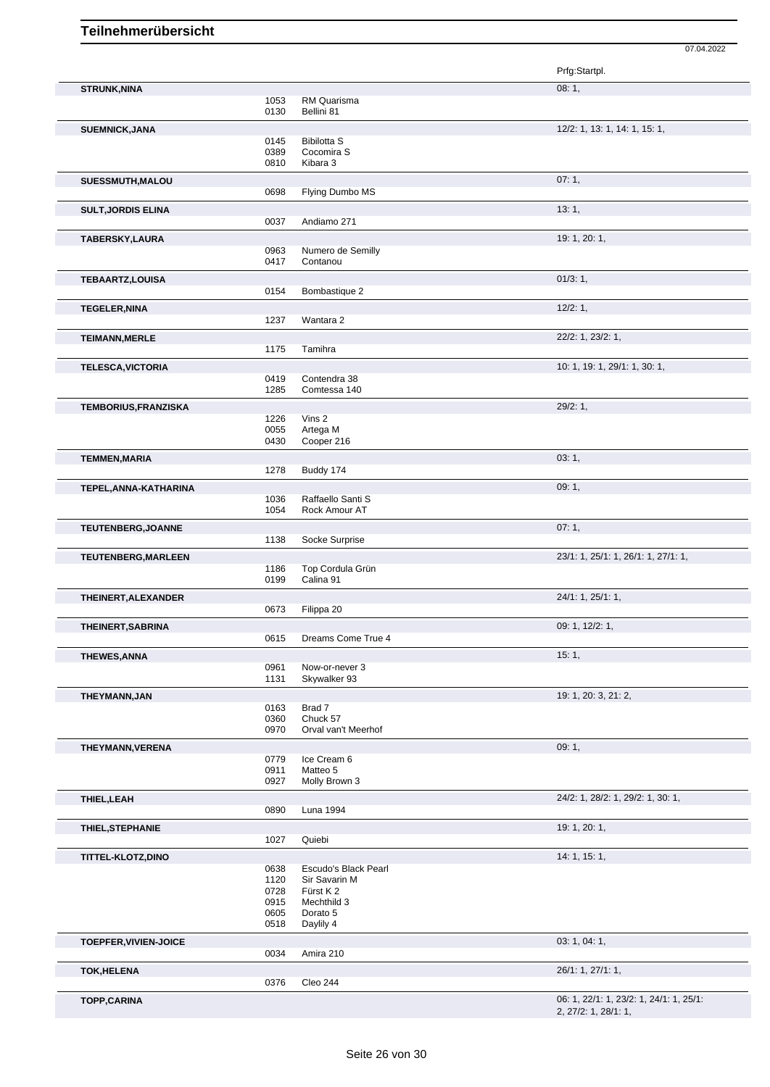|                             |              |                                 | 07.04.2022                              |
|-----------------------------|--------------|---------------------------------|-----------------------------------------|
|                             |              |                                 | Prfg:Startpl.                           |
| <b>STRUNK, NINA</b>         |              |                                 | 08:1,                                   |
|                             | 1053         | RM Quarisma                     |                                         |
|                             | 0130         | Bellini 81                      |                                         |
| <b>SUEMNICK, JANA</b>       |              |                                 | 12/2: 1, 13: 1, 14: 1, 15: 1,           |
|                             | 0145         | <b>Bibilotta S</b>              |                                         |
|                             | 0389         | Cocomira S                      |                                         |
|                             | 0810         | Kibara 3                        |                                         |
| SUESSMUTH, MALOU            |              |                                 | 07:1,                                   |
|                             | 0698         | Flying Dumbo MS                 |                                         |
| <b>SULT, JORDIS ELINA</b>   |              |                                 | 13:1,                                   |
|                             | 0037         | Andiamo 271                     |                                         |
|                             |              |                                 |                                         |
| TABERSKY, LAURA             | 0963         | Numero de Semilly               | 19: 1, 20: 1,                           |
|                             | 0417         | Contanou                        |                                         |
|                             |              |                                 |                                         |
| <b>TEBAARTZ,LOUISA</b>      | 0154         | Bombastique 2                   | 01/3:1,                                 |
|                             |              |                                 |                                         |
| <b>TEGELER, NINA</b>        |              |                                 | 12/2:1,                                 |
|                             | 1237         | Wantara 2                       |                                         |
| <b>TEIMANN, MERLE</b>       |              |                                 | 22/2: 1, 23/2: 1,                       |
|                             | 1175         | Tamihra                         |                                         |
| <b>TELESCA, VICTORIA</b>    |              |                                 | 10: 1, 19: 1, 29/1: 1, 30: 1,           |
|                             | 0419         | Contendra 38                    |                                         |
|                             | 1285         | Comtessa 140                    |                                         |
| <b>TEMBORIUS, FRANZISKA</b> |              |                                 | 29/2:1,                                 |
|                             | 1226         | Vins 2                          |                                         |
|                             | 0055         | Artega M                        |                                         |
|                             | 0430         | Cooper 216                      |                                         |
| <b>TEMMEN, MARIA</b>        |              |                                 | 03:1,                                   |
|                             | 1278         | Buddy 174                       |                                         |
| TEPEL, ANNA-KATHARINA       |              |                                 | 09:1,                                   |
|                             | 1036         | Raffaello Santi S               |                                         |
|                             | 1054         | Rock Amour AT                   |                                         |
| TEUTENBERG, JOANNE          |              |                                 | 07:1,                                   |
|                             | 1138         | Socke Surprise                  |                                         |
|                             |              |                                 |                                         |
| <b>TEUTENBERG, MARLEEN</b>  | 1186         | Top Cordula Grün                | 23/1: 1, 25/1: 1, 26/1: 1, 27/1: 1,     |
|                             | 0199         | Calina 91                       |                                         |
|                             |              |                                 |                                         |
| THEINERT, ALEXANDER         | 0673         | Filippa 20                      | 24/1: 1, 25/1: 1,                       |
|                             |              |                                 |                                         |
| THEINERT, SABRINA           |              |                                 | 09: 1, 12/2: 1,                         |
|                             | 0615         | Dreams Come True 4              |                                         |
| <b>THEWES, ANNA</b>         |              |                                 | 15:1,                                   |
|                             | 0961         | Now-or-never 3                  |                                         |
|                             | 1131         | Skywalker 93                    |                                         |
| THEYMANN, JAN               |              |                                 | 19: 1, 20: 3, 21: 2,                    |
|                             | 0163         | Brad 7                          |                                         |
|                             | 0360<br>0970 | Chuck 57<br>Orval van't Meerhof |                                         |
|                             |              |                                 |                                         |
| THEYMANN, VERENA            |              |                                 | 09:1,                                   |
|                             | 0779<br>0911 | Ice Cream 6<br>Matteo 5         |                                         |
|                             | 0927         | Molly Brown 3                   |                                         |
|                             |              |                                 |                                         |
| THIEL, LEAH                 |              |                                 | 24/2: 1, 28/2: 1, 29/2: 1, 30: 1,       |
|                             | 0890         | Luna 1994                       |                                         |
| <b>THIEL, STEPHANIE</b>     |              |                                 | 19: 1, 20: 1,                           |
|                             | 1027         | Quiebi                          |                                         |
| TITTEL-KLOTZ,DINO           |              |                                 | 14: 1, 15: 1,                           |
|                             | 0638         | Escudo's Black Pearl            |                                         |
|                             | 1120         | Sir Savarin M                   |                                         |
|                             | 0728         | Fürst K 2                       |                                         |
|                             | 0915<br>0605 | Mechthild 3<br>Dorato 5         |                                         |
|                             | 0518         | Daylily 4                       |                                         |
|                             |              |                                 |                                         |
| TOEPFER, VIVIEN-JOICE       | 0034         |                                 | 03: 1, 04: 1,                           |
|                             |              | Amira 210                       |                                         |
| <b>TOK,HELENA</b>           |              |                                 | 26/1: 1, 27/1: 1,                       |
|                             | 0376         | Cleo 244                        |                                         |
| <b>TOPP,CARINA</b>          |              |                                 | 06: 1, 22/1: 1, 23/2: 1, 24/1: 1, 25/1: |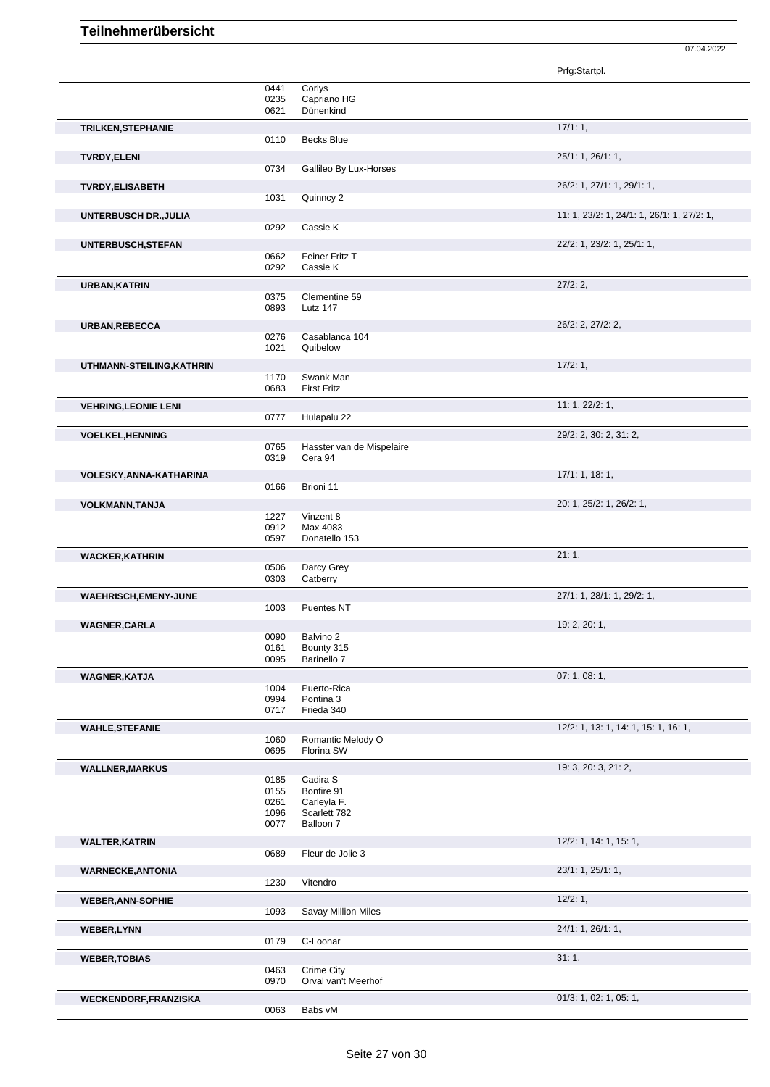|                              |                      |                                      | Prfg:Startpl.                              |
|------------------------------|----------------------|--------------------------------------|--------------------------------------------|
|                              | 0441<br>0235<br>0621 | Corlys<br>Capriano HG<br>Dünenkind   |                                            |
| <b>TRILKEN, STEPHANIE</b>    |                      |                                      | 17/1:1,                                    |
|                              | 0110                 | <b>Becks Blue</b>                    |                                            |
| <b>TVRDY, ELENI</b>          | 0734                 | Gallileo By Lux-Horses               | 25/1: 1, 26/1: 1,                          |
| <b>TVRDY, ELISABETH</b>      | 1031                 | Quinncy 2                            | 26/2: 1, 27/1: 1, 29/1: 1,                 |
| <b>UNTERBUSCH DR., JULIA</b> | 0292                 | Cassie K                             | 11: 1, 23/2: 1, 24/1: 1, 26/1: 1, 27/2: 1, |
| UNTERBUSCH, STEFAN           |                      |                                      | 22/2: 1, 23/2: 1, 25/1: 1,                 |
|                              | 0662<br>0292         | Feiner Fritz T<br>Cassie K           |                                            |
| <b>URBAN, KATRIN</b>         |                      |                                      | 27/2:2,                                    |
|                              | 0375<br>0893         | Clementine 59<br>Lutz 147            |                                            |
| URBAN, REBECCA               |                      |                                      | 26/2: 2, 27/2: 2,                          |
|                              | 0276<br>1021         | Casablanca 104<br>Quibelow           |                                            |
| UTHMANN-STEILING, KATHRIN    |                      |                                      | 17/2:1,                                    |
|                              | 1170<br>0683         | Swank Man<br><b>First Fritz</b>      |                                            |
| <b>VEHRING, LEONIE LENI</b>  |                      |                                      | 11: 1, 22/2: 1,                            |
|                              | 0777                 | Hulapalu 22                          |                                            |
| <b>VOELKEL, HENNING</b>      | 0765<br>0319         | Hasster van de Mispelaire<br>Cera 94 | 29/2: 2, 30: 2, 31: 2,                     |
| VOLESKY, ANNA-KATHARINA      |                      |                                      | 17/1: 1, 18: 1,                            |
|                              | 0166                 | Brioni 11                            |                                            |
| <b>VOLKMANN, TANJA</b>       | 1227                 | Vinzent 8                            | 20: 1, 25/2: 1, 26/2: 1,                   |
|                              | 0912                 | Max 4083                             |                                            |
|                              | 0597                 | Donatello 153                        |                                            |
| <b>WACKER, KATHRIN</b>       |                      |                                      | 21:1,                                      |
|                              | 0506<br>0303         | Darcy Grey<br>Catberry               |                                            |
| <b>WAEHRISCH, EMENY-JUNE</b> |                      |                                      | 27/1: 1, 28/1: 1, 29/2: 1,                 |
|                              | 1003                 | Puentes NT                           |                                            |
| <b>WAGNER,CARLA</b>          |                      |                                      | 19: 2, 20: 1,                              |
|                              | 0090                 | Balvino 2                            |                                            |
|                              | 0161<br>0095         | Bounty 315<br>Barinello 7            |                                            |
| <b>WAGNER, KATJA</b>         |                      |                                      | 07: 1, 08: 1,                              |
|                              | 1004                 | Puerto-Rica                          |                                            |
|                              | 0994<br>0717         | Pontina 3<br>Frieda 340              |                                            |
|                              |                      |                                      |                                            |
| <b>WAHLE, STEFANIE</b>       | 1060                 | Romantic Melody O                    | 12/2: 1, 13: 1, 14: 1, 15: 1, 16: 1,       |
|                              | 0695                 | Florina SW                           |                                            |
| <b>WALLNER, MARKUS</b>       |                      |                                      | 19: 3, 20: 3, 21: 2,                       |
|                              | 0185<br>0155         | Cadira S<br>Bonfire 91               |                                            |
|                              | 0261                 | Carleyla F.                          |                                            |
|                              | 1096                 | Scarlett 782                         |                                            |
|                              | 0077                 | Balloon 7                            |                                            |
| <b>WALTER, KATRIN</b>        | 0689                 | Fleur de Jolie 3                     | 12/2: 1, 14: 1, 15: 1,                     |
|                              |                      |                                      | 23/1: 1, 25/1: 1,                          |
| <b>WARNECKE, ANTONIA</b>     | 1230                 | Vitendro                             |                                            |
| <b>WEBER, ANN-SOPHIE</b>     |                      |                                      | 12/2:1,                                    |
|                              | 1093                 | <b>Savay Million Miles</b>           |                                            |
| <b>WEBER,LYNN</b>            | 0179                 | C-Loonar                             | 24/1: 1, 26/1: 1,                          |
| <b>WEBER, TOBIAS</b>         |                      |                                      | 31:1,                                      |
|                              | 0463<br>0970         | Crime City<br>Orval van't Meerhof    |                                            |
| <b>WECKENDORF, FRANZISKA</b> |                      |                                      | 01/3: 1, 02: 1, 05: 1,                     |
|                              | 0063                 | Babs vM                              |                                            |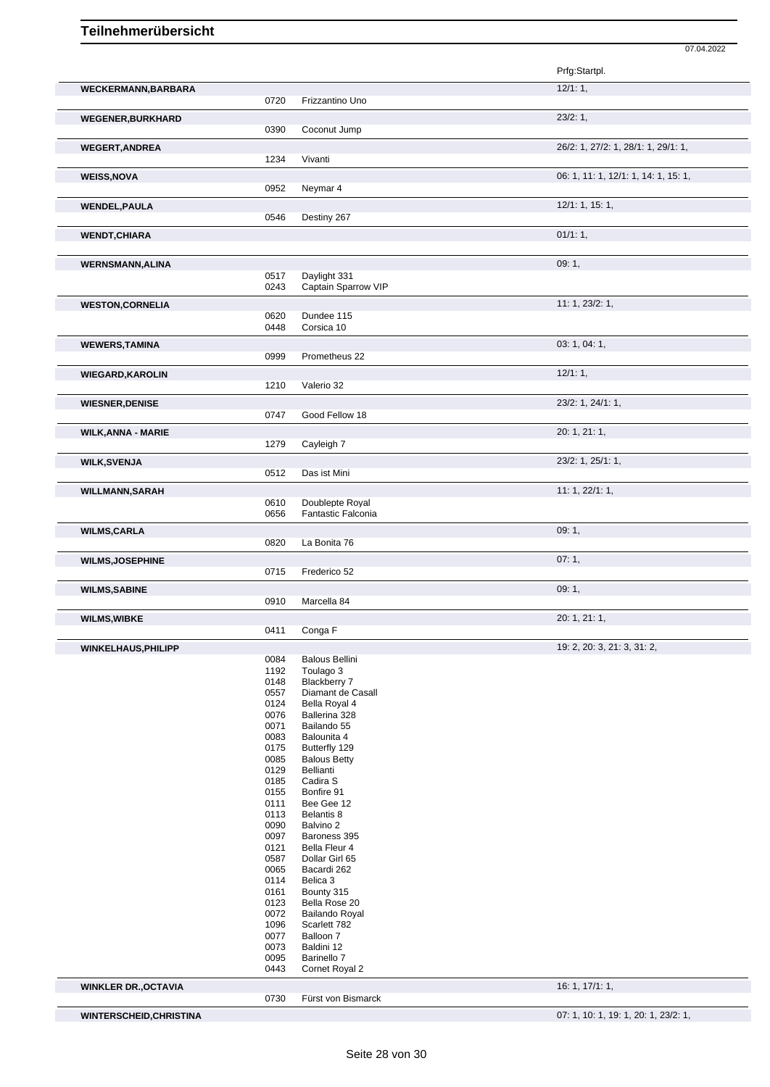|                           |              |                                       | Prfg:Startpl.                        |
|---------------------------|--------------|---------------------------------------|--------------------------------------|
| WECKERMANN, BARBARA       |              |                                       | 12/1:1,                              |
|                           | 0720         | Frizzantino Uno                       |                                      |
| <b>WEGENER, BURKHARD</b>  |              |                                       | 23/2:1,                              |
|                           | 0390         | Coconut Jump                          |                                      |
| <b>WEGERT, ANDREA</b>     |              |                                       | 26/2: 1, 27/2: 1, 28/1: 1, 29/1: 1,  |
|                           | 1234         | Vivanti                               |                                      |
| <b>WEISS, NOVA</b>        |              |                                       | 06: 1, 11: 1, 12/1: 1, 14: 1, 15: 1, |
|                           | 0952         | Neymar 4                              |                                      |
| <b>WENDEL, PAULA</b>      |              |                                       | 12/1: 1, 15: 1,                      |
|                           | 0546         | Destiny 267                           |                                      |
| <b>WENDT, CHIARA</b>      |              |                                       | $01/1:1$ ,                           |
|                           |              |                                       |                                      |
| <b>WERNSMANN, ALINA</b>   |              |                                       | 09:1,                                |
|                           | 0517         | Daylight 331                          |                                      |
|                           | 0243         | Captain Sparrow VIP                   |                                      |
| <b>WESTON, CORNELIA</b>   |              |                                       | 11: 1, 23/2: 1,                      |
|                           | 0620<br>0448 | Dundee 115<br>Corsica 10              |                                      |
|                           |              |                                       |                                      |
| <b>WEWERS, TAMINA</b>     | 0999         | Prometheus 22                         | 03: 1, 04: 1,                        |
|                           |              |                                       |                                      |
| <b>WIEGARD, KAROLIN</b>   | 1210         | Valerio 32                            | 12/1:1,                              |
|                           |              |                                       | 23/2: 1, 24/1: 1,                    |
| <b>WIESNER, DENISE</b>    | 0747         | Good Fellow 18                        |                                      |
|                           |              |                                       | 20: 1, 21: 1,                        |
| <b>WILK, ANNA - MARIE</b> | 1279         | Cayleigh 7                            |                                      |
| <b>WILK, SVENJA</b>       |              |                                       | 23/2: 1, 25/1: 1,                    |
|                           | 0512         | Das ist Mini                          |                                      |
| <b>WILLMANN, SARAH</b>    |              |                                       | 11: 1, 22/1: 1,                      |
|                           | 0610         | Doublepte Royal                       |                                      |
|                           | 0656         | Fantastic Falconia                    |                                      |
| <b>WILMS, CARLA</b>       |              |                                       | 09:1,                                |
|                           | 0820         | La Bonita 76                          |                                      |
| <b>WILMS, JOSEPHINE</b>   |              |                                       | 07:1,                                |
|                           | 0715         | Frederico 52                          |                                      |
| <b>WILMS, SABINE</b>      |              |                                       | 09:1,                                |
|                           | 0910         | Marcella 84                           |                                      |
| <b>WILMS, WIBKE</b>       |              | Conga F                               | 20: 1, 21: 1,                        |
|                           | 0411         |                                       |                                      |
| WINKELHAUS, PHILIPP       | 0084         | <b>Balous Bellini</b>                 | 19: 2, 20: 3, 21: 3, 31: 2,          |
|                           | 1192         | Toulago 3                             |                                      |
|                           | 0148         | Blackberry 7                          |                                      |
|                           | 0557<br>0124 | Diamant de Casall<br>Bella Royal 4    |                                      |
|                           | 0076         | Ballerina 328                         |                                      |
|                           | 0071         | Bailando 55                           |                                      |
|                           | 0083<br>0175 | Balounita 4<br>Butterfly 129          |                                      |
|                           | 0085         | <b>Balous Betty</b>                   |                                      |
|                           | 0129         | Bellianti                             |                                      |
|                           | 0185<br>0155 | Cadira S<br>Bonfire 91                |                                      |
|                           | 0111         | Bee Gee 12                            |                                      |
|                           | 0113         | Belantis 8                            |                                      |
|                           | 0090<br>0097 | Balvino 2<br>Baroness 395             |                                      |
|                           | 0121         | Bella Fleur 4                         |                                      |
|                           | 0587         | Dollar Girl 65                        |                                      |
|                           | 0065<br>0114 | Bacardi 262<br>Belica 3               |                                      |
|                           | 0161         | Bounty 315                            |                                      |
|                           | 0123         | Bella Rose 20                         |                                      |
|                           | 0072<br>1096 | <b>Bailando Royal</b><br>Scarlett 782 |                                      |
|                           | 0077         | Balloon 7                             |                                      |
|                           | 0073         | Baldini 12                            |                                      |
|                           | 0095         | Barinello 7                           |                                      |

07.04.2022

**WINTERSCHEID,CHRISTINA** 07: 1, 10: 1, 19: 1, 20: 1, 23/2: 1,

**WINKLER DR., OCTAVIA** 16: 1, 17/1: 1, 17/1: 1, 17/1: 1, 16: 1, 17/1: 1, 1, 17/1: 1, 1, 17/1: 1, 1, 17/1: 1, 1, 17/1: 1, 1, 17/1: 1, 1, 17/1: 1, 1, 17/1: 1, 1, 17/1: 1, 1, 17/1: 1, 1, 17/1: 1, 1, 17/1: 1, 1, 17/1: 1, 1, 17 Fürst von Bismarck

Cornet Royal 2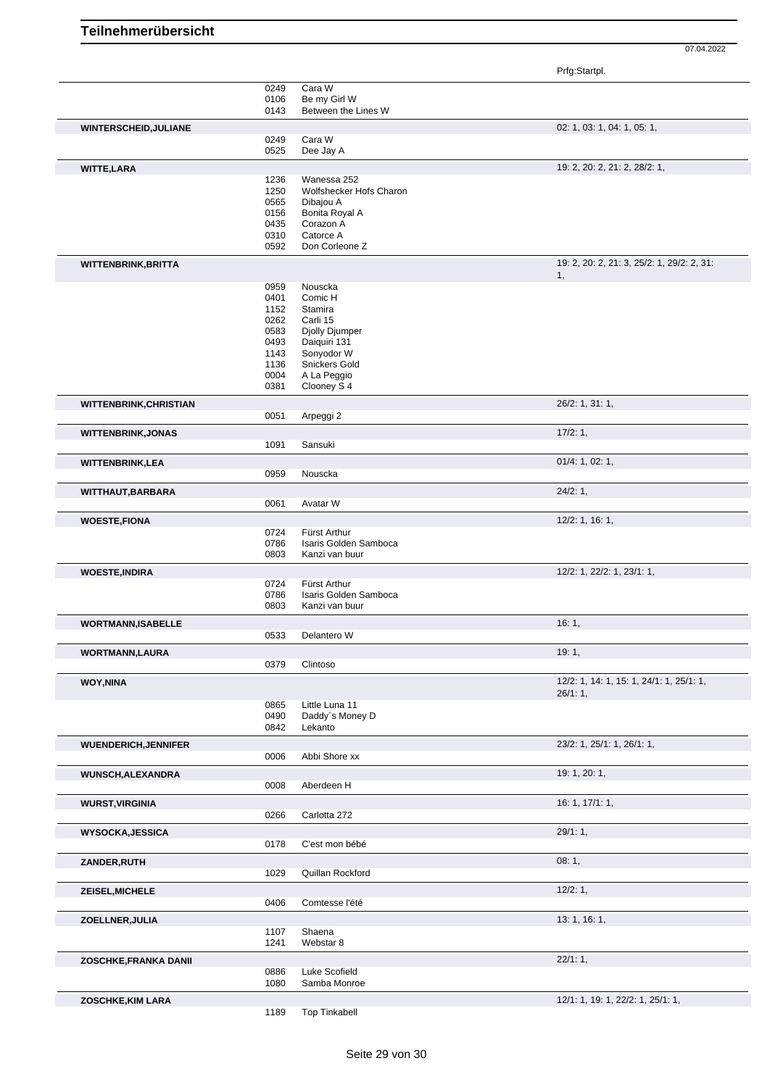Prfg:Startpl.

|                              | 0249         | Cara W                                |                                                  |
|------------------------------|--------------|---------------------------------------|--------------------------------------------------|
|                              | 0106         | Be my Girl W                          |                                                  |
|                              | 0143         | Between the Lines W                   |                                                  |
| WINTERSCHEID, JULIANE        |              |                                       | 02: 1, 03: 1, 04: 1, 05: 1,                      |
|                              | 0249         | Cara W                                |                                                  |
|                              | 0525         | Dee Jay A                             |                                                  |
|                              |              |                                       |                                                  |
| <b>WITTE, LARA</b>           |              |                                       | 19: 2, 20: 2, 21: 2, 28/2: 1,                    |
|                              | 1236         | Wanessa 252                           |                                                  |
|                              | 1250         | Wolfshecker Hofs Charon               |                                                  |
|                              | 0565         | Dibajou A                             |                                                  |
|                              | 0156         | Bonita Royal A                        |                                                  |
|                              | 0435         | Corazon A                             |                                                  |
|                              | 0310<br>0592 | Catorce A<br>Don Corleone Z           |                                                  |
|                              |              |                                       |                                                  |
| <b>WITTENBRINK, BRITTA</b>   |              |                                       | 19: 2, 20: 2, 21: 3, 25/2: 1, 29/2: 2, 31:<br>1, |
|                              | 0959         | Nouscka                               |                                                  |
|                              | 0401         | Comic H                               |                                                  |
|                              | 1152         | Stamira                               |                                                  |
|                              | 0262         | Carli 15                              |                                                  |
|                              | 0583         | Djolly Djumper                        |                                                  |
|                              | 0493         | Daiquiri 131                          |                                                  |
|                              | 1143         | Sonyodor W                            |                                                  |
|                              | 1136         | Snickers Gold                         |                                                  |
|                              | 0004         | A La Peggio                           |                                                  |
|                              | 0381         | Clooney S 4                           |                                                  |
| WITTENBRINK, CHRISTIAN       |              |                                       | 26/2: 1, 31: 1,                                  |
|                              | 0051         | Arpeggi 2                             |                                                  |
| <b>WITTENBRINK, JONAS</b>    |              |                                       | 17/2:1,                                          |
|                              | 1091         | Sansuki                               |                                                  |
|                              |              |                                       |                                                  |
| WITTENBRINK, LEA             |              |                                       | 01/4: 1, 02: 1,                                  |
|                              | 0959         | Nouscka                               |                                                  |
| WITTHAUT, BARBARA            |              |                                       | 24/2:1,                                          |
|                              | 0061         | Avatar W                              |                                                  |
| <b>WOESTE, FIONA</b>         |              |                                       | 12/2: 1, 16: 1,                                  |
|                              | 0724         | Fürst Arthur                          |                                                  |
|                              | 0786         | Isaris Golden Samboca                 |                                                  |
|                              | 0803         | Kanzi van buur                        |                                                  |
|                              |              |                                       |                                                  |
| <b>WOESTE, INDIRA</b>        |              |                                       | 12/2: 1, 22/2: 1, 23/1: 1,                       |
|                              | 0724<br>0786 | Fürst Arthur<br>Isaris Golden Samboca |                                                  |
|                              | 0803         | Kanzi van buur                        |                                                  |
|                              |              |                                       |                                                  |
| <b>WORTMANN, ISABELLE</b>    |              |                                       | 16:1,                                            |
|                              | 0533         | Delantero W                           |                                                  |
| <b>WORTMANN,LAURA</b>        |              |                                       | 19:1,                                            |
|                              | 0379         | Clintoso                              |                                                  |
|                              |              |                                       |                                                  |
| WOY, NINA                    |              |                                       | 12/2: 1, 14: 1, 15: 1, 24/1: 1, 25/1: 1,         |
|                              | 0865         | Little Luna 11                        | 26/1:1,                                          |
|                              | 0490         | Daddy's Money D                       |                                                  |
|                              | 0842         | Lekanto                               |                                                  |
|                              |              |                                       |                                                  |
| <b>WUENDERICH, JENNIFER</b>  |              |                                       | 23/2: 1, 25/1: 1, 26/1: 1,                       |
|                              | 0006         | Abbi Shore xx                         |                                                  |
| <b>WUNSCH, ALEXANDRA</b>     |              |                                       | 19: 1, 20: 1,                                    |
|                              | 0008         | Aberdeen H                            |                                                  |
| <b>WURST, VIRGINIA</b>       |              |                                       | 16: 1, 17/1: 1,                                  |
|                              | 0266         | Carlotta 272                          |                                                  |
|                              |              |                                       |                                                  |
| <b>WYSOCKA, JESSICA</b>      |              |                                       | 29/1:1,                                          |
|                              | 0178         | C'est mon bébé                        |                                                  |
| ZANDER, RUTH                 |              |                                       | 08:1,                                            |
|                              | 1029         | Quillan Rockford                      |                                                  |
|                              |              |                                       | 12/2:1,                                          |
| ZEISEL, MICHELE              | 0406         | Comtesse l'été                        |                                                  |
|                              |              |                                       |                                                  |
| ZOELLNER, JULIA              |              |                                       | 13: 1, 16: 1,                                    |
|                              | 1107         | Shaena                                |                                                  |
|                              | 1241         | Webstar 8                             |                                                  |
| <b>ZOSCHKE, FRANKA DANII</b> |              |                                       | 22/1:1,                                          |
|                              | 0886         | Luke Scofield                         |                                                  |
|                              | 1080         | Samba Monroe                          |                                                  |
|                              |              |                                       |                                                  |
| <b>ZOSCHKE, KIM LARA</b>     |              | <b>Top Tinkabell</b>                  | 12/1: 1, 19: 1, 22/2: 1, 25/1: 1,                |
|                              | 1189         |                                       |                                                  |